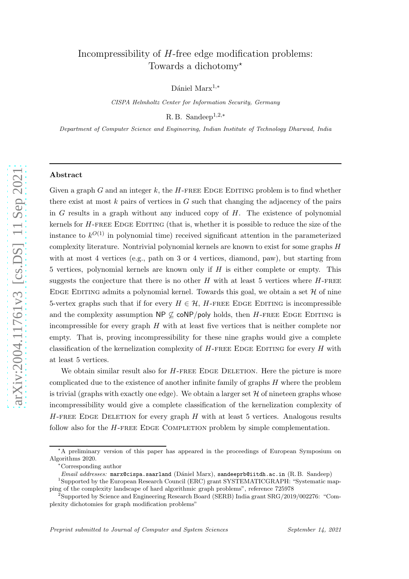# Incompressibility of H-free edge modification problems: Towards a dichotomy<sup>\*</sup>

Dániel Marx<sup>1,\*</sup>

CISPA Helmholtz Center for Information Security, Germany

R.B. Sandeep<sup>1,2,\*</sup>

Department of Computer Science and Engineering, Indian Institute of Technology Dharwad, India

#### Abstract

Given a graph  $G$  and an integer  $k$ , the  $H$ -FREE EDGE EDITING problem is to find whether there exist at most  $k$  pairs of vertices in  $G$  such that changing the adjacency of the pairs in G results in a graph without any induced copy of H. The existence of polynomial kernels for H-FREE EDGE EDITING (that is, whether it is possible to reduce the size of the instance to  $k^{O(1)}$  in polynomial time) received significant attention in the parameterized complexity literature. Nontrivial polynomial kernels are known to exist for some graphs H with at most 4 vertices (e.g., path on 3 or 4 vertices, diamond, paw), but starting from 5 vertices, polynomial kernels are known only if  $H$  is either complete or empty. This suggests the conjecture that there is no other  $H$  with at least 5 vertices where  $H$ -FREE EDGE EDITING admits a polynomial kernel. Towards this goal, we obtain a set  $\mathcal H$  of nine 5-vertex graphs such that if for every  $H \in \mathcal{H}$ , H-FREE EDGE EDITING is incompressible and the complexity assumption  $\mathsf{NP} \not\subseteq \mathsf{coNP/poly}$  holds, then H-FREE EDGE EDITING is incompressible for every graph H with at least five vertices that is neither complete nor empty. That is, proving incompressibility for these nine graphs would give a complete classification of the kernelization complexity of  $H$ -FREE EDGE EDITING for every  $H$  with at least 5 vertices.

We obtain similar result also for  $H$ -FREE EDGE DELETION. Here the picture is more complicated due to the existence of another infinite family of graphs  $H$  where the problem is trivial (graphs with exactly one edge). We obtain a larger set  ${\mathcal H}$  of nineteen graphs whose incompressibility would give a complete classification of the kernelization complexity of  $H$ -FREE EDGE DELETION for every graph  $H$  with at least 5 vertices. Analogous results follow also for the  $H$ -FREE EDGE COMPLETION problem by simple complementation.

<sup>⋆</sup>A preliminary version of this paper has appeared in the proceedings of European Symposium on Algorithms 2020. <sup>∗</sup>Corresponding author

Email addresses: marx@cispa.saarland (Dániel Marx), sandeeprb@iitdh.ac.in (R.B. Sandeep)

<sup>&</sup>lt;sup>1</sup>Supported by the European Research Council (ERC) grant SYSTEMATICGRAPH: "Systematic mapping of the complexity landscape of hard algorithmic graph problems", reference 725978 <sup>2</sup>

<sup>&</sup>lt;sup>2</sup>Supported by Science and Engineering Research Board (SERB) India grant  $SRG/2019/002276$ : "Complexity dichotomies for graph modification problems"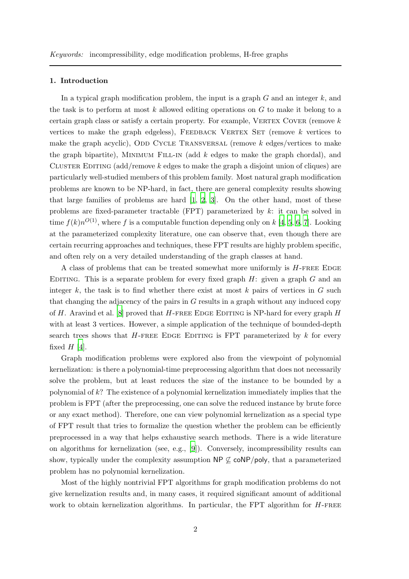#### 1. Introduction

In a typical graph modification problem, the input is a graph  $G$  and an integer  $k$ , and the task is to perform at most k allowed editing operations on  $G$  to make it belong to a certain graph class or satisfy a certain property. For example, VERTEX COVER (remove  $k$ vertices to make the graph edgeless), FEEDBACK VERTEX SET (remove  $k$  vertices to make the graph acyclic), ODD CYCLE TRANSVERSAL (remove  $k$  edges/vertices to make the graph bipartite), MINIMUM FILL-IN (add  $k$  edges to make the graph chordal), and CLUSTER EDITING  $(\text{add}/\text{remove } k \text{ edges to make the graph a disjoint union of cliques})$  are particularly well-studied members of this problem family. Most natural graph modification problems are known to be NP-hard, in fact, there are general complexity results showing that large families of problems are hard [1, 2, 3]. On the other hand, most of these problems are fixed-parameter tractable (FPT) parameterized by k: it can be solved in time  $f(k)n^{O(1)}$ , where f is a computable function depending only on k [4, 5, 6, 7]. Looking at the parameterized complexity literature, one can observe that, even though there are certain recurring approaches and techniques, these FPT results are highly problem specific, and often rely on a very detailed understanding of the graph classes at hand.

A class of problems that can be treated somewhat more uniformly is  $H$ -FREE EDGE EDITING. This is a separate problem for every fixed graph  $H$ : given a graph  $G$  and an integer  $k$ , the task is to find whether there exist at most  $k$  pairs of vertices in  $G$  such that changing the adjacency of the pairs in G results in a graph without any induced copy of  $H$ . Aravind et al. [\[8](#page-55-0)] proved that  $H$ -FREE EDGE EDITING is NP-hard for every graph  $H$ with at least 3 vertices. However, a simple application of the technique of bounded-depth search trees shows that  $H$ -FREE EDGE EDITING is FPT parameterized by  $k$  for every fixed  $H$  [4].

Graph modification problems were explored also from the viewpoint of polynomial kernelization: is there a polynomial-time preprocessing algorithm that does not necessarily solve the problem, but at least reduces the size of the instance to be bounded by a polynomial of k? The existence of a polynomial kernelization immediately implies that the problem is FPT (after the preprocessing, one can solve the reduced instance by brute force or any exact method). Therefore, one can view polynomial kernelization as a special type of FPT result that tries to formalize the question whether the problem can be efficiently preprocessed in a way that helps exhaustive search methods. There is a wide literature on algorithms for kernelization (see, e.g., [\[9\]](#page-55-1)). Conversely, incompressibility results can show, typically under the complexity assumption  $\mathsf{NP} \not\subseteq \mathsf{coNP/poly}$ , that a parameterized problem has no polynomial kernelization.

Most of the highly nontrivial FPT algorithms for graph modification problems do not give kernelization results and, in many cases, it required significant amount of additional work to obtain kernelization algorithms. In particular, the FPT algorithm for  $H$ -FREE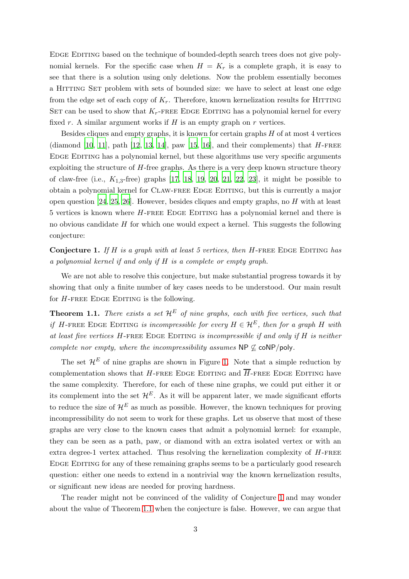Edge Editing based on the technique of bounded-depth search trees does not give polynomial kernels. For the specific case when  $H = K_r$  is a complete graph, it is easy to see that there is a solution using only deletions. Now the problem essentially becomes a Hitting Set problem with sets of bounded size: we have to select at least one edge from the edge set of each copy of  $K_r$ . Therefore, known kernelization results for HITTING SET can be used to show that  $K_r$ -FREE EDGE EDITING has a polynomial kernel for every fixed r. A similar argument works if  $H$  is an empty graph on  $r$  vertices.

Besides cliques and empty graphs, it is known for certain graphs  $H$  of at most 4 vertices (diamond  $[10, 11]$  $[10, 11]$  $[10, 11]$ , path  $[12, 13, 14]$  $[12, 13, 14]$  $[12, 13, 14]$ , paw  $[15, 16]$  $[15, 16]$  $[15, 16]$ , and their complements) that  $H$ -FREE Edge Editing has a polynomial kernel, but these algorithms use very specific arguments exploiting the structure of H-free graphs. As there is a very deep known structure theory of claw-free (i.e.,  $K_{1,3}$ -free) graphs [17, 18, 19, 20, 21, 22, 23], it might be possible to obtain a polynomial kernel for Claw-free Edge Editing, but this is currently a major open question  $[24, 25, 26]$  $[24, 25, 26]$  $[24, 25, 26]$ . However, besides cliques and empty graphs, no H with at least 5 vertices is known where H-free Edge Editing has a polynomial kernel and there is no obvious candidate  $H$  for which one would expect a kernel. This suggests the following conjecture:

<span id="page-2-0"></span>**Conjecture 1.** If H is a graph with at least 5 vertices, then H-FREE EDGE EDITING has a polynomial kernel if and only if H is a complete or empty graph.

We are not able to resolve this conjecture, but make substantial progress towards it by showing that only a finite number of key cases needs to be understood. Our main result for  $H$ -FREE EDGE EDITING is the following.

<span id="page-2-1"></span>**Theorem 1.1.** There exists a set  $\mathcal{H}^E$  of nine graphs, each with five vertices, such that if H-FREE EDGE EDITING is incompressible for every  $H \in \mathcal{H}^E$ , then for a graph H with at least five vertices  $H$ -free EDGE EDITING is incompressible if and only if  $H$  is neither complete nor empty, where the incompressibility assumes  $\mathsf{NP} \not\subseteq \mathsf{coNP/poly}.$ 

The set  $\mathcal{H}^E$  of nine graphs are shown in Figure [1.](#page-3-0) Note that a simple reduction by complementation shows that H-FREE EDGE EDITING and  $\overline{H}$ -FREE EDGE EDITING have the same complexity. Therefore, for each of these nine graphs, we could put either it or its complement into the set  $\mathcal{H}^E$ . As it will be apparent later, we made significant efforts to reduce the size of  $\mathcal{H}^E$  as much as possible. However, the known techniques for proving incompressibility do not seem to work for these graphs. Let us observe that most of these graphs are very close to the known cases that admit a polynomial kernel: for example, they can be seen as a path, paw, or diamond with an extra isolated vertex or with an extra degree-1 vertex attached. Thus resolving the kernelization complexity of  $H$ -FREE Edge Editing for any of these remaining graphs seems to be a particularly good research question: either one needs to extend in a nontrivial way the known kernelization results, or significant new ideas are needed for proving hardness.

The reader might not be convinced of the validity of Conjecture [1](#page-2-0) and may wonder about the value of Theorem [1.1](#page-2-1) when the conjecture is false. However, we can argue that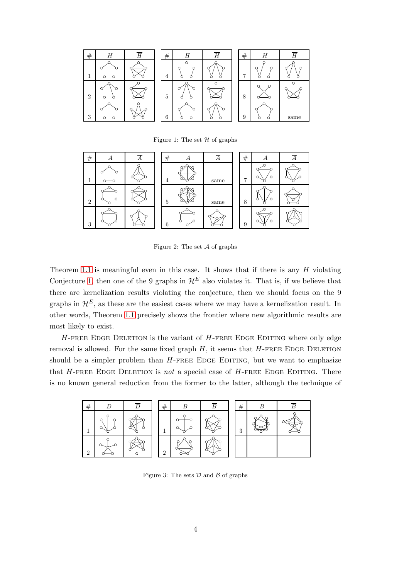<span id="page-3-0"></span>

Figure 1: The set  $H$  of graphs

<span id="page-3-2"></span>

| $\#$           | л | Α | $\#$ | А | А    | $\#$ | А |  |
|----------------|---|---|------|---|------|------|---|--|
|                |   |   | 4    |   | same |      | Ω |  |
| $\overline{2}$ |   |   | 5    |   | same | 8    |   |  |
| 3              |   |   | 6    |   |      | 9    |   |  |

Figure 2: The set  $A$  of graphs

Theorem [1.1](#page-2-1) is meaningful even in this case. It shows that if there is any  $H$  violating Conjecture [1,](#page-2-0) then one of the 9 graphs in  $\mathcal{H}^E$  also violates it. That is, if we believe that there are kernelization results violating the conjecture, then we should focus on the 9 graphs in  $\mathcal{H}^E$ , as these are the easiest cases where we may have a kernelization result. In other words, Theorem [1.1](#page-2-1) precisely shows the frontier where new algorithmic results are most likely to exist.

 $H$ -FREE EDGE DELETION is the variant of  $H$ -FREE EDGE EDITING where only edge removal is allowed. For the same fixed graph  $H$ , it seems that  $H$ -FREE EDGE DELETION should be a simpler problem than  $H$ -FREE EDGE EDITING, but we want to emphasize that  $H$ -FREE EDGE DELETION is not a special case of  $H$ -FREE EDGE EDITING. There is no known general reduction from the former to the latter, although the technique of

<span id="page-3-1"></span>

Figure 3: The sets  $D$  and  $B$  of graphs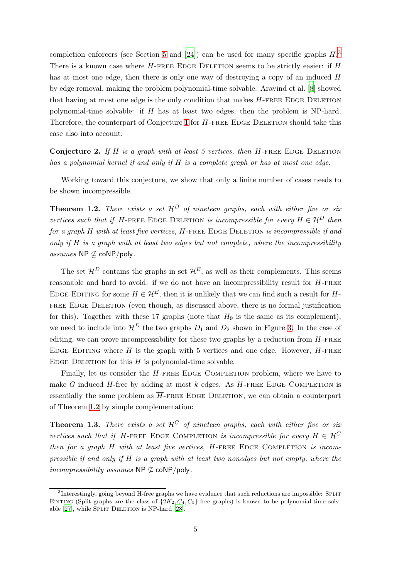completion enforcers (see Section [5](#page-35-0) and [\[24](#page-57-0)]) can be used for many specific graphs  $H$ <sup>[3](#page-4-0)</sup> There is a known case where  $H$ -FREE EDGE DELETION seems to be strictly easier: if  $H$ has at most one edge, then there is only one way of destroying a copy of an induced H by edge removal, making the problem polynomial-time solvable. Aravind et al. [\[8](#page-55-0)] showed that having at most one edge is the only condition that makes  $H$ -FREE EDGE DELETION polynomial-time solvable: if  $H$  has at least two edges, then the problem is NP-hard. Therefore, the counterpart of Conjecture [1](#page-2-0) for H-FREE EDGE DELETION should take this case also into account.

**Conjecture 2.** If H is a graph with at least 5 vertices, then H-FREE EDGE DELETION has a polynomial kernel if and only if H is a complete graph or has at most one edge.

Working toward this conjecture, we show that only a finite number of cases needs to be shown incompressible.

<span id="page-4-1"></span>**Theorem 1.2.** There exists a set  $\mathcal{H}^D$  of nineteen graphs, each with either five or six vertices such that if H-FREE EDGE DELETION is incompressible for every  $H \in \mathcal{H}^D$  then for a graph  $H$  with at least five vertices,  $H$ -FREE EDGE DELETION is incompressible if and only if  $H$  is a graph with at least two edges but not complete, where the incompressibility assumes NP  $\not\subseteq$  coNP/poly.

The set  $\mathcal{H}^D$  contains the graphs in set  $\mathcal{H}^E$ , as well as their complements. This seems reasonable and hard to avoid: if we do not have an incompressibility result for  $H$ -FREE EDGE EDITING for some  $H \in \mathcal{H}^E$ , then it is unlikely that we can find such a result for H-FREE EDGE DELETION (even though, as discussed above, there is no formal justification for this). Together with these 17 graphs (note that  $H_9$  is the same as its complement), we need to include into  $\mathcal{H}^D$  the two graphs  $D_1$  and  $D_2$  shown in Figure [3.](#page-3-1) In the case of editing, we can prove incompressibility for these two graphs by a reduction from  $H$ -FREE EDGE EDITING where H is the graph with 5 vertices and one edge. However,  $H$ -FREE EDGE DELETION for this  $H$  is polynomial-time solvable.

Finally, let us consider the  $H$ -FREE EDGE COMPLETION problem, where we have to make G induced  $H$ -free by adding at most  $k$  edges. As  $H$ -FREE EDGE COMPLETION is essentially the same problem as  $\overline{H}$ -FREE EDGE DELETION, we can obtain a counterpart of Theorem [1.2](#page-4-1) by simple complementation:

<span id="page-4-2"></span>**Theorem 1.3.** There exists a set  $\mathcal{H}^C$  of nineteen graphs, each with either five or six vertices such that if H-FREE EDGE COMPLETION is incompressible for every  $H \in \mathcal{H}^C$ then for a graph  $H$  with at least five vertices,  $H$ -FREE EDGE COMPLETION is incompressible if and only if  $H$  is a graph with at least two nonedges but not empty, where the  $incompressibility\;assumes\; \mathsf{NP}\not\subseteq\mathsf{coNP/poly}.$ 

<span id="page-4-0"></span><sup>&</sup>lt;sup>3</sup>Interestingly, going beyond H-free graphs we have evidence that such reductions are impossible: SPLIT EDITING (Split graphs are the class of  $\{2K_2, C_4, C_5\}$ -free graphs) is known to be polynomial-time solvable [27], while SPLIT DELETION is NP-hard [28].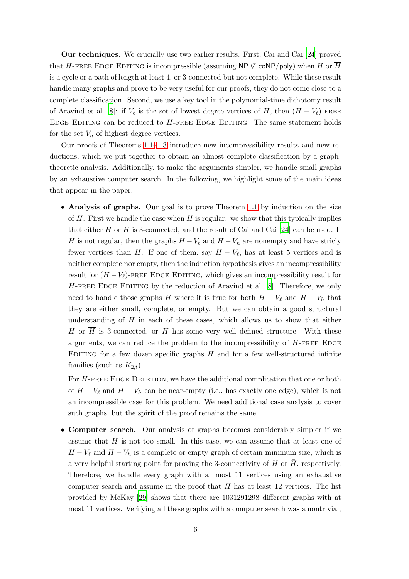Our techniques. We crucially use two earlier results. First, Cai and Cai [\[24](#page-57-0)] proved that H-FREE EDGE EDITING is incompressible (assuming NP  $\mathcal{L}$  coNP/poly) when H or  $\overline{H}$ is a cycle or a path of length at least 4, or 3-connected but not complete. While these result handle many graphs and prove to be very useful for our proofs, they do not come close to a complete classification. Second, we use a key tool in the polynomial-time dichotomy result of Aravind et al. [\[8\]](#page-55-0): if  $V_{\ell}$  is the set of lowest degree vertices of H, then  $(H - V_{\ell})$ -FREE Edge Editing can be reduced to H-free Edge Editing. The same statement holds for the set  $V_h$  of highest degree vertices.

Our proofs of Theorems [1.1](#page-2-1)[–1.3](#page-4-2) introduce new incompressibility results and new reductions, which we put together to obtain an almost complete classification by a graphtheoretic analysis. Additionally, to make the arguments simpler, we handle small graphs by an exhaustive computer search. In the following, we highlight some of the main ideas that appear in the paper.

• Analysis of graphs. Our goal is to prove Theorem [1.1](#page-2-1) by induction on the size of  $H$ . First we handle the case when  $H$  is regular: we show that this typically implies that either H or  $\overline{H}$  is 3-connected, and the result of Cai and Cai [\[24](#page-57-0)] can be used. If H is not regular, then the graphs  $H - V_{\ell}$  and  $H - V_h$  are nonempty and have stricly fewer vertices than H. If one of them, say  $H - V_{\ell}$ , has at least 5 vertices and is neither complete nor empty, then the induction hypothesis gives an incompressibility result for  $(H - V_\ell)$ -FREE EDGE EDITING, which gives an incompressibility result for  $H$ -FREE EDGE EDITING by the reduction of Aravind et al. [\[8](#page-55-0)]. Therefore, we only need to handle those graphs H where it is true for both  $H - V_{\ell}$  and  $H - V_h$  that they are either small, complete, or empty. But we can obtain a good structural understanding of  $H$  in each of these cases, which allows us to show that either H or  $\overline{H}$  is 3-connected, or H has some very well defined structure. With these arguments, we can reduce the problem to the incompressibility of  $H$ -FREE EDGE EDITING for a few dozen specific graphs  $H$  and for a few well-structured infinite families (such as  $K_{2,t}$ ).

For  $H$ -FREE EDGE DELETION, we have the additional complication that one or both of  $H - V_{\ell}$  and  $H - V_h$  can be near-empty (i.e., has exactly one edge), which is not an incompressible case for this problem. We need additional case analysis to cover such graphs, but the spirit of the proof remains the same.

• Computer search. Our analysis of graphs becomes considerably simpler if we assume that  $H$  is not too small. In this case, we can assume that at least one of  $H - V_{\ell}$  and  $H - V_h$  is a complete or empty graph of certain minimum size, which is a very helpful starting point for proving the 3-connectivity of H or  $\bar{H}$ , respectively. Therefore, we handle every graph with at most 11 vertices using an exhaustive computer search and assume in the proof that  $H$  has at least 12 vertices. The list provided by McKay [\[29\]](#page-57-3) shows that there are 1031291298 different graphs with at most 11 vertices. Verifying all these graphs with a computer search was a nontrivial,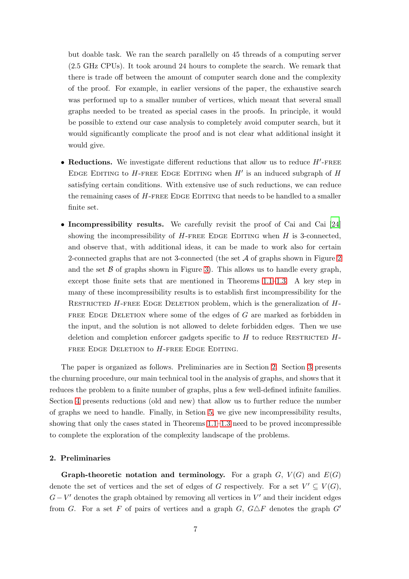but doable task. We ran the search parallelly on 45 threads of a computing server (2.5 GHz CPUs). It took around 24 hours to complete the search. We remark that there is trade off between the amount of computer search done and the complexity of the proof. For example, in earlier versions of the paper, the exhaustive search was performed up to a smaller number of vertices, which meant that several small graphs needed to be treated as special cases in the proofs. In principle, it would be possible to extend our case analysis to completely avoid computer search, but it would significantly complicate the proof and is not clear what additional insight it would give.

- Reductions. We investigate different reductions that allow us to reduce  $H'$ -FREE EDGE EDITING to  $H$ -FREE EDGE EDITING when  $H'$  is an induced subgraph of  $H$ satisfying certain conditions. With extensive use of such reductions, we can reduce the remaining cases of  $H$ -FREE EDGE EDITING that needs to be handled to a smaller finite set.
- Incompressibility results. We carefully revisit the proof of Cai and Cai [\[24](#page-57-0)] showing the incompressibility of  $H$ -FREE EDGE EDITING when  $H$  is 3-connected, and observe that, with additional ideas, it can be made to work also for certain 2-connected graphs that are not 3-connected (the set A of graphs shown in Figure [2](#page-3-2) and the set  $\beta$  of graphs shown in Figure [3\)](#page-3-1). This allows us to handle every graph, except those finite sets that are mentioned in Theorems [1.1–](#page-2-1)[1.3.](#page-4-2) A key step in many of these incompressibility results is to establish first incompressibility for the RESTRICTED  $H$ -FREE EDGE DELETION problem, which is the generalization of  $H$ -FREE EDGE DELETION where some of the edges of  $G$  are marked as forbidden in the input, and the solution is not allowed to delete forbidden edges. Then we use deletion and completion enforcer gadgets specific to  $H$  to reduce RESTRICTED  $H$ -FREE EDGE DELETION to  $H$ -FREE EDGE EDITING.

The paper is organized as follows. Preliminaries are in Section [2.](#page-6-0) Section [3](#page-12-0) presents the churning procedure, our main technical tool in the analysis of graphs, and shows that it reduces the problem to a finite number of graphs, plus a few well-defined infinite families. Section [4](#page-25-0) presents reductions (old and new) that allow us to further reduce the number of graphs we need to handle. Finally, in Setion [5,](#page-35-0) we give new incompressibility results, showing that only the cases stated in Theorems [1.1](#page-2-1)[–1.3](#page-4-2) need to be proved incompressible to complete the exploration of the complexity landscape of the problems.

## <span id="page-6-0"></span>2. Preliminaries

**Graph-theoretic notation and terminology.** For a graph  $G$ ,  $V(G)$  and  $E(G)$ denote the set of vertices and the set of edges of G respectively. For a set  $V' \subseteq V(G)$ ,  $G - V'$  denotes the graph obtained by removing all vertices in  $V'$  and their incident edges from G. For a set F of pairs of vertices and a graph G,  $G \triangle F$  denotes the graph G'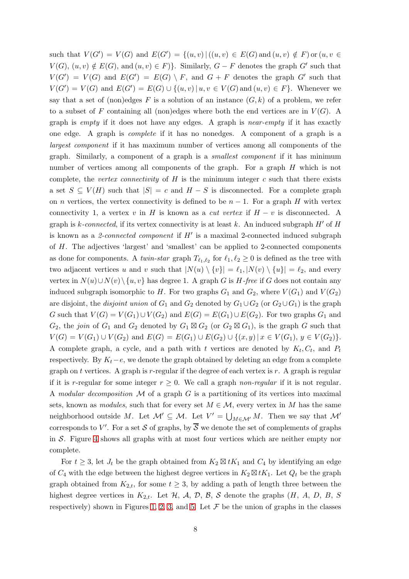such that  $V(G') = V(G)$  and  $E(G') = \{(u, v) | ((u, v) \in E(G) \text{ and } (u, v) \notin F) \text{ or } (u, v \in G)\}$  $V(G)$ ,  $(u, v) \notin E(G)$ , and  $(u, v) \in F$ }. Similarly,  $G - F$  denotes the graph  $G'$  such that  $V(G') = V(G)$  and  $E(G') = E(G) \setminus F$ , and  $G + F$  denotes the graph  $G'$  such that  $V(G') = V(G)$  and  $E(G') = E(G) \cup \{(u, v) | u, v \in V(G) \text{ and } (u, v) \in F\}.$  Whenever we say that a set of (non)edges F is a solution of an instance  $(G, k)$  of a problem, we refer to a subset of F containing all (non)edges where both the end vertices are in  $V(G)$ . A graph is empty if it does not have any edges. A graph is near-empty if it has exactly one edge. A graph is complete if it has no nonedges. A component of a graph is a largest component if it has maximum number of vertices among all components of the graph. Similarly, a component of a graph is a smallest component if it has minimum number of vertices among all components of the graph. For a graph H which is not complete, the vertex connectivity of  $H$  is the minimum integer c such that there exists a set  $S \subseteq V(H)$  such that  $|S| = c$  and  $H - S$  is disconnected. For a complete graph on *n* vertices, the vertex connectivity is defined to be  $n - 1$ . For a graph H with vertex connectivity 1, a vertex v in H is known as a *cut vertex* if  $H - v$  is disconnected. A graph is k-connected, if its vertex connectivity is at least k. An induced subgraph  $H'$  of  $H$ is known as a 2-connected component if  $H'$  is a maximal 2-connected induced subgraph of H. The adjectives 'largest' and 'smallest' can be applied to 2-connected components as done for components. A *twin-star* graph  $T_{\ell_1,\ell_2}$  for  $\ell_1,\ell_2 \geq 0$  is defined as the tree with two adjacent vertices u and v such that  $|N(u) \setminus \{v\}| = \ell_1, |N(v) \setminus \{u\}| = \ell_2$ , and every vertex in  $N(u) \cup N(v) \setminus \{u, v\}$  has degree 1. A graph G is H-free if G does not contain any induced subgraph isomorphic to H. For two graphs  $G_1$  and  $G_2$ , where  $V(G_1)$  and  $V(G_2)$ are disjoint, the *disjoint union* of  $G_1$  and  $G_2$  denoted by  $G_1 \cup G_2$  (or  $G_2 \cup G_1$ ) is the graph G such that  $V(G) = V(G_1) \cup V(G_2)$  and  $E(G) = E(G_1) \cup E(G_2)$ . For two graphs  $G_1$  and  $G_2$ , the join of  $G_1$  and  $G_2$  denoted by  $G_1 \boxtimes G_2$  (or  $G_2 \boxtimes G_1$ ), is the graph G such that  $V(G) = V(G_1) \cup V(G_2)$  and  $E(G) = E(G_1) \cup E(G_2) \cup \{(x, y) | x \in V(G_1), y \in V(G_2)\}.$ A complete graph, a cycle, and a path with t vertices are denoted by  $K_t, C_t$ , and  $P_t$ respectively. By  $K_t - e$ , we denote the graph obtained by deleting an edge from a complete graph on  $t$  vertices. A graph is  $r$ -regular if the degree of each vertex is  $r$ . A graph is regular if it is r-regular for some integer  $r \geq 0$ . We call a graph non-regular if it is not regular. A modular decomposition  $M$  of a graph  $G$  is a partitioning of its vertices into maximal sets, known as modules, such that for every set  $M \in \mathcal{M}$ , every vertex in M has the same neighborhood outside M. Let  $\mathcal{M}' \subseteq \mathcal{M}$ . Let  $V' = \bigcup_{M \in \mathcal{M}'} M$ . Then we say that  $\mathcal{M}'$ corresponds to V'. For a set S of graphs, by  $\overline{\mathcal{S}}$  we denote the set of complements of graphs in  $S$ . Figure [4](#page-8-0) shows all graphs with at most four vertices which are neither empty nor complete.

For  $t \geq 3$ , let  $J_t$  be the graph obtained from  $K_2 \boxtimes tK_1$  and  $C_4$  by identifying an edge of  $C_4$  with the edge between the highest degree vertices in  $K_2 \boxtimes tK_1$ . Let  $Q_t$  be the graph graph obtained from  $K_{2,t}$ , for some  $t \geq 3$ , by adding a path of length three between the highest degree vertices in  $K_{2,t}$ . Let  $H$ ,  $A$ ,  $D$ ,  $B$ ,  $S$  denote the graphs  $(H, A, D, B, S)$ respectively) shown in Figures [1,](#page-3-0) [2,](#page-3-2) [3,](#page-3-1) and [5.](#page-9-0) Let  $\mathcal F$  be the union of graphs in the classes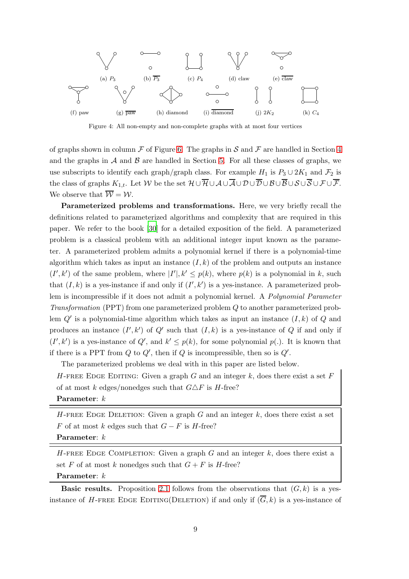<span id="page-8-0"></span>

Figure 4: All non-empty and non-complete graphs with at most four vertices

of graphs shown in column  $\mathcal F$  of Figure [6.](#page-9-1) The graphs in  $\mathcal S$  and  $\mathcal F$  are handled in Section [4](#page-25-0) and the graphs in  $A$  and  $B$  are handled in Section [5.](#page-35-0) For all these classes of graphs, we use subscripts to identify each graph/graph class. For example  $H_1$  is  $P_3 \cup 2K_1$  and  $\mathcal{F}_2$  is the class of graphs  $K_{1,t}$ . Let W be the set  $\mathcal{H} \cup \overline{\mathcal{H}} \cup \mathcal{A} \cup \overline{\mathcal{A}} \cup \mathcal{D} \cup \overline{\mathcal{D}} \cup \mathcal{B} \cup \overline{\mathcal{B}} \cup \mathcal{S} \cup \overline{\mathcal{S}} \cup \mathcal{F} \cup \overline{\mathcal{F}}$ . We observe that  $\overline{\mathcal{W}} = \mathcal{W}$ .

Parameterized problems and transformations. Here, we very briefly recall the definitions related to parameterized algorithms and complexity that are required in this paper. We refer to the book [\[30](#page-57-4)] for a detailed exposition of the field. A parameterized problem is a classical problem with an additional integer input known as the parameter. A parameterized problem admits a polynomial kernel if there is a polynomial-time algorithm which takes as input an instance  $(I, k)$  of the problem and outputs an instance  $(I', k')$  of the same problem, where  $|I'|, k' \leq p(k)$ , where  $p(k)$  is a polynomial in k, such that  $(I, k)$  is a yes-instance if and only if  $(I', k')$  is a yes-instance. A parameterized problem is incompressible if it does not admit a polynomial kernel. A Polynomial Parameter Transformation (PPT) from one parameterized problem Q to another parameterized problem  $Q'$  is a polynomial-time algorithm which takes as input an instance  $(I, k)$  of  $Q$  and produces an instance  $(I', k')$  of  $Q'$  such that  $(I, k)$  is a yes-instance of Q if and only if  $(I', k')$  is a yes-instance of  $Q'$ , and  $k' \leq p(k)$ , for some polynomial  $p(.)$ . It is known that if there is a PPT from  $Q$  to  $Q'$ , then if  $Q$  is incompressible, then so is  $Q'$ .

The parameterized problems we deal with in this paper are listed below.

H-FREE EDGE EDITING: Given a graph G and an integer k, does there exist a set F of at most k edges/nonedges such that  $G \triangle F$  is H-free? Parameter:  $k$ 

H-FREE EDGE DELETION: Given a graph G and an integer  $k$ , does there exist a set F of at most k edges such that  $G - F$  is H-free?

Parameter:  $k$ 

H-FREE EDGE COMPLETION: Given a graph G and an integer  $k$ , does there exist a set F of at most k nonedges such that  $G + F$  is H-free? Parameter:  $k$ 

**Basic results.** Proposition [2.1](#page-10-0) follows from the observations that  $(G, k)$  is a yesinstance of H-FREE EDGE EDITING(DELETION) if and only if  $(\overline{G}, k)$  is a yes-instance of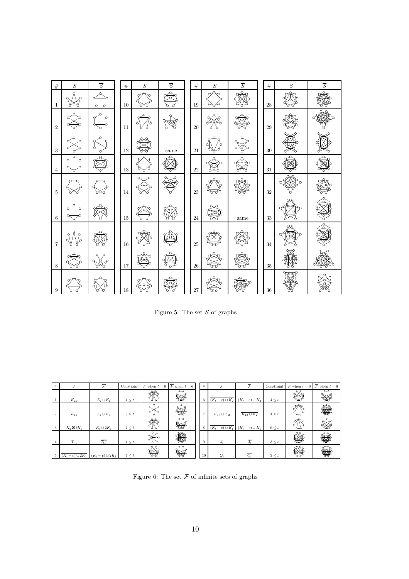<span id="page-9-0"></span>

| $\#$              | $\cal S$                 | $\overline{S}$ | $\#$   | $\cal S$ | $\overline{S}$ | $\#$        | $\cal S$ | $\overline{S}$ | $\#$        | $\boldsymbol{S}$ | $\overline{S}$ |
|-------------------|--------------------------|----------------|--------|----------|----------------|-------------|----------|----------------|-------------|------------------|----------------|
| 1                 |                          |                | 10     |          |                | $19\,$      | ↷<br>n   |                | $\sqrt{28}$ |                  |                |
| $\overline{2}$    |                          |                | 11     |          |                | $20\,$      |          |                | $\sqrt{29}$ |                  |                |
| 3                 |                          |                | 12     |          | same           | 21          |          |                | $30\,$      |                  |                |
| $\overline{4}$    | $\circ$<br>$\Omega$      |                | $13\,$ |          |                | 22          |          |                | 31          |                  |                |
| $\overline{5}$    |                          |                | 14     |          |                | $\bf 23$    |          |                | $32\,$      |                  |                |
| $\,6\,$           | $\circ$<br>$\circ$<br>O. |                | $15\,$ |          |                | $\sqrt{24}$ |          | ${\rm same}$   | $33\,$      |                  |                |
| $\scriptstyle{7}$ |                          |                | $16\,$ |          |                | $25\,$      |          |                | $34\,$      |                  |                |
| $\boldsymbol{8}$  |                          |                | 17     |          |                | $\sqrt{26}$ |          |                | $35\,$      |                  |                |
| 9                 |                          |                | 18     |          |                | 27          |          |                | $36\,$      |                  |                |

Figure 5: The set  $S$  of graphs

<span id="page-9-1"></span>

| #              |                      | $\overline{\mathcal{F}}$ | Constraint | F when $t=6$                     | $\overline{F}$ when $t=6$                           | #              |                   | τ                    | Constraint | $F$ when $t=6$ | $\overline{F}$ when $t=6$                   |
|----------------|----------------------|--------------------------|------------|----------------------------------|-----------------------------------------------------|----------------|-------------------|----------------------|------------|----------------|---------------------------------------------|
|                | $K_{2,t}$            | $K_t \cup K_2$           | $4 \leq t$ |                                  | $\circ\hspace{-1.5pt}\sim\hspace{-1.5pt}\circ$<br>₩ | 6              | $(K_t-e)\cup K_2$ | $(K_t - e) \cup K_2$ | $4 \leq t$ |                | $\circ\hspace{-1.5pt}-\hspace{-1.5pt}\circ$ |
| $\overline{2}$ | $K_{1,t}$            | $K_t\cup K_1$            | $5 \leq t$ | $\alpha$<br>Λ                    | $\circ$                                             | $\overline{ }$ | $K_{1,t}\cup K_2$ | $K_{1,t}\cup K_2$    | $4 \leq t$ | $\circ\circ$   |                                             |
| 3              | $K_2 \boxtimes tK_1$ | $K_t\cup 2K_1$           | $4 \leq t$ | ⅏                                | $\circ$ $\circ$<br>₽¥R                              | 8              | $(K_t-e)\cup K_1$ | $(K_t - e) \cup K_1$ | $6 \leq t$ | σ              | $\circ$                                     |
| $\overline{4}$ | $T_{t,1}$            | $T_{t,1}$                | $4 \leq t$ | $\circ$<br>$\alpha$<br>ക്ക<br>σ١ |                                                     | 9              | $J_t$             | $J_t$                | $3 \leq t$ |                |                                             |
| 5              | $(K_t-e)\cup 2K_1$   | $(K_t - e) \cup 2K_1$    | $4 \leq t$ | റ്റ്റ                            | $\circ$ $\circ$                                     | 10             | $Q_t$             | $Q_t$                | $3 \leq t$ |                |                                             |

Figure 6: The set  ${\mathcal F}$  of infinite sets of graphs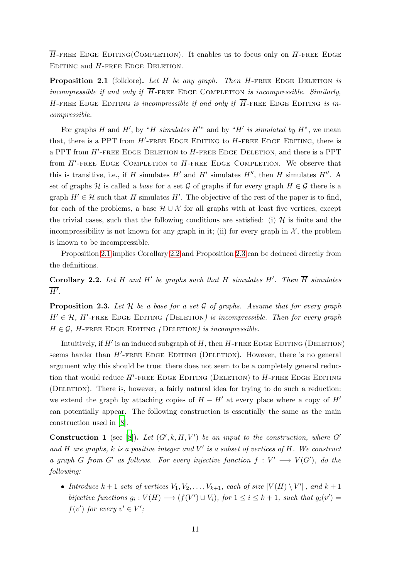$\overline{H}$ -FREE EDGE EDITING(COMPLETION). It enables us to focus only on H-FREE EDGE EDITING and  $H$ -FREE EDGE DELETION.

<span id="page-10-0"></span>**Proposition 2.1** (folklore). Let  $H$  be any graph. Then  $H$ -FREE EDGE DELETION is incompressible if and only if  $\overline{H}$ -FREE EDGE COMPLETION is incompressible. Similarly, H-FREE EDGE EDITING is incompressible if and only if  $\overline{H}$ -FREE EDGE EDITING is incompressible.

For graphs H and H', by "H simulates  $H''$  and by "H' is simulated by  $H$ ", we mean that, there is a PPT from  $H'$ -FREE EDGE EDITING to  $H$ -FREE EDGE EDITING, there is a PPT from  $H'$ -free Edge Deletion to  $H$ -free Edge Deletion, and there is a PPT from  $H'$ -FREE EDGE COMPLETION to  $H$ -FREE EDGE COMPLETION. We observe that this is transitive, i.e., if H simulates  $H'$  and  $H'$  simulates  $H''$ , then H simulates  $H''$ . A set of graphs H is called a base for a set G of graphs if for every graph  $H \in \mathcal{G}$  there is a graph  $H' \in \mathcal{H}$  such that H simulates H'. The objective of the rest of the paper is to find, for each of the problems, a base  $\mathcal{H} \cup \mathcal{X}$  for all graphs with at least five vertices, except the trivial cases, such that the following conditions are satisfied: (i)  $\mathcal{H}$  is finite and the incompressibility is not known for any graph in it; (ii) for every graph in  $\mathcal{X}$ , the problem is known to be incompressible.

Proposition [2.1](#page-10-0) implies Corollary [2.2](#page-10-1) and Proposition [2.3](#page-10-2) can be deduced directly from the definitions.

<span id="page-10-1"></span>**Corollary 2.2.** Let H and H' be graphs such that H simulates H'. Then  $\overline{H}$  simulates  $\overline{H'}$ .

<span id="page-10-2"></span>**Proposition 2.3.** Let  $H$  be a base for a set  $G$  of graphs. Assume that for every graph  $H' \in \mathcal{H}$ , H'-FREE EDGE EDITING (DELETION) is incompressible. Then for every graph  $H \in \mathcal{G}$ , H-FREE EDGE EDITING (DELETION) is incompressible.

Intuitively, if  $H'$  is an induced subgraph of  $H$ , then  $H$ -FREE EDGE EDITING (DELETION) seems harder than H'-FREE EDGE EDITING (DELETION). However, there is no general argument why this should be true: there does not seem to be a completely general reduction that would reduce  $H'$ -FREE EDGE EDITING (DELETION) to  $H$ -FREE EDGE EDITING (Deletion). There is, however, a fairly natural idea for trying to do such a reduction: we extend the graph by attaching copies of  $H - H'$  at every place where a copy of  $H'$ can potentially appear. The following construction is essentially the same as the main construction used in [\[8\]](#page-55-0).

<span id="page-10-3"></span>**Construction 1** (see [\[8\]](#page-55-0)). Let  $(G', k, H, V')$  be an input to the construction, where G' and H are graphs,  $k$  is a positive integer and  $V'$  is a subset of vertices of H. We construct a graph G from G' as follows. For every injective function  $f: V' \longrightarrow V(G')$ , do the following:

• Introduce  $k+1$  sets of vertices  $V_1, V_2, \ldots, V_{k+1}$ , each of size  $|V(H) \setminus V'|$ , and  $k+1$ bijective functions  $g_i: V(H) \longrightarrow (f(V') \cup V_i)$ , for  $1 \le i \le k+1$ , such that  $g_i(v') =$  $f(v')$  for every  $v' \in V'$ ;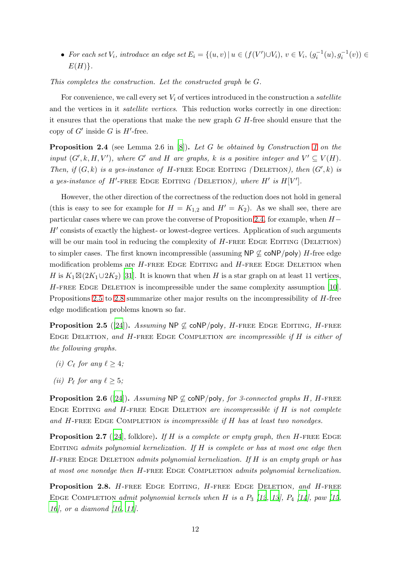• For each set  $V_i$ , introduce an edge set  $E_i = \{(u, v) | u \in (f(V') \cup V_i), v \in V_i, (g_i^{-1}(u), g_i^{-1}(v)) \in$  $E(H)$ .

This completes the construction. Let the constructed graph be G.

For convenience, we call every set  $V_i$  of vertices introduced in the construction a *satellite* and the vertices in it satellite vertices. This reduction works correctly in one direction: it ensures that the operations that make the new graph  $G$   $H$ -free should ensure that the copy of  $G'$  inside G is  $H'$ -free.

<span id="page-11-0"></span>**Proposition 2.4** (see Lemma 2.6 in  $[8]$ ). Let G be obtained by Construction [1](#page-10-3) on the input  $(G', k, H, V')$ , where G' and H are graphs, k is a positive integer and  $V' \subseteq V(H)$ . Then, if  $(G, k)$  is a yes-instance of H-FREE EDGE EDITING (DELETION), then  $(G', k)$  is a yes-instance of H'-FREE EDGE EDITING (DELETION), where H' is  $H[V']$ .

However, the other direction of the correctness of the reduction does not hold in general (this is easy to see for example for  $H = K_{1,2}$  and  $H' = K_2$ ). As we shall see, there are particular cases where we can prove the converse of Proposition [2.4,](#page-11-0) for example, when  $H-$ H' consists of exactly the highest- or lowest-degree vertices. Application of such arguments will be our main tool in reducing the complexity of  $H$ -FREE EDGE EDITING (DELETION) to simpler cases. The first known incompressible (assuming  $NP \not\subseteq \text{coNP/poly}$ ) H-free edge modification problems are  $H$ -FREE EDGE EDITING and  $H$ -FREE EDGE DELETION when H is  $K_1 \boxtimes (2K_1 \cup 2K_2)$  [31]. It is known that when H is a star graph on at least 11 vertices,  $H$ -FREE EDGE DELETION is incompressible under the same complexity assumption [\[10](#page-56-0)]. Propositions [2.5](#page-11-1) to [2.8](#page-11-2) summarize other major results on the incompressibility of H-free edge modification problems known so far.

<span id="page-11-1"></span>**Proposition 2.5** ([\[24\]](#page-57-0)). Assuming  $NP \not\subseteq \text{coNP/poly}$ , H-FREE EDGE EDITING, H-FREE Edge Deletion, and H-free Edge Completion are incompressible if H is either of the following graphs.

- (i)  $C_{\ell}$  for any  $\ell \geq 4$ ;
- (*ii*)  $P_{\ell}$  for any  $\ell \geq 5$ ;

<span id="page-11-4"></span>**Proposition 2.6** ([\[24](#page-57-0)]). Assuming  $NP \not\subset \text{coNP/poly}$ , for 3-connected graphs H, H-FREE EDGE EDITING and  $H$ -FREE EDGE DELETION are incompressible if  $H$  is not complete and  $H$ -FREE EDGE COMPLETION is incompressible if  $H$  has at least two nonedges.

<span id="page-11-3"></span>**Proposition 2.7** ([\[24](#page-57-0)], folklore). If H is a complete or empty graph, then H-FREE EDGE EDITING admits polynomial kernelization. If  $H$  is complete or has at most one edge then  $H$ -FREE EDGE DELETION admits polynomial kernelization. If  $H$  is an empty graph or has at most one nonedge then H-FREE EDGE COMPLETION admits polynomial kernelization.

<span id="page-11-2"></span>Proposition 2.8. H-FREE EDGE EDITING, H-FREE EDGE DELETION, and H-FREE EDGE COMPLETION admit polynomial kernels when H is a  $P_3$  [\[12](#page-56-2), [13\]](#page-56-3),  $P_4$  [\[14](#page-56-4)], paw [\[15](#page-56-5), [16](#page-56-6)], or a diamond [\[10](#page-56-0), [11\]](#page-56-1).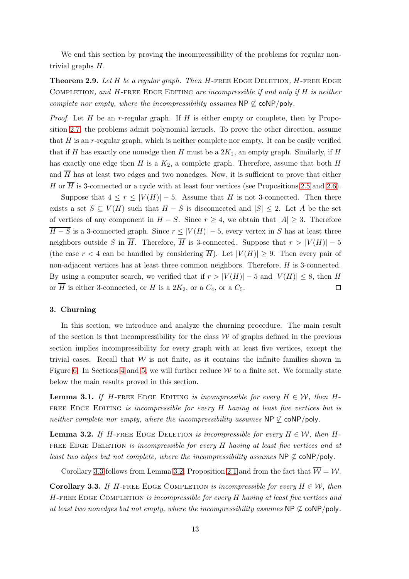We end this section by proving the incompressibility of the problems for regular nontrivial graphs H.

<span id="page-12-3"></span>**Theorem 2.9.** Let H be a regular graph. Then H-FREE EDGE DELETION, H-FREE EDGE COMPLETION, and H-FREE EDGE EDITING are incompressible if and only if  $H$  is neither complete nor empty, where the incompressibility assumes  $\mathsf{NP} \not\subseteq \mathsf{coNP/poly}$ .

*Proof.* Let  $H$  be an r-regular graph. If  $H$  is either empty or complete, then by Proposition [2.7,](#page-11-3) the problems admit polynomial kernels. To prove the other direction, assume that  $H$  is an r-regular graph, which is neither complete nor empty. It can be easily verified that if H has exactly one nonedge then H must be a  $2K_1$ , an empty graph. Similarly, if H has exactly one edge then H is a  $K_2$ , a complete graph. Therefore, assume that both H and  $\overline{H}$  has at least two edges and two nonedges. Now, it is sufficient to prove that either H or  $\overline{H}$  is 3-connected or a cycle with at least four vertices (see Propositions [2.5](#page-11-1) and [2.6\)](#page-11-4).

Suppose that  $4 \leq r \leq |V(H)| - 5$ . Assume that H is not 3-connected. Then there exists a set  $S \subseteq V(H)$  such that  $H - S$  is disconnected and  $|S| \leq 2$ . Let A be the set of vertices of any component in  $H - S$ . Since  $r \geq 4$ , we obtain that  $|A| \geq 3$ . Therefore  $\overline{H-S}$  is a 3-connected graph. Since  $r \leq |V(H)|-5$ , every vertex in S has at least three neighbors outside S in  $\overline{H}$ . Therefore,  $\overline{H}$  is 3-connected. Suppose that  $r > |V(H)| - 5$ (the case  $r < 4$  can be handled by considering  $\overline{H}$ ). Let  $|V(H)| \geq 9$ . Then every pair of non-adjacent vertices has at least three common neighbors. Therefore, H is 3-connected. By using a computer search, we verified that if  $r > |V(H)| - 5$  and  $|V(H)| \leq 8$ , then H or H is either 3-connected, or H is a  $2K_2$ , or a  $C_4$ , or a  $C_5$ .  $\Box$ 

#### <span id="page-12-0"></span>3. Churning

In this section, we introduce and analyze the churning procedure. The main result of the section is that incompressibility for the class  $W$  of graphs defined in the previous section implies incompressibility for every graph with at least five vertices, except the trivial cases. Recall that  $W$  is not finite, as it contains the infinite families shown in Figure [6.](#page-9-1) In Sections [4](#page-25-0) and [5,](#page-35-0) we will further reduce  $W$  to a finite set. We formally state below the main results proved in this section.

<span id="page-12-4"></span>**Lemma 3.1.** If H-FREE EDGE EDITING is incompressible for every  $H \in \mathcal{W}$ , then H-FREE EDGE EDITING is incompressible for every  $H$  having at least five vertices but is neither complete nor empty, where the incompressibility assumes  $\mathsf{NP} \not\subseteq \mathsf{coNP/poly}$ .

<span id="page-12-2"></span>**Lemma 3.2.** If H-FREE EDGE DELETION is incompressible for every  $H \in \mathcal{W}$ , then H-FREE EDGE DELETION is incompressible for every  $H$  having at least five vertices and at least two edges but not complete, where the incompressibility assumes  $\mathsf{NP} \not\subseteq \mathsf{coNP/poly}$ .

Corollary [3.3](#page-12-1) follows from Lemma [3.2,](#page-12-2) Proposition [2.1](#page-10-0) and from the fact that  $\overline{\mathcal{W}} = \mathcal{W}$ .

<span id="page-12-1"></span>**Corollary 3.3.** If H-FREE EDGE COMPLETION is incompressible for every  $H \in \mathcal{W}$ , then  $H$ -FREE EDGE COMPLETION is incompressible for every  $H$  having at least five vertices and at least two nonedges but not empty, where the incompressibility assumes  $NP \not\subseteq \text{coNP/poly}$ .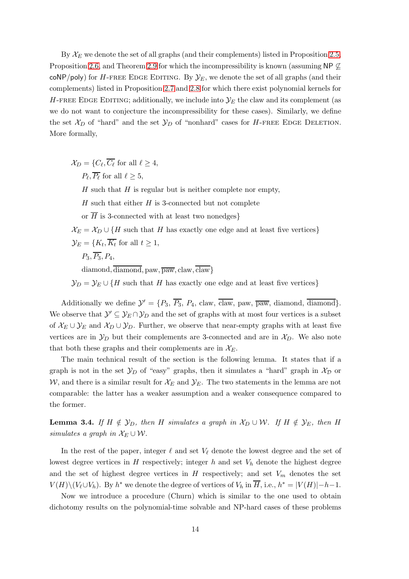By  $\mathcal{X}_E$  we denote the set of all graphs (and their complements) listed in Proposition [2.5,](#page-11-1) Proposition [2.6,](#page-11-4) and Theorem [2.9](#page-12-3) for which the incompressibility is known (assuming NP  $\not\subseteq$ coNP/poly) for H-FREE EDGE EDITING. By  $\mathcal{Y}_E$ , we denote the set of all graphs (and their complements) listed in Proposition [2.7](#page-11-3) and [2.8](#page-11-2) for which there exist polynomial kernels for H-FREE EDGE EDITING; additionally, we include into  $\mathcal{Y}_E$  the claw and its complement (as we do not want to conjecture the incompressibility for these cases). Similarly, we define the set  $\mathcal{X}_D$  of "hard" and the set  $\mathcal{Y}_D$  of "nonhard" cases for H-FREE EDGE DELETION. More formally,

 $\mathcal{X}_D = \{C_\ell, C_\ell \text{ for all } \ell \geq 4, \}$  $P_{\ell}, P_{\ell}$  for all  $\ell \geq 5$ ,  $H$  such that  $H$  is regular but is neither complete nor empty,  $H$  such that either  $H$  is 3-connected but not complete or  $\overline{H}$  is 3-connected with at least two nonedges}  $\mathcal{X}_E = \mathcal{X}_D \cup \{H \text{ such that } H \text{ has exactly one edge and at least five vertices}\}\$  $\mathcal{Y}_E = \{K_t, K_t \text{ for all } t \geq 1,$  $P_3, \overline{P_3}, P_4,$ 

 $diamond, \overline{diamond, paw, \overline{paw}}$ ,  $claw, \overline{claw}$ }

 $\mathcal{Y}_D = \mathcal{Y}_E \cup \{H \text{ such that } H \text{ has exactly one edge and at least five vertices}\}\$ 

Additionally we define  $\mathcal{Y}' = \{P_3, \overline{P_3}, P_4, \text{claw}, \overline{\text{claw}}, \text{paw}, \overline{\text{paw}}, \text{diamond}, \overline{\text{diamond}}, \overline{\text{diamond}}\}$ . We observe that  $\mathcal{Y}' \subseteq \mathcal{Y}_E \cap \mathcal{Y}_D$  and the set of graphs with at most four vertices is a subset of  $\mathcal{X}_E \cup \mathcal{Y}_E$  and  $\mathcal{X}_D \cup \mathcal{Y}_D$ . Further, we observe that near-empty graphs with at least five vertices are in  $\mathcal{Y}_D$  but their complements are 3-connected and are in  $\mathcal{X}_D$ . We also note that both these graphs and their complements are in  $\mathcal{X}_E$ .

The main technical result of the section is the following lemma. It states that if a graph is not in the set  $\mathcal{Y}_D$  of "easy" graphs, then it simulates a "hard" graph in  $\mathcal{X}_D$  or W, and there is a similar result for  $\mathcal{X}_E$  and  $\mathcal{Y}_E$ . The two statements in the lemma are not comparable: the latter has a weaker assumption and a weaker consequence compared to the former.

<span id="page-13-0"></span>**Lemma 3.4.** If  $H \notin \mathcal{Y}_D$ , then H simulates a graph in  $\mathcal{X}_D \cup \mathcal{W}$ . If  $H \notin \mathcal{Y}_E$ , then H simulates a graph in  $\mathcal{X}_E \cup \mathcal{W}$ .

In the rest of the paper, integer  $\ell$  and set  $V_{\ell}$  denote the lowest degree and the set of lowest degree vertices in  $H$  respectively; integer  $h$  and set  $V_h$  denote the highest degree and the set of highest degree vertices in  $H$  respectively; and set  $V_m$  denotes the set  $V(H)\setminus (V_{\ell}\cup V_h)$ . By  $h^*$  we denote the degree of vertices of  $V_h$  in  $\overline{H}$ , i.e.,  $h^* = |V(H)| - h - 1$ .

Now we introduce a procedure (Churn) which is similar to the one used to obtain dichotomy results on the polynomial-time solvable and NP-hard cases of these problems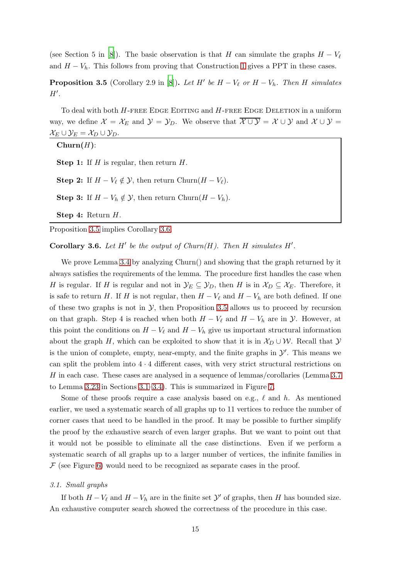(see Section 5 in [\[8](#page-55-0)]). The basic observation is that H can simulate the graphs  $H - V_{\ell}$ and  $H - V_h$ . This follows from proving that Construction [1](#page-10-3) gives a PPT in these cases.

<span id="page-14-0"></span>**Proposition 3.5** (Corollary 2.9 in [\[8](#page-55-0)]). Let H' be  $H - V_\ell$  or  $H - V_h$ . Then H simulates  $H^{\prime}$ .

To deal with both  $H$ -free Edge Editing and  $H$ -free Edge Deletion in a uniform way, we define  $\mathcal{X} = \mathcal{X}_E$  and  $\mathcal{Y} = \mathcal{Y}_D$ . We observe that  $\overline{\mathcal{X} \cup \mathcal{Y}} = \mathcal{X} \cup \mathcal{Y}$  and  $\mathcal{X} \cup \mathcal{Y} =$  $\mathcal{X}_E \cup \mathcal{Y}_E = \mathcal{X}_D \cup \mathcal{Y}_D.$ 

 $Churn(H)$ :

**Step 1:** If  $H$  is regular, then return  $H$ .

Step 2: If  $H - V_{\ell} \notin \mathcal{Y}$ , then return Churn $(H - V_{\ell})$ .

**Step 3:** If  $H - V_h \notin \mathcal{Y}$ , then return Churn $(H - V_h)$ .

Step 4: Return H.

Proposition [3.5](#page-14-0) implies Corollary [3.6.](#page-14-1)

<span id="page-14-1"></span>Corollary 3.6. Let  $H'$  be the output of Churn $(H)$ . Then  $H$  simulates  $H'$ .

We prove Lemma [3.4](#page-13-0) by analyzing Churn() and showing that the graph returned by it always satisfies the requirements of the lemma. The procedure first handles the case when H is regular. If H is regular and not in  $\mathcal{Y}_E \subseteq \mathcal{Y}_D$ , then H is in  $\mathcal{X}_D \subseteq \mathcal{X}_E$ . Therefore, it is safe to return H. If H is not regular, then  $H - V_\ell$  and  $H - V_h$  are both defined. If one of these two graphs is not in  $\mathcal{Y}$ , then Proposition [3.5](#page-14-0) allows us to proceed by recursion on that graph. Step 4 is reached when both  $H - V_{\ell}$  and  $H - V_h$  are in  $\mathcal{Y}$ . However, at this point the conditions on  $H - V_{\ell}$  and  $H - V_h$  give us important structural information about the graph H, which can be exploited to show that it is in  $\mathcal{X}_D \cup \mathcal{W}$ . Recall that  $\mathcal{Y}$ is the union of complete, empty, near-empty, and the finite graphs in  $\mathcal{Y}'$ . This means we can split the problem into  $4 \cdot 4$  different cases, with very strict structural restrictions on H in each case. These cases are analysed in a sequence of lemmas/corollaries (Lemma [3.7](#page-15-0) to Lemma [3.23](#page-22-0) in Sections [3.1](#page-14-2)[–3.4\)](#page-18-0). This is summarized in Figure [7.](#page-15-1)

Some of these proofs require a case analysis based on e.g.,  $\ell$  and  $h$ . As mentioned earlier, we used a systematic search of all graphs up to 11 vertices to reduce the number of corner cases that need to be handled in the proof. It may be possible to further simplify the proof by the exhaustive search of even larger graphs. But we want to point out that it would not be possible to eliminate all the case distinctions. Even if we perform a systematic search of all graphs up to a larger number of vertices, the infinite families in  $\mathcal F$  (see Figure [6\)](#page-9-1) would need to be recognized as separate cases in the proof.

## <span id="page-14-2"></span>3.1. Small graphs

If both  $H - V_{\ell}$  and  $H - V_h$  are in the finite set  $\mathcal{Y}'$  of graphs, then H has bounded size. An exhaustive computer search showed the correctness of the procedure in this case.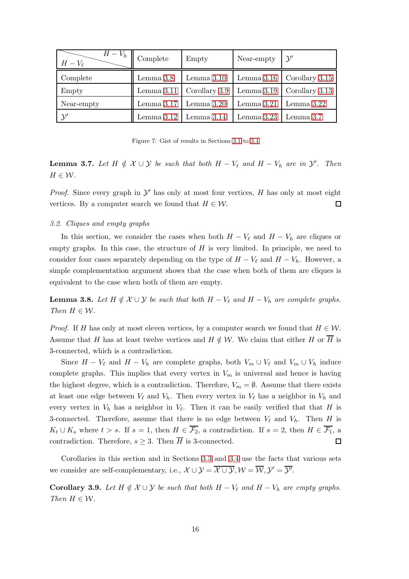<span id="page-15-1"></span>

| $H-V_h$<br>$H-V_{\ell}$ | Complete     | Empty         | Near-empty   | $\mathcal{Y}'$ |
|-------------------------|--------------|---------------|--------------|----------------|
| Complete                | Lemma 3.8    | Lemma $3.10$  | Lemma $3.16$ | Corollary 3.15 |
| Empty                   | Lemma $3.11$ | Corollary 3.9 | Lemma $3.19$ | Corollary 3.13 |
| Near-empty              | Lemma $3.17$ | Lemma $3.20$  | Lemma $3.21$ | Lemma 3.22     |
| $\mathcal{Y}'$          | Lemma $3.12$ | Lemma $3.14$  | Lemma $3.23$ | Lemma 3.7      |

Figure 7: Gist of results in Sections [3.1](#page-14-2) to [3.4](#page-18-0)

<span id="page-15-0"></span>**Lemma 3.7.** Let  $H \notin \mathcal{X} \cup \mathcal{Y}$  be such that both  $H - V_{\ell}$  and  $H - V_h$  are in  $\mathcal{Y}'$ . Then  $H \in \mathcal{W}$ .

*Proof.* Since every graph in  $\mathcal{Y}'$  has only at most four vertices, H has only at most eight vertices. By a computer search we found that  $H \in \mathcal{W}$ .  $\Box$ 

#### 3.2. Cliques and empty graphs

In this section, we consider the cases when both  $H - V_{\ell}$  and  $H - V_h$  are cliques or empty graphs. In this case, the structure of  $H$  is very limited. In principle, we need to consider four cases separately depending on the type of  $H - V_{\ell}$  and  $H - V_h$ . However, a simple complementation argument shows that the case when both of them are cliques is equivalent to the case when both of them are empty.

<span id="page-15-2"></span>**Lemma 3.8.** Let  $H \notin \mathcal{X} \cup \mathcal{Y}$  be such that both  $H - V_\ell$  and  $H - V_h$  are complete graphs. Then  $H \in \mathcal{W}$ .

*Proof.* If H has only at most eleven vertices, by a computer search we found that  $H \in \mathcal{W}$ . Assume that H has at least twelve vertices and  $H \notin \mathcal{W}$ . We claim that either H or  $\overline{H}$  is 3-connected, which is a contradiction.

Since  $H - V_{\ell}$  and  $H - V_h$  are complete graphs, both  $V_m \cup V_{\ell}$  and  $V_m \cup V_h$  induce complete graphs. This implies that every vertex in  $V_m$  is universal and hence is having the highest degree, which is a contradiction. Therefore,  $V_m = \emptyset$ . Assume that there exists at least one edge between  $V_{\ell}$  and  $V_h$ . Then every vertex in  $V_{\ell}$  has a neighbor in  $V_h$  and every vertex in  $V_h$  has a neighbor in  $V_{\ell}$ . Then it can be easily verified that that H is 3-connected. Therefore, assume that there is no edge between  $V_{\ell}$  and  $V_{h}$ . Then H is  $K_t \cup K_s$  where  $t > s$ . If  $s = 1$ , then  $H \in \overline{\mathcal{F}_2}$ , a contradiction. If  $s = 2$ , then  $H \in \overline{\mathcal{F}_1}$ , a contradiction. Therefore,  $s \geq 3$ . Then  $\overline{H}$  is 3-connected. 口

Corollaries in this section and in Sections [3.3](#page-16-2) and [3.4](#page-18-0) use the facts that various sets we consider are self-complementary, i.e.,  $\mathcal{X} \cup \mathcal{Y} = \overline{\mathcal{X} \cup \mathcal{Y}}, \mathcal{W} = \overline{\mathcal{W}}, \mathcal{Y}' = \overline{\mathcal{Y}'}.$ 

<span id="page-15-3"></span>Corollary 3.9. Let  $H \notin \mathcal{X} \cup \mathcal{Y}$  be such that both  $H - V_{\ell}$  and  $H - V_h$  are empty graphs. Then  $H \in \mathcal{W}$ .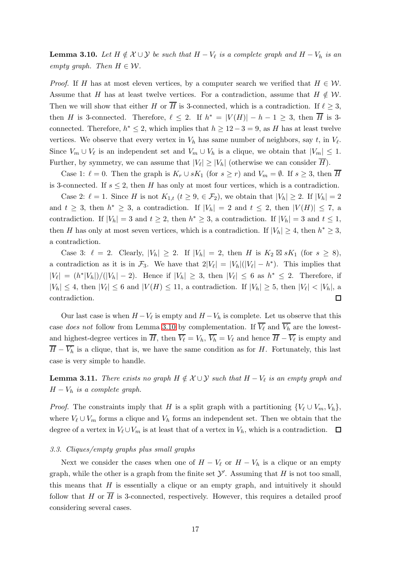<span id="page-16-0"></span>**Lemma 3.10.** Let  $H \notin \mathcal{X} \cup \mathcal{Y}$  be such that  $H - V_{\ell}$  is a complete graph and  $H - V_h$  is an empty graph. Then  $H \in \mathcal{W}$ .

*Proof.* If H has at most eleven vertices, by a computer search we verified that  $H \in \mathcal{W}$ . Assume that H has at least twelve vertices. For a contradiction, assume that  $H \notin W$ . Then we will show that either H or  $\overline{H}$  is 3-connected, which is a contradiction. If  $\ell > 3$ , then H is 3-connected. Therefore,  $\ell \leq 2$ . If  $h^* = |V(H)| - h - 1 \geq 3$ , then  $\overline{H}$  is 3connected. Therefore,  $h^* \leq 2$ , which implies that  $h \geq 12 - 3 = 9$ , as H has at least twelve vertices. We observe that every vertex in  $V_h$  has same number of neighbors, say t, in  $V_{\ell}$ . Since  $V_m \cup V_\ell$  is an independent set and  $V_m \cup V_h$  is a clique, we obtain that  $|V_m| \leq 1$ . Further, by symmetry, we can assume that  $|V_\ell| \ge |V_h|$  (otherwise we can consider H).

Case 1:  $\ell = 0$ . Then the graph is  $K_r \cup sK_1$  (for  $s \geq r$ ) and  $V_m = \emptyset$ . If  $s \geq 3$ , then  $\overline{H}$ is 3-connected. If  $s \leq 2$ , then H has only at most four vertices, which is a contradiction.

Case 2:  $\ell = 1$ . Since H is not  $K_{1,t}$   $(t \geq 9, \in \mathcal{F}_2)$ , we obtain that  $|V_h| \geq 2$ . If  $|V_h| = 2$ and  $t \geq 3$ , then  $h^* \geq 3$ , a contradiction. If  $|V_h| = 2$  and  $t \leq 2$ , then  $|V(H)| \leq 7$ , a contradiction. If  $|V_h| = 3$  and  $t \geq 2$ , then  $h^* \geq 3$ , a contradiction. If  $|V_h| = 3$  and  $t \leq 1$ , then H has only at most seven vertices, which is a contradiction. If  $|V_h| \geq 4$ , then  $h^* \geq 3$ , a contradiction.

Case 3:  $\ell = 2$ . Clearly,  $|V_h| \geq 2$ . If  $|V_h| = 2$ , then H is  $K_2 \boxtimes sK_1$  (for  $s \geq 8$ ), a contradiction as it is in  $\mathcal{F}_3$ . We have that  $2|V_\ell| = |V_h|(|V_\ell| - h^*)$ . This implies that  $|V_{\ell}| = (h^*|V_h|)/(|V_h| - 2)$ . Hence if  $|V_h| \geq 3$ , then  $|V_{\ell}| \leq 6$  as  $h^* \leq 2$ . Therefore, if  $|V_h| \leq 4$ , then  $|V_{\ell}| \leq 6$  and  $|V(H)| \leq 11$ , a contradiction. If  $|V_h| \geq 5$ , then  $|V_{\ell}| < |V_h|$ , a contradiction.  $\Box$ 

Our last case is when  $H - V_{\ell}$  is empty and  $H - V_h$  is complete. Let us observe that this case does not follow from Lemma [3.10](#page-16-0) by complementation. If  $\overline{V_{\ell}}$  and  $\overline{V_{h}}$  are the lowestand highest-degree vertices in H, then  $V_{\ell} = V_h$ ,  $V_h = V_{\ell}$  and hence  $H - V_{\ell}$  is empty and  $\overline{H} - \overline{V_h}$  is a clique, that is, we have the same condition as for H. Fortunately, this last case is very simple to handle.

<span id="page-16-1"></span>**Lemma 3.11.** There exists no graph  $H \notin \mathcal{X} \cup \mathcal{Y}$  such that  $H - V_{\ell}$  is an empty graph and  $H - V_h$  is a complete graph.

*Proof.* The constraints imply that H is a split graph with a partitioning  $\{V_\ell \cup V_m, V_h\}$ , where  $V_{\ell} \cup V_m$  forms a clique and  $V_h$  forms an independent set. Then we obtain that the degree of a vertex in  $V_{\ell} \cup V_m$  is at least that of a vertex in  $V_h$ , which is a contradiction.  $\Box$ 

#### <span id="page-16-2"></span>3.3. Cliques/empty graphs plus small graphs

Next we consider the cases when one of  $H - V_{\ell}$  or  $H - V_h$  is a clique or an empty graph, while the other is a graph from the finite set  $\mathcal{Y}'$ . Assuming that H is not too small, this means that  $H$  is essentially a clique or an empty graph, and intuitively it should follow that H or  $\overline{H}$  is 3-connected, respectively. However, this requires a detailed proof considering several cases.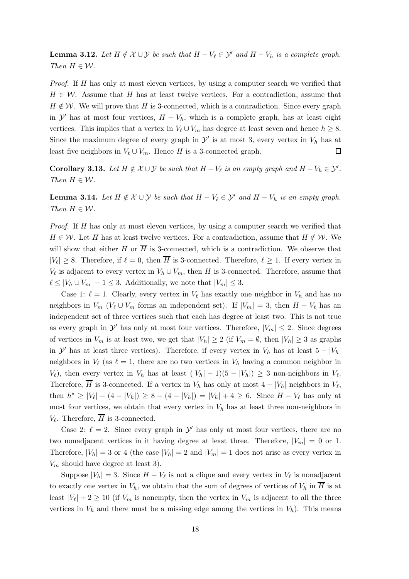<span id="page-17-1"></span>**Lemma 3.12.** Let  $H \notin \mathcal{X} \cup \mathcal{Y}$  be such that  $H - V_{\ell} \in \mathcal{Y}'$  and  $H - V_h$  is a complete graph. Then  $H \in \mathcal{W}$ .

Proof. If H has only at most eleven vertices, by using a computer search we verified that  $H \in \mathcal{W}$ . Assume that H has at least twelve vertices. For a contradiction, assume that  $H \notin \mathcal{W}$ . We will prove that H is 3-connected, which is a contradiction. Since every graph in  $\mathcal{Y}'$  has at most four vertices,  $H - V_h$ , which is a complete graph, has at least eight vertices. This implies that a vertex in  $V_{\ell} \cup V_m$  has degree at least seven and hence  $h \geq 8$ . Since the maximum degree of every graph in  $\mathcal{Y}'$  is at most 3, every vertex in  $V_h$  has at least five neighbors in  $V_{\ell} \cup V_m$ . Hence H is a 3-connected graph.  $\Box$ 

<span id="page-17-0"></span>**Corollary 3.13.** Let  $H \notin \mathcal{X} \cup \mathcal{Y}$  be such that  $H - V_{\ell}$  is an empty graph and  $H - V_h \in \mathcal{Y}'$ . Then  $H \in \mathcal{W}$ .

<span id="page-17-2"></span>**Lemma 3.14.** Let  $H \notin \mathcal{X} \cup \mathcal{Y}$  be such that  $H - V_{\ell} \in \mathcal{Y}'$  and  $H - V_h$  is an empty graph. Then  $H \in \mathcal{W}$ .

Proof. If H has only at most eleven vertices, by using a computer search we verified that  $H \in \mathcal{W}$ . Let H has at least twelve vertices. For a contradiction, assume that  $H \notin \mathcal{W}$ . We will show that either H or  $\overline{H}$  is 3-connected, which is a contradiction. We observe that  $|V_{\ell}| \geq 8$ . Therefore, if  $\ell = 0$ , then H is 3-connected. Therefore,  $\ell \geq 1$ . If every vertex in  $V_{\ell}$  is adjacent to every vertex in  $V_h \cup V_m$ , then H is 3-connected. Therefore, assume that  $\ell \leq |V_h \cup V_m| - 1 \leq 3$ . Additionally, we note that  $|V_m| \leq 3$ .

Case 1:  $\ell = 1$ . Clearly, every vertex in  $V_{\ell}$  has exactly one neighbor in  $V_h$  and has no neighbors in  $V_m$  ( $V_\ell \cup V_m$  forms an independent set). If  $|V_m| = 3$ , then  $H - V_\ell$  has an independent set of three vertices such that each has degree at least two. This is not true as every graph in  $\mathcal{Y}'$  has only at most four vertices. Therefore,  $|V_m| \leq 2$ . Since degrees of vertices in  $V_m$  is at least two, we get that  $|V_h| \geq 2$  (if  $V_m = \emptyset$ , then  $|V_h| \geq 3$  as graphs in  $\mathcal{Y}'$  has at least three vertices). Therefore, if every vertex in  $V_h$  has at least  $5 - |V_h|$ neighbors in  $V_{\ell}$  (as  $\ell = 1$ , there are no two vertices in  $V_h$  having a common neighbor in  $V_{\ell}$ ), then every vertex in  $V_h$  has at least  $(|V_h| - 1)(5 - |V_h|) \geq 3$  non-neighbors in  $V_{\ell}$ . Therefore, H is 3-connected. If a vertex in  $V_h$  has only at most  $4 - |V_h|$  neighbors in  $V_{\ell}$ , then  $h^* \ge |V_\ell| - (4 - |V_h|) \ge 8 - (4 - |V_h|) = |V_h| + 4 \ge 6$ . Since  $H - V_\ell$  has only at most four vertices, we obtain that every vertex in  $V<sub>h</sub>$  has at least three non-neighbors in  $V_{\ell}$ . Therefore, H is 3-connected.

Case 2:  $\ell = 2$ . Since every graph in  $\mathcal{Y}'$  has only at most four vertices, there are no two nonadjacent vertices in it having degree at least three. Therefore,  $|V_m| = 0$  or 1. Therefore,  $|V_h| = 3$  or 4 (the case  $|V_h| = 2$  and  $|V_m| = 1$  does not arise as every vertex in  $V_m$  should have degree at least 3).

Suppose  $|V_h| = 3$ . Since  $H - V_{\ell}$  is not a clique and every vertex in  $V_{\ell}$  is nonadjacent to exactly one vertex in  $V_h$ , we obtain that the sum of degrees of vertices of  $V_h$  in  $\overline{H}$  is at least  $|V_\ell| + 2 \geq 10$  (if  $V_m$  is nonempty, then the vertex in  $V_m$  is adjacent to all the three vertices in  $V_h$  and there must be a missing edge among the vertices in  $V_h$ ). This means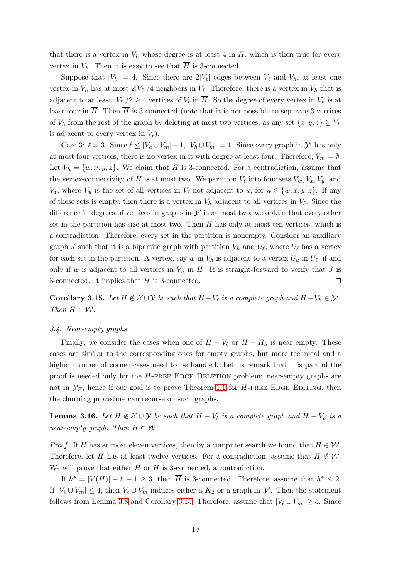that there is a vertex in  $V_h$  whose degree is at least 4 in  $\overline{H}$ , which is then true for every vertex in  $V_h$ . Then it is easy to see that  $\overline{H}$  is 3-connected.

Suppose that  $|V_h| = 4$ . Since there are  $2|V_{\ell}|$  edges between  $V_{\ell}$  and  $V_h$ , at least one vertex in  $V_h$  has at most  $2|V_{\ell}|/4$  neighbors in  $V_{\ell}$ . Therefore, there is a vertex in  $V_h$  that is adjacent to at least  $|V_{\ell}|/2 \geq 4$  vertices of  $V_{\ell}$  in H. So the degree of every vertex in  $V_h$  is at least four in  $\overline{H}$ . Then  $\overline{H}$  is 3-connected (note that it is not possible to separate 3 vertices of  $V_h$  from the rest of the graph by deleting at most two vertices, as any set  $\{x, y, z\} \subseteq V_h$ is adjacent to every vertex in  $V_{\ell}$ ).

Case 3:  $\ell = 3$ . Since  $\ell \le |V_h \cup V_m| - 1$ ,  $|V_h \cup V_m| = 4$ . Since every graph in  $\mathcal{Y}'$  has only at most four vertices, there is no vertex in it with degree at least four. Therefore,  $V_m = \emptyset$ . Let  $V_h = \{w, x, y, z\}$ . We claim that H is 3-connected. For a contradiction, assume that the vertex-connectivity of H is at most two. We partition  $V_{\ell}$  into four sets  $V_w, V_x, V_y$ , and  $V_z$ , where  $V_u$  is the set of all vertices in  $V_\ell$  not adjacent to  $u$ , for  $u \in \{w, x, y, z\}$ . If any of these sets is empty, then there is a vertex in  $V<sub>h</sub>$  adjacent to all vertices in  $V<sub>l</sub>$ . Since the difference in degrees of vertices in graphs in  $\mathcal{Y}'$  is at most two, we obtain that every other set in the partition has size at most two. Then  $H$  has only at most ten vertices, which is a contradiction. Therefore, every set in the partition is nonempty. Consider an auxiliary graph J such that it is a bipartite graph with partition  $V_h$  and  $U_{\ell}$ , where  $U_{\ell}$  has a vertex for each set in the partition. A vertex, say w in  $V_h$  is adjacent to a vertex  $U_u$  in  $U_\ell$ , if and only if w is adjacent to all vertices in  $V_u$  in H. It is straight-forward to verify that J is 3-connected. It implies that H is 3-connected.  $\Box$ 

<span id="page-18-2"></span>**Corollary 3.15.** Let  $H \notin \mathcal{X} \cup \mathcal{Y}$  be such that  $H - V_{\ell}$  is a complete graph and  $H - V_h \in \mathcal{Y}'$ . Then  $H \in \mathcal{W}$ .

#### <span id="page-18-0"></span>3.4. Near-empty graphs

Finally, we consider the cases when one of  $H - V_{\ell}$  or  $H - H_h$  is near empty. These cases are similar to the corresponding ones for empty graphs, but more technical and a higher number of corner cases need to be handled. Let us remark that this part of the proof is needed only for the H-free Edge Deletion problem: near-empty graphs are not in  $\mathcal{Y}_E$ , hence if our goal is to prove Theorem [1.1](#page-2-1) for H-FREE EDGE EDITING, then the churning procedure can recurse on such graphs.

<span id="page-18-1"></span>**Lemma 3.16.** Let  $H \notin \mathcal{X} \cup \mathcal{Y}$  be such that  $H - V_{\ell}$  is a complete graph and  $H - V_h$  is a near-empty graph. Then  $H \in \mathcal{W}$ .

*Proof.* If H has at most eleven vertices, then by a computer search we found that  $H \in \mathcal{W}$ . Therefore, let H has at least twelve vertices. For a contradiction, assume that  $H \notin W$ . We will prove that either H or  $\overline{H}$  is 3-connected, a contradiction.

If  $h^* = |V(H)| - h - 1 \geq 3$ , then  $\overline{H}$  is 3-connected. Therefore, assume that  $h^* \leq 2$ . If  $|V_{\ell} \cup V_m| \leq 4$ , then  $V_{\ell} \cup V_m$  induces either a  $K_2$  or a graph in  $\mathcal{Y}'$ . Then the statement follows from Lemma [3.8](#page-15-2) and Corollary [3.15.](#page-18-2) Therefore, assume that  $|V_{\ell} \cup V_m| \geq 5$ . Since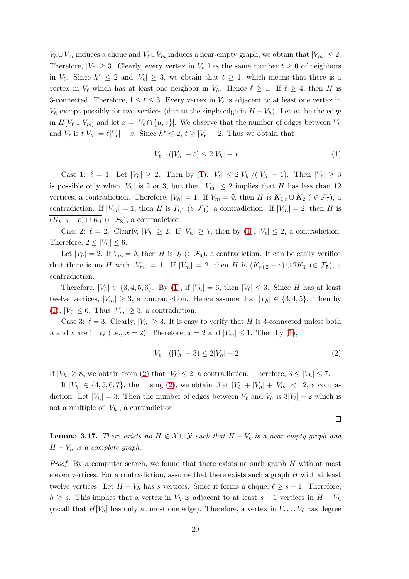$V_h \cup V_m$  induces a clique and  $V_\ell \cup V_m$  induces a near-empty graph, we obtain that  $|V_m| \leq 2$ . Therefore,  $|V_{\ell}| \geq 3$ . Clearly, every vertex in  $V_h$  has the same number  $t \geq 0$  of neighbors in  $V_{\ell}$ . Since  $h^* \leq 2$  and  $|V_{\ell}| \geq 3$ , we obtain that  $t \geq 1$ , which means that there is a vertex in  $V_{\ell}$  which has at least one neighbor in  $V_h$ . Hence  $\ell \geq 1$ . If  $\ell \geq 4$ , then H is 3-connected. Therefore,  $1 \leq \ell \leq 3$ . Every vertex in  $V_{\ell}$  is adjacent to at least one vertex in  $V_h$  except possibly for two vertices (due to the single edge in  $H - V_h$ ). Let uv be the edge in  $H[V_\ell \cup V_m]$  and let  $x = |V_\ell \cap \{u, v\}|$ . We observe that the number of edges between  $V_h$ and  $V_{\ell}$  is  $t|V_h| = \ell|V_{\ell}| - x$ . Since  $h^* \leq 2$ ,  $t \geq |V_{\ell}| - 2$ . Thus we obtain that

<span id="page-19-1"></span>
$$
|V_{\ell}| \cdot (|V_h| - \ell) \le 2|V_h| - x \tag{1}
$$

Case 1:  $\ell = 1$ . Let  $|V_h| \geq 2$ . Then by  $(1)$ ,  $|V_{\ell}| \leq 2|V_h|/(|V_h| - 1)$ . Then  $|V_{\ell}| \geq 3$ is possible only when  $|V_h|$  is 2 or 3, but then  $|V_m| \leq 2$  implies that H has less than 12 vertices, a contradiction. Therefore,  $|V_h| = 1$ . If  $V_m = \emptyset$ , then H is  $K_{1,t} \cup K_2$  ( ∈  $\mathcal{F}_7$ ), a contradiction. If  $|V_m| = 1$ , then H is  $T_{t,1}$  ( $\in \mathcal{F}_4$ ), a contradiction. If  $|V_m| = 2$ , then H is  $(K_{t+2}-e) \cup K_1 \in \mathcal{F}_8$ , a contradiction.

Case 2:  $\ell = 2$ . Clearly,  $|V_h| \geq 2$ . If  $|V_h| \geq 7$ , then by  $(1)$ ,  $|V_{\ell}| \leq 2$ , a contradiction. Therefore,  $2 \leq |V_h| \leq 6$ .

Let  $|V_h| = 2$ . If  $V_m = \emptyset$ , then H is  $J_t \in \mathcal{F}_9$ , a contradiction. It can be easily verified that there is no H with  $|V_m| = 1$ . If  $|V_m| = 2$ , then H is  $(K_{t+2}-e) \cup 2K_1 \in \mathcal{F}_5$ , a contradiction.

Therefore,  $|V_h| \in \{3, 4, 5, 6\}$ . By [\(1\)](#page-19-1), if  $|V_h| = 6$ , then  $|V_{\ell}| \leq 3$ . Since H has at least twelve vertices,  $|V_m| \geq 3$ , a contradiction. Hence assume that  $|V_h| \in \{3, 4, 5\}$ . Then by  $(1), |V_{\ell}| \leq 6.$  $(1), |V_{\ell}| \leq 6.$  Thus  $|V_m| \geq 3$ , a contradiction.

Case 3:  $\ell = 3$ . Clearly,  $|V_h| \geq 3$ . It is easy to verify that H is 3-connected unless both u and v are in  $V_{\ell}$  (i.e.,  $x = 2$ ). Therefore,  $x = 2$  and  $|V_m| \leq 1$ . Then by [\(1\)](#page-19-1),

$$
|V_{\ell}| \cdot (|V_h| - 3) \le 2|V_h| - 2 \tag{2}
$$

If  $|V_h| \geq 8$ , we obtain from [\(2\)](#page-19-2) that  $|V_{\ell}| \leq 2$ , a contradiction. Therefore,  $3 \leq |V_h| \leq 7$ .

If  $|V_h| \in \{4, 5, 6, 7\}$ , then using [\(2\)](#page-19-2), we obtain that  $|V_{\ell}| + |V_h| + |V_m| < 12$ , a contradiction. Let  $|V_h| = 3$ . Then the number of edges between  $V_{\ell}$  and  $V_h$  is  $3|V_{\ell}| - 2$  which is not a multiple of  $|V_h|$ , a contradiction.

<span id="page-19-2"></span> $\Box$ 

<span id="page-19-0"></span>**Lemma 3.17.** There exists no  $H \notin \mathcal{X} \cup \mathcal{Y}$  such that  $H - V_{\ell}$  is a near-empty graph and  $H - V_h$  is a complete graph.

*Proof.* By a computer search, we found that there exists no such graph  $H$  with at most eleven vertices. For a contradiction, assume that there exists such a graph  $H$  with at least twelve vertices. Let  $H - V_h$  has s vertices. Since it forms a clique,  $\ell \geq s - 1$ . Therefore,  $h \geq s$ . This implies that a vertex in  $V_h$  is adjacent to at least  $s - 1$  vertices in  $H - V_h$ (recall that  $H[V_h]$  has only at most one edge). Therefore, a vertex in  $V_m \cup V_\ell$  has degree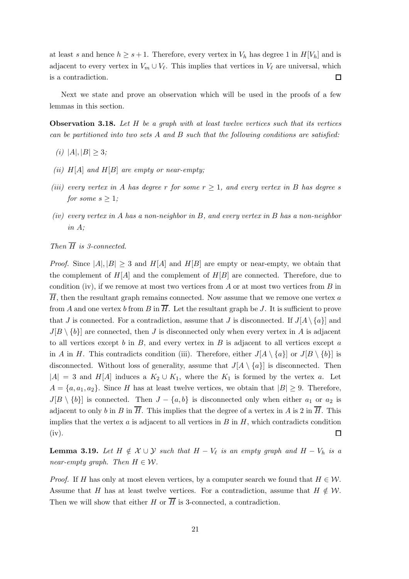at least s and hence  $h \geq s+1$ . Therefore, every vertex in  $V_h$  has degree 1 in  $H[V_h]$  and is adjacent to every vertex in  $V_m \cup V_\ell$ . This implies that vertices in  $V_\ell$  are universal, which is a contradiction.  $\Box$ 

Next we state and prove an observation which will be used in the proofs of a few lemmas in this section.

<span id="page-20-1"></span>**Observation 3.18.** Let  $H$  be a graph with at least twelve vertices such that its vertices can be partitioned into two sets  $A$  and  $B$  such that the following conditions are satisfied:

- (i)  $|A|, |B| \geq 3;$
- (ii)  $H[A]$  and  $H[B]$  are empty or near-empty;
- (iii) every vertex in A has degree r for some  $r \geq 1$ , and every vertex in B has degree s for some  $s \geq 1$ ;
- $(iv)$  every vertex in A has a non-neighbor in B, and every vertex in B has a non-neighbor in A;

# Then  $\overline{H}$  is 3-connected.

*Proof.* Since  $|A|, |B| \geq 3$  and  $H[A]$  and  $H[B]$  are empty or near-empty, we obtain that the complement of  $H[A]$  and the complement of  $H[B]$  are connected. Therefore, due to condition (iv), if we remove at most two vertices from A or at most two vertices from B in  $\overline{H}$ , then the resultant graph remains connected. Now assume that we remove one vertex a from A and one vertex b from B in  $\overline{H}$ . Let the resultant graph be J. It is sufficient to prove that J is connected. For a contradiction, assume that J is disconnected. If  $J[A \setminus \{a\}]$  and  $J[B \setminus \{b\}]$  are connected, then J is disconnected only when every vertex in A is adjacent to all vertices except b in  $B$ , and every vertex in  $B$  is adjacent to all vertices except  $a$ in A in H. This contradicts condition (iii). Therefore, either  $J[A \setminus \{a\}]$  or  $J[B \setminus \{b\}]$  is disconnected. Without loss of generality, assume that  $J[A \setminus \{a\}]$  is disconnected. Then  $|A| = 3$  and  $H[A]$  induces a  $K_2 \cup K_1$ , where the  $K_1$  is formed by the vertex a. Let  $A = \{a, a_1, a_2\}$ . Since H has at least twelve vertices, we obtain that  $|B| \geq 9$ . Therefore,  $J[B \setminus \{b\}]$  is connected. Then  $J - \{a, b\}$  is disconnected only when either  $a_1$  or  $a_2$  is adjacent to only b in B in  $\overline{H}$ . This implies that the degree of a vertex in A is 2 in  $\overline{H}$ . This implies that the vertex  $a$  is adjacent to all vertices in  $B$  in  $H$ , which contradicts condition (iv).  $\Box$ 

<span id="page-20-0"></span>**Lemma 3.19.** Let  $H \notin \mathcal{X} \cup \mathcal{Y}$  such that  $H - V_\ell$  is an empty graph and  $H - V_h$  is a near-empty graph. Then  $H \in \mathcal{W}$ .

*Proof.* If H has only at most eleven vertices, by a computer search we found that  $H \in \mathcal{W}$ . Assume that H has at least twelve vertices. For a contradiction, assume that  $H \notin W$ . Then we will show that either H or  $\overline{H}$  is 3-connected, a contradiction.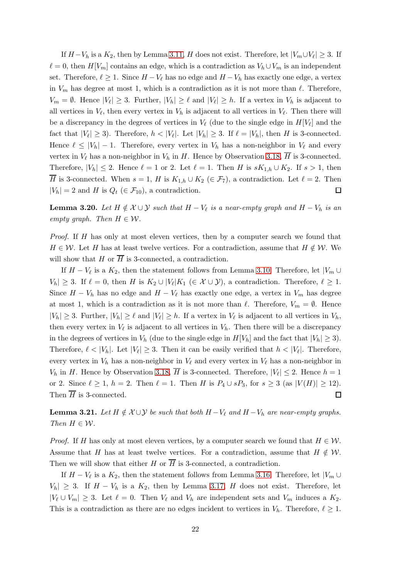If  $H-V_h$  is a  $K_2$ , then by Lemma [3.11,](#page-16-1) H does not exist. Therefore, let  $|V_m \cup V_\ell| \geq 3$ . If  $\ell = 0$ , then  $H[V_m]$  contains an edge, which is a contradiction as  $V_h \cup V_m$  is an independent set. Therefore,  $\ell \geq 1$ . Since  $H - V_{\ell}$  has no edge and  $H - V_h$  has exactly one edge, a vertex in  $V_m$  has degree at most 1, which is a contradiction as it is not more than  $\ell$ . Therefore,  $V_m = \emptyset$ . Hence  $|V_{\ell}| \geq 3$ . Further,  $|V_h| \geq \ell$  and  $|V_{\ell}| \geq h$ . If a vertex in  $V_h$  is adjacent to all vertices in  $V_{\ell}$ , then every vertex in  $V_h$  is adjacent to all vertices in  $V_{\ell}$ . Then there will be a discrepancy in the degrees of vertices in  $V_{\ell}$  (due to the single edge in  $H[V_{\ell}]$  and the fact that  $|V_{\ell}| \geq 3$ ). Therefore,  $h < |V_{\ell}|$ . Let  $|V_h| \geq 3$ . If  $\ell = |V_h|$ , then H is 3-connected. Hence  $\ell \leq |V_h| - 1$ . Therefore, every vertex in  $V_h$  has a non-neighbor in  $V_\ell$  and every vertex in  $V_{\ell}$  has a non-neighbor in  $V_h$  in H. Hence by Observation [3.18,](#page-20-1)  $\overline{H}$  is 3-connected. Therefore,  $|V_h| \leq 2$ . Hence  $\ell = 1$  or 2. Let  $\ell = 1$ . Then H is  $sK_{1,h} \cup K_2$ . If  $s > 1$ , then  $\overline{H}$  is 3-connected. When  $s = 1$ , H is  $K_{1,h} \cup K_2 \in \mathcal{F}_7$ , a contradiction. Let  $\ell = 2$ . Then  $|V_h| = 2$  and H is  $Q_t$  ( $\in \mathcal{F}_{10}$ ), a contradiction. 囗

<span id="page-21-0"></span>**Lemma 3.20.** Let  $H \notin \mathcal{X} \cup \mathcal{Y}$  such that  $H - V_\ell$  is a near-empty graph and  $H - V_h$  is an empty graph. Then  $H \in \mathcal{W}$ .

Proof. If H has only at most eleven vertices, then by a computer search we found that  $H \in \mathcal{W}$ . Let H has at least twelve vertices. For a contradiction, assume that  $H \notin \mathcal{W}$ . We will show that H or  $\overline{H}$  is 3-connected, a contradiction.

If  $H - V_{\ell}$  is a  $K_2$ , then the statement follows from Lemma [3.10.](#page-16-0) Therefore, let  $|V_m \cup$  $|V_h| \geq 3$ . If  $\ell = 0$ , then H is  $K_2 \cup |V_{\ell}| K_1 \in \mathcal{X} \cup \mathcal{Y}$ , a contradiction. Therefore,  $\ell \geq 1$ . Since  $H - V_h$  has no edge and  $H - V_\ell$  has exactly one edge, a vertex in  $V_m$  has degree at most 1, which is a contradiction as it is not more than  $\ell$ . Therefore,  $V_m = \emptyset$ . Hence  $|V_h| \geq 3$ . Further,  $|V_h| \geq \ell$  and  $|V_{\ell}| \geq h$ . If a vertex in  $V_{\ell}$  is adjacent to all vertices in  $V_h$ , then every vertex in  $V_{\ell}$  is adjacent to all vertices in  $V_h$ . Then there will be a discrepancy in the degrees of vertices in  $V_h$  (due to the single edge in  $H[V_h]$  and the fact that  $|V_h| \geq 3$ ). Therefore,  $\ell < |V_h|$ . Let  $|V_{\ell}| \geq 3$ . Then it can be easily verified that  $h < |V_{\ell}|$ . Therefore, every vertex in  $V_h$  has a non-neighbor in  $V_\ell$  and every vertex in  $V_\ell$  has a non-neighbor in  $V_h$  in H. Hence by Observation [3.18,](#page-20-1) H is 3-connected. Therefore,  $|V_{\ell}| \leq 2$ . Hence  $h = 1$ or 2. Since  $\ell \geq 1$ ,  $h = 2$ . Then  $\ell = 1$ . Then H is  $P_4 \cup sP_3$ , for  $s \geq 3$  (as  $|V(H)| \geq 12$ ). Then  $\overline{H}$  is 3-connected.  $\Box$ 

<span id="page-21-1"></span>**Lemma 3.21.** Let  $H \notin \mathcal{X} \cup \mathcal{Y}$  be such that both  $H - V_\ell$  and  $H - V_h$  are near-empty graphs. Then  $H \in \mathcal{W}$ .

*Proof.* If H has only at most eleven vertices, by a computer search we found that  $H \in \mathcal{W}$ . Assume that H has at least twelve vertices. For a contradiction, assume that  $H \notin W$ . Then we will show that either H or  $\overline{H}$  is 3-connected, a contradiction.

If  $H - V_{\ell}$  is a  $K_2$ , then the statement follows from Lemma [3.16.](#page-18-1) Therefore, let  $|V_m \cup$  $|V_h| \geq 3$ . If  $H - V_h$  is a  $K_2$ , then by Lemma [3.17,](#page-19-0) H does not exist. Therefore, let  $|V_{\ell} \cup V_m| \geq 3$ . Let  $\ell = 0$ . Then  $V_{\ell}$  and  $V_h$  are independent sets and  $V_m$  induces a  $K_2$ . This is a contradiction as there are no edges incident to vertices in  $V_h$ . Therefore,  $\ell \geq 1$ .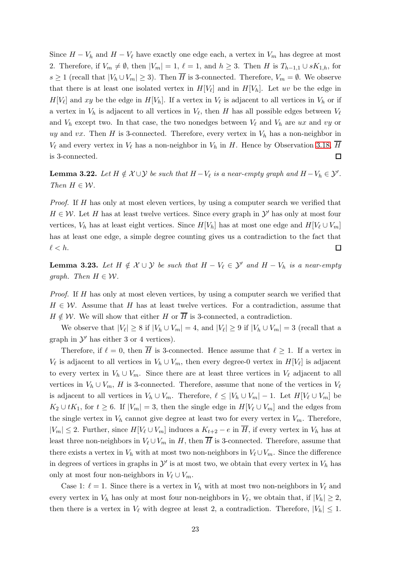Since  $H - V_h$  and  $H - V_\ell$  have exactly one edge each, a vertex in  $V_m$  has degree at most 2. Therefore, if  $V_m \neq \emptyset$ , then  $|V_m| = 1$ ,  $\ell = 1$ , and  $h \geq 3$ . Then H is  $T_{h-1,1} \cup sK_{1,h}$ , for s  $\geq 1$  (recall that  $|V_h \cup V_m| \geq 3$ ). Then H is 3-connected. Therefore,  $V_m = \emptyset$ . We observe that there is at least one isolated vertex in  $H[V_{\ell}]$  and in  $H[V_{h}]$ . Let uv be the edge in  $H[V_{\ell}]$  and xy be the edge in  $H[V_h]$ . If a vertex in  $V_{\ell}$  is adjacent to all vertices in  $V_h$  or if a vertex in  $V_h$  is adjacent to all vertices in  $V_{\ell}$ , then H has all possible edges between  $V_{\ell}$ and  $V_h$  except two. In that case, the two nonedges between  $V_\ell$  and  $V_h$  are ux and vy or uy and vx. Then H is 3-connected. Therefore, every vertex in  $V<sub>h</sub>$  has a non-neighbor in  $V_{\ell}$  and every vertex in  $V_{\ell}$  has a non-neighbor in  $V_h$  in H. Hence by Observation [3.18,](#page-20-1) H is 3-connected.  $\Box$ 

<span id="page-22-1"></span>**Lemma 3.22.** Let  $H \notin \mathcal{X} \cup \mathcal{Y}$  be such that  $H - V_{\ell}$  is a near-empty graph and  $H - V_h \in \mathcal{Y}'$ . Then  $H \in \mathcal{W}$ .

Proof. If H has only at most eleven vertices, by using a computer search we verified that  $H \in \mathcal{W}$ . Let H has at least twelve vertices. Since every graph in  $\mathcal{Y}'$  has only at most four vertices,  $V_h$  has at least eight vertices. Since  $H[V_h]$  has at most one edge and  $H[V_l \cup V_m]$ has at least one edge, a simple degree counting gives us a contradiction to the fact that  $\ell < h$ .  $\Box$ 

<span id="page-22-0"></span>**Lemma 3.23.** Let  $H \notin \mathcal{X} \cup \mathcal{Y}$  be such that  $H - V_{\ell} \in \mathcal{Y}'$  and  $H - V_h$  is a near-empty graph. Then  $H \in \mathcal{W}$ .

Proof. If H has only at most eleven vertices, by using a computer search we verified that  $H \in \mathcal{W}$ . Assume that H has at least twelve vertices. For a contradiction, assume that  $H \notin \mathcal{W}$ . We will show that either H or  $\overline{H}$  is 3-connected, a contradiction.

We observe that  $|V_\ell| \geq 8$  if  $|V_h \cup V_m| = 4$ , and  $|V_\ell| \geq 9$  if  $|V_h \cup V_m| = 3$  (recall that a graph in  $\mathcal{Y}'$  has either 3 or 4 vertices).

Therefore, if  $\ell = 0$ , then  $\overline{H}$  is 3-connected. Hence assume that  $\ell \geq 1$ . If a vertex in  $V_{\ell}$  is adjacent to all vertices in  $V_h \cup V_m$ , then every degree-0 vertex in  $H[V_{\ell}]$  is adjacent to every vertex in  $V_h \cup V_m$ . Since there are at least three vertices in  $V_\ell$  adjacent to all vertices in  $V_h \cup V_m$ , H is 3-connected. Therefore, assume that none of the vertices in  $V_\ell$ is adjacent to all vertices in  $V_h \cup V_m$ . Therefore,  $\ell \leq |V_h \cup V_m| - 1$ . Let  $H[V_\ell \cup V_m]$  be  $K_2 \cup tK_1$ , for  $t \geq 6$ . If  $|V_m| = 3$ , then the single edge in  $H[V_\ell \cup V_m]$  and the edges from the single vertex in  $V_h$  cannot give degree at least two for every vertex in  $V_m$ . Therefore,  $|V_m| \leq 2$ . Further, since  $H[V_\ell \cup V_m]$  induces a  $K_{t+2} - e$  in  $\overline{H}$ , if every vertex in  $V_h$  has at least three non-neighbors in  $V_{\ell} \cup V_m$  in H, then  $\overline{H}$  is 3-connected. Therefore, assume that there exists a vertex in  $V_h$  with at most two non-neighbors in  $V_{\ell} \cup V_m$ . Since the difference in degrees of vertices in graphs in  $\mathcal{Y}'$  is at most two, we obtain that every vertex in  $V_h$  has only at most four non-neighbors in  $V_{\ell} \cup V_m$ .

Case 1:  $\ell = 1$ . Since there is a vertex in  $V_h$  with at most two non-neighbors in  $V_\ell$  and every vertex in  $V_h$  has only at most four non-neighbors in  $V_{\ell}$ , we obtain that, if  $|V_h| \geq 2$ , then there is a vertex in  $V_{\ell}$  with degree at least 2, a contradiction. Therefore,  $|V_h| \leq 1$ .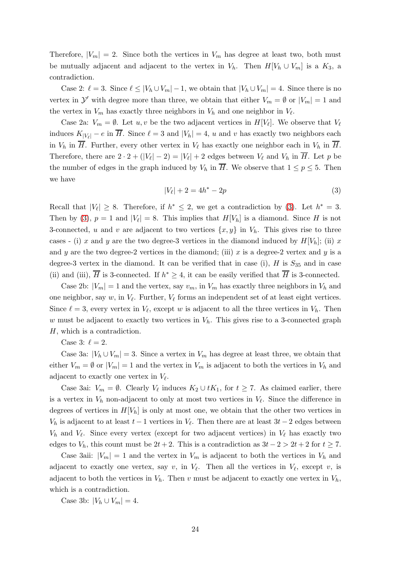Therefore,  $|V_m| = 2$ . Since both the vertices in  $V_m$  has degree at least two, both must be mutually adjacent and adjacent to the vertex in  $V_h$ . Then  $H[V_h \cup V_m]$  is a  $K_3$ , a contradiction.

Case 2:  $\ell = 3$ . Since  $\ell \leq |V_h \cup V_m| - 1$ , we obtain that  $|V_h \cup V_m| = 4$ . Since there is no vertex in  $\mathcal{Y}'$  with degree more than three, we obtain that either  $V_m = \emptyset$  or  $|V_m| = 1$  and the vertex in  $V_m$  has exactly three neighbors in  $V_h$  and one neighbor in  $V_{\ell}$ .

Case 2a:  $V_m = \emptyset$ . Let  $u, v$  be the two adjacent vertices in  $H[V_\ell]$ . We observe that  $V_\ell$ induces  $K_{|V_{\ell}|} - e$  in  $\overline{H}$ . Since  $\ell = 3$  and  $|V_h| = 4$ , u and v has exactly two neighbors each in  $V_h$  in  $\overline{H}$ . Further, every other vertex in  $V_\ell$  has exactly one neighbor each in  $V_h$  in  $\overline{H}$ . Therefore, there are  $2 \cdot 2 + (|V_{\ell}| - 2) = |V_{\ell}| + 2$  edges between  $V_{\ell}$  and  $V_h$  in H. Let p be the number of edges in the graph induced by  $V_h$  in  $\overline{H}$ . We observe that  $1 \le p \le 5$ . Then we have

$$
|V_{\ell}| + 2 = 4h^* - 2p \tag{3}
$$

<span id="page-23-0"></span>Recall that  $|V_{\ell}| \geq 8$ . Therefore, if  $h^* \leq 2$ , we get a contradiction by [\(3\)](#page-23-0). Let  $h^* = 3$ . Then by [\(3\)](#page-23-0),  $p = 1$  and  $|V_{\ell}| = 8$ . This implies that  $H[V_h]$  is a diamond. Since H is not 3-connected, u and v are adjacent to two vertices  $\{x, y\}$  in  $V_h$ . This gives rise to three cases - (i) x and y are the two degree-3 vertices in the diamond induced by  $H[V_h]$ ; (ii) x and y are the two degree-2 vertices in the diamond; (iii) x is a degree-2 vertex and y is a degree-3 vertex in the diamond. It can be verified that in case (i),  $H$  is  $S_{35}$  and in case (ii) and (iii),  $\overline{H}$  is 3-connected. If  $h^* \geq 4$ , it can be easily verified that  $\overline{H}$  is 3-connected.

Case 2b:  $|V_m| = 1$  and the vertex, say  $v_m$ , in  $V_m$  has exactly three neighbors in  $V_h$  and one neighbor, say  $w$ , in  $V_{\ell}$ . Further,  $V_{\ell}$  forms an independent set of at least eight vertices. Since  $\ell = 3$ , every vertex in  $V_{\ell}$ , except w is adjacent to all the three vertices in  $V_h$ . Then w must be adjacent to exactly two vertices in  $V<sub>h</sub>$ . This gives rise to a 3-connected graph H, which is a contradiction.

Case 3:  $\ell = 2$ .

Case 3a:  $|V_h \cup V_m| = 3$ . Since a vertex in  $V_m$  has degree at least three, we obtain that either  $V_m = \emptyset$  or  $|V_m| = 1$  and the vertex in  $V_m$  is adjacent to both the vertices in  $V_h$  and adjacent to exactly one vertex in  $V_{\ell}$ .

Case 3ai:  $V_m = \emptyset$ . Clearly  $V_\ell$  induces  $K_2 \cup tK_1$ , for  $t \geq 7$ . As claimed earlier, there is a vertex in  $V<sub>h</sub>$  non-adjacent to only at most two vertices in  $V<sub>l</sub>$ . Since the difference in degrees of vertices in  $H[V_h]$  is only at most one, we obtain that the other two vertices in  $V_h$  is adjacent to at least  $t-1$  vertices in  $V_{\ell}$ . Then there are at least  $3t-2$  edges between  $V_h$  and  $V_\ell$ . Since every vertex (except for two adjacent vertices) in  $V_\ell$  has exactly two edges to  $V_h$ , this count must be  $2t + 2$ . This is a contradiction as  $3t - 2 > 2t + 2$  for  $t \ge 7$ .

Case 3aii:  $|V_m| = 1$  and the vertex in  $V_m$  is adjacent to both the vertices in  $V_h$  and adjacent to exactly one vertex, say v, in  $V_{\ell}$ . Then all the vertices in  $V_{\ell}$ , except v, is adjacent to both the vertices in  $V_h$ . Then v must be adjacent to exactly one vertex in  $V_h$ , which is a contradiction.

Case 3b:  $|V_h \cup V_m| = 4$ .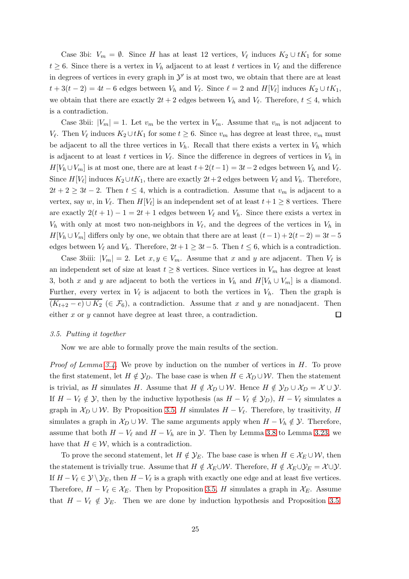Case 3bi:  $V_m = \emptyset$ . Since H has at least 12 vertices,  $V_{\ell}$  induces  $K_2 \cup tK_1$  for some  $t \geq 6$ . Since there is a vertex in  $V_h$  adjacent to at least t vertices in  $V_\ell$  and the difference in degrees of vertices in every graph in  $\mathcal{Y}'$  is at most two, we obtain that there are at least  $t + 3(t - 2) = 4t - 6$  edges between  $V_h$  and  $V_{\ell}$ . Since  $\ell = 2$  and  $H[V_{\ell}]$  induces  $K_2 \cup tK_1$ , we obtain that there are exactly  $2t + 2$  edges between  $V_h$  and  $V_{\ell}$ . Therefore,  $t \leq 4$ , which is a contradiction.

Case 3bii:  $|V_m| = 1$ . Let  $v_m$  be the vertex in  $V_m$ . Assume that  $v_m$  is not adjacent to  $V_{\ell}$ . Then  $V_{\ell}$  induces  $K_2 \cup tK_1$  for some  $t \geq 6$ . Since  $v_m$  has degree at least three,  $v_m$  must be adjacent to all the three vertices in  $V_h$ . Recall that there exists a vertex in  $V_h$  which is adjacent to at least t vertices in  $V_{\ell}$ . Since the difference in degrees of vertices in  $V_h$  in  $H[V_h \cup V_m]$  is at most one, there are at least  $t + 2(t-1) = 3t-2$  edges between  $V_h$  and  $V_{\ell}$ . Since  $H[V_{\ell}]$  induces  $K_2 \cup tK_1$ , there are exactly  $2t+2$  edges between  $V_{\ell}$  and  $V_h$ . Therefore,  $2t + 2 \geq 3t - 2$ . Then  $t \leq 4$ , which is a contradiction. Assume that  $v_m$  is adjacent to a vertex, say w, in  $V_{\ell}$ . Then  $H[V_{\ell}]$  is an independent set of at least  $t+1 \geq 8$  vertices. There are exactly  $2(t + 1) - 1 = 2t + 1$  edges between  $V_{\ell}$  and  $V_{h}$ . Since there exists a vertex in  $V_h$  with only at most two non-neighbors in  $V_{\ell}$ , and the degrees of the vertices in  $V_h$  in  $H[V_h \cup V_m]$  differs only by one, we obtain that there are at least  $(t-1) + 2(t-2) = 3t - 5$ edges between  $V_{\ell}$  and  $V_h$ . Therefore,  $2t+1 \geq 3t-5$ . Then  $t \leq 6$ , which is a contradiction.

Case 3biii:  $|V_m| = 2$ . Let  $x, y \in V_m$ . Assume that x and y are adjacent. Then  $V_\ell$  is an independent set of size at least  $t \geq 8$  vertices. Since vertices in  $V_m$  has degree at least 3, both x and y are adjacent to both the vertices in  $V_h$  and  $H[V_h \cup V_m]$  is a diamond. Further, every vertex in  $V_{\ell}$  is adjacent to both the vertices in  $V_h$ . Then the graph is  $(K_{t+2}-e) \cup K_2 \in \mathcal{F}_6$ , a contradiction. Assume that x and y are nonadjacent. Then either  $x$  or  $y$  cannot have degree at least three, a contradiction.  $\Box$ 

#### 3.5. Putting it together

Now we are able to formally prove the main results of the section.

*Proof of Lemma [3.4.](#page-13-0)* We prove by induction on the number of vertices in  $H$ . To prove the first statement, let  $H \notin \mathcal{Y}_D$ . The base case is when  $H \in \mathcal{X}_D \cup \mathcal{W}$ . Then the statement is trivial, as H simulates H. Assume that  $H \notin \mathcal{X}_D \cup \mathcal{W}$ . Hence  $H \notin \mathcal{Y}_D \cup \mathcal{X}_D = \mathcal{X} \cup \mathcal{Y}$ . If  $H - V_{\ell} \notin \mathcal{Y}$ , then by the inductive hypothesis (as  $H - V_{\ell} \notin \mathcal{Y}_D$ ),  $H - V_{\ell}$  simulates a graph in  $\mathcal{X}_D \cup \mathcal{W}$ . By Proposition [3.5,](#page-14-0) H simulates  $H - V_{\ell}$ . Therefore, by trasitivity, H simulates a graph in  $\mathcal{X}_D \cup \mathcal{W}$ . The same arguments apply when  $H - V_h \notin \mathcal{Y}$ . Therefore, assume that both  $H - V_{\ell}$  and  $H - V_h$  are in  $\mathcal{Y}$ . Then by Lemma [3.8](#page-15-2) to Lemma [3.23,](#page-22-0) we have that  $H \in \mathcal{W}$ , which is a contradiction.

To prove the second statement, let  $H \notin \mathcal{Y}_E$ . The base case is when  $H \in \mathcal{X}_E \cup \mathcal{W}$ , then the statement is trivially true. Assume that  $H \notin \mathcal{X}_E \cup \mathcal{W}$ . Therefore,  $H \notin \mathcal{X}_E \cup \mathcal{Y}_E = \mathcal{X} \cup \mathcal{Y}$ . If  $H - V_{\ell} \in \mathcal{Y} \setminus \mathcal{Y}_E$ , then  $H - V_{\ell}$  is a graph with exactly one edge and at least five vertices. Therefore,  $H - V_{\ell} \in \mathcal{X}_E$ . Then by Proposition [3.5,](#page-14-0) H simulates a graph in  $\mathcal{X}_E$ . Assume that  $H - V_{\ell} \notin \mathcal{Y}_E$ . Then we are done by induction hypothesis and Proposition [3.5.](#page-14-0)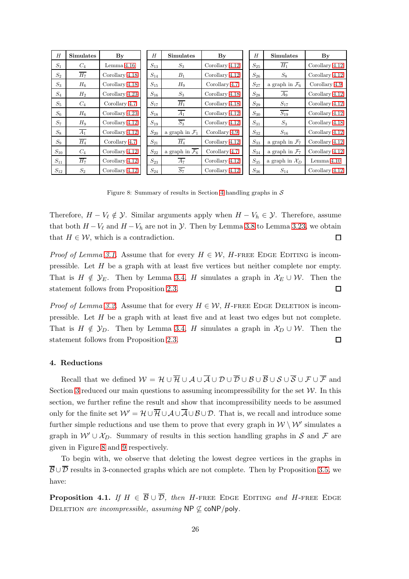<span id="page-25-1"></span>

| H        | Simulates        | $\mathbf{B}\mathbf{y}$ | H        | <b>Simulates</b>                      | By             | H        | <b>Simulates</b>           | $\mathbf{B}\mathbf{y}$ |
|----------|------------------|------------------------|----------|---------------------------------------|----------------|----------|----------------------------|------------------------|
| $S_1$    | $C_4$            | Lemma 4.16             | $S_{13}$ | $S_3$                                 | Corollary 4.12 | $S_{25}$ | $\overline{H_1}$           | Corollary 4.12         |
| $S_2$    | $\overline{H_7}$ | Corollary 4.18         | $S_{14}$ | $B_1$                                 | Corollary 4.12 | $S_{26}$ | $S_8$                      | Corollary 4.12         |
| $S_3$    | $H_6$            | Corollary 4.18         | $S_{15}$ | $H_9$                                 | Corollary 4.7  | $S_{27}$ | a graph in $\mathcal{F}_6$ | Corollary 4.9          |
| $S_4$    | $H_2$            | Corollary 4.23         | $S_{16}$ | $S_3$                                 | Corollary 4.18 | $S_{28}$ | $A_9$                      | Corollary 4.12         |
| $S_5$    | $C_4$            | Corollary 4.7          | $S_{17}$ | $H_1$                                 | Corollary 4.18 | $S_{29}$ | $S_{17}$                   | Corollary 4.12         |
| $S_6$    | $H_6$            | Corollary 4.23         | $S_{18}$ | $\overline{A_1}$                      | Corollary 4.12 | $S_{30}$ | $S_{19}$                   | Corollary 4.12         |
| $S_7$    | $H_9$            | Corollary 4.12         | $S_{19}$ | $S_3$                                 | Corollary 4.12 | $S_{31}$ | $S_3$                      | Corollary 4.18         |
| $S_8$    | $\overline{A_1}$ | Corollary 4.12         | $S_{20}$ | a graph in $\mathcal{F}_1$            | Corollary 4.9  | $S_{32}$ | $S_{16}$                   | Corollary 4.12         |
| $S_9$    | $H_4$            | Corollary 4.7          | $S_{21}$ | $H_4$                                 | Corollary 4.12 | $S_{33}$ | a graph in $\mathcal{F}_7$ | Corollary 4.12         |
| $S_{10}$ | $C_4$            | Corollary 4.12         | $S_{22}$ | a graph in $\overline{\mathcal{F}_6}$ | Corollary 4.7  | $S_{34}$ | a graph in $\mathcal{F}_7$ | Corollary 4.12         |
| $S_{11}$ | $\overline{H_7}$ | Corollary 4.12         | $S_{23}$ | $\overline{A_7}$                      | Corollary 4.12 | $S_{35}$ | a graph in $\mathcal{X}_D$ | Lemma $4.10$           |
| $S_{12}$ | $S_2$            | Corollary 4.12         | $S_{24}$ | $\overline{S_7}$                      | Corollary 4.12 | $S_{36}$ | $S_{14}$                   | Corollary 4.12         |

Figure 8: Summary of results in Section [4](#page-25-0) handling graphs in  $S$ 

Therefore,  $H - V_{\ell} \notin \mathcal{Y}$ . Similar arguments apply when  $H - V_h \in \mathcal{Y}$ . Therefore, assume that both  $H - V_\ell$  and  $H - V_h$  are not in  $\mathcal Y$ . Then by Lemma [3.8](#page-15-2) to Lemma [3.23,](#page-22-0) we obtain that  $H \in \mathcal{W}$ , which is a contradiction.  $\Box$ 

*Proof of Lemma [3.1.](#page-12-4)* Assume that for every  $H \in \mathcal{W}$ , H-FREE EDGE EDITING is incompressible. Let  $H$  be a graph with at least five vertices but neither complete nor empty. That is  $H \notin \mathcal{Y}_E$ . Then by Lemma [3.4,](#page-13-0) H simulates a graph in  $\mathcal{X}_E \cup \mathcal{W}$ . Then the statement follows from Proposition [2.3.](#page-10-2)  $\Box$ 

*Proof of Lemma [3.2.](#page-12-2)* Assume that for every  $H \in \mathcal{W}$ , H-FREE EDGE DELETION is incompressible. Let H be a graph with at least five and at least two edges but not complete. That is  $H \notin \mathcal{Y}_D$ . Then by Lemma [3.4,](#page-13-0) H simulates a graph in  $\mathcal{X}_D \cup \mathcal{W}$ . Then the statement follows from Proposition [2.3.](#page-10-2) □

#### <span id="page-25-0"></span>4. Reductions

Recall that we defined  $W = \mathcal{H} \cup \overline{\mathcal{H}} \cup \mathcal{A} \cup \overline{\mathcal{A}} \cup \mathcal{D} \cup \overline{\mathcal{D}} \cup \mathcal{B} \cup \overline{\mathcal{B}} \cup \mathcal{S} \cup \overline{\mathcal{S}} \cup \mathcal{F} \cup \overline{\mathcal{F}}$  and Section [3](#page-12-0) reduced our main questions to assuming incompressibility for the set  $W$ . In this section, we further refine the result and show that incompressibility needs to be assumed only for the finite set  $W' = \mathcal{H} \cup \overline{\mathcal{H}} \cup \mathcal{A} \cup \overline{\mathcal{A}} \cup \mathcal{B} \cup \mathcal{D}$ . That is, we recall and introduce some further simple reductions and use them to prove that every graph in  $W \setminus W'$  simulates a graph in  $W' \cup \mathcal{X}_D$ . Summary of results in this section handling graphs in S and F are given in Figure [8](#page-25-1) and [9](#page-26-0) respectively.

To begin with, we observe that deleting the lowest degree vertices in the graphs in  $\overline{\mathcal{B}} \cup \overline{\mathcal{D}}$  results in 3-connected graphs which are not complete. Then by Proposition [3.5,](#page-14-0) we have:

<span id="page-25-2"></span>**Proposition 4.1.** If  $H \in \overline{\mathcal{B}} \cup \overline{\mathcal{D}}$ , then H-FREE EDGE EDITING and H-FREE EDGE DELETION are incompressible, assuming NP  $\nsubseteq$  coNP/poly.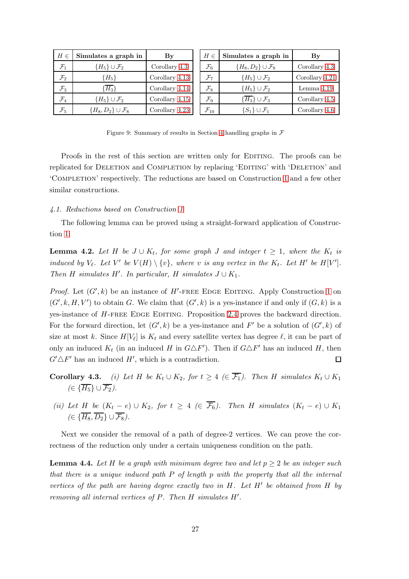<span id="page-26-0"></span>

| $H \in$         | Simulates a graph in              | $\mathbf{B}\mathbf{y}$ | $H \in$            | Simulates a graph in                  | $\mathbf{By}$  |
|-----------------|-----------------------------------|------------------------|--------------------|---------------------------------------|----------------|
| $\mathcal{F}_1$ | $\{H_5\} \cup \mathcal{F}_2$      | Corollary 4.3          | $\mathcal{F}_6$    | ${H_8, D_2} \cup \mathcal{F}_8$       | Corollary 4.3  |
| $\mathcal{F}_2$ | ${H_5}$                           | Corollary 4.13         | $\mathcal{F}_{7}$  | ${H_5}\cup F_2$                       | Corollary 4.21 |
| $\mathcal{F}_3$ | $\{\overline{H_3}\}$              | Corollary 4.14         | $\mathcal{F}_8$    | ${H_5}\cup F_2$                       | Lemma $4.19$   |
| $\mathcal{F}_4$ | ${H_5}\cup F_2$                   | Corollary 4.15         | $\mathcal{F}_9$    | $\{\overline{H_3}\}\cup\mathcal{F}_3$ | Corollary 4.5  |
| $\mathcal{F}_5$ | $\{H_8, D_2\} \cup \mathcal{F}_8$ | Corollary 4.23         | $\mathcal{F}_{10}$ | $\{S_1\} \cup \mathcal{F}_1$          | Corollary 4.6  |

Figure 9: Summary of results in Section [4](#page-25-0) handling graphs in  $\mathcal F$ 

Proofs in the rest of this section are written only for EDITING. The proofs can be replicated for DELETION and COMPLETION by replacing 'EDITING' with 'DELETION' and 'Completion' respectively. The reductions are based on Construction [1](#page-10-3) and a few other similar constructions.

#### 4.1. Reductions based on Construction [1](#page-10-3)

The following lemma can be proved using a straight-forward application of Construction [1.](#page-10-3)

**Lemma 4.2.** Let H be  $J \cup K_t$ , for some graph J and integer  $t \geq 1$ , where the  $K_t$  is induced by  $V_{\ell}$ . Let  $V'$  be  $V(H) \setminus \{v\}$ , where v is any vertex in the  $K_{t}$ . Let  $H'$  be  $H[V']$ . Then H simulates H'. In particular, H simulates  $J \cup K_1$ .

*Proof.* Let  $(G', k)$  be an instance of  $H'$ -FREE EDGE EDITING. Apply Construction [1](#page-10-3) on  $(G', k, H, V')$  to obtain G. We claim that  $(G', k)$  is a yes-instance if and only if  $(G, k)$  is a yes-instance of H-FREE EDGE EDITING. Proposition [2.4](#page-11-0) proves the backward direction. For the forward direction, let  $(G', k)$  be a yes-instance and  $F'$  be a solution of  $(G', k)$  of size at most k. Since  $H[V_{\ell}]$  is  $K_t$  and every satellite vertex has degree  $\ell$ , it can be part of only an induced  $K_t$  (in an induced H in  $G \triangle F'$ ). Then if  $G \triangle F'$  has an induced H, then  $G' \Delta F'$  has an induced  $H'$ , which is a contradiction.  $\Box$ 

- **Corollary 4.3.** (i) Let H be  $K_t \cup K_2$ , for  $t \geq 4$  ( $\in \overline{\mathcal{F}_1}$ ). Then H simulates  $K_t \cup K_1$  $(\in \{\overline{H_5}\}\cup \overline{\mathcal{F}_2}).$
- (ii) Let H be  $(K_t e) \cup K_2$ , for  $t \geq 4 \ (\in \overline{\mathcal{F}_6})$ . Then H simulates  $(K_t e) \cup K_1$  $(\in \{\overline{H_8}, \overline{D_2}\} \cup \overline{\mathcal{F}_8}).$

Next we consider the removal of a path of degree-2 vertices. We can prove the correctness of the reduction only under a certain uniqueness condition on the path.

**Lemma 4.4.** Let H be a graph with minimum degree two and let  $p \geq 2$  be an integer such that there is a unique induced path P of length p with the property that all the internal vertices of the path are having degree exactly two in  $H$ . Let  $H'$  be obtained from  $H$  by removing all internal vertices of P. Then H simulates H′ .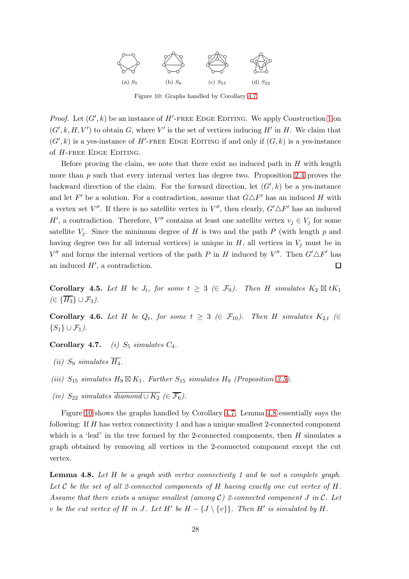<span id="page-27-2"></span>

Figure 10: Graphs handled by Corollary 4.7

*Proof.* Let  $(G', k)$  be an instance of  $H'$ -FREE EDGE EDITING. We apply Construction [1](#page-10-3) on  $(G', k, H, V')$  to obtain G, where V' is the set of vertices inducing H' in H. We claim that  $(G', k)$  is a yes-instance of H'-FREE EDGE EDITING if and only if  $(G, k)$  is a yes-instance of  $H$ -free Edge Editing.

Before proving the claim, we note that there exist no induced path in  $H$  with length more than  $p$  such that every internal vertex has degree two. Proposition [2.4](#page-11-0) proves the backward direction of the claim. For the forward direction, let  $(G', k)$  be a yes-instance and let F' be a solution. For a contradiction, assume that  $G \triangle F'$  has an induced H with a vertex set V''. If there is no satellite vertex in  $V''$ , then clearly,  $G' \triangle F'$  has an induced H', a contradiction. Therefore,  $V''$  contains at least one satellite vertex  $v_j \in V_j$  for some satellite  $V_i$ . Since the minimum degree of H is two and the path P (with length p and having degree two for all internal vertices) is unique in  $H$ , all vertices in  $V_i$  must be in  $V''$  and forms the internal vertices of the path P in H induced by  $V''$ . Then  $G' \Delta F'$  has an induced  $H'$ , a contradiction.  $\Box$ 

<span id="page-27-0"></span>**Corollary 4.5.** Let H be  $J_t$ , for some  $t \geq 3$  ( $\in \mathcal{F}_9$ ). Then H simulates  $K_2 \boxtimes tK_1$  $(\in {\overline{H_3}} \cup \mathcal{F}_3).$ 

<span id="page-27-1"></span>**Corollary 4.6.** Let H be  $Q_t$ , for some  $t \geq 3$  ( $\in \mathcal{F}_{10}$ ). Then H simulates  $K_{2,t}$  ( $\in$  $\{S_1\} \cup \mathcal{F}_1$ ).

Corollary 4.7. (i)  $S_5$  simulates  $C_4$ .

- (*ii*) S<sub>9</sub> simulates  $\overline{H_4}$ .
- (iii)  $S_{15}$  simulates  $H_9 \boxtimes K_1$ . Further  $S_{15}$  simulates  $H_9$  (Proposition [3.5\)](#page-14-0).
- (iv)  $S_{22}$  simulates  $\overline{diamond} \, \overline{P_6}$ ).

Figure [10](#page-27-2) shows the graphs handled by Corollary 4.7. Lemma [4.8](#page-27-3) essentially says the following: If H has vertex connectivity 1 and has a unique smallest 2-connected component which is a 'leaf' in the tree formed by the 2-connected components, then  $H$  simulates a graph obtained by removing all vertices in the 2-connected component except the cut vertex.

<span id="page-27-3"></span>**Lemma 4.8.** Let  $H$  be a graph with vertex connectivity 1 and be not a complete graph. Let C be the set of all 2-connected components of H having exactly one cut vertex of H. Assume that there exists a unique smallest (among  $C$ ) 2-connected component J in C. Let v be the cut vertex of H in J. Let H' be  $H - \{J \setminus \{v\}\}\$ . Then H' is simulated by H.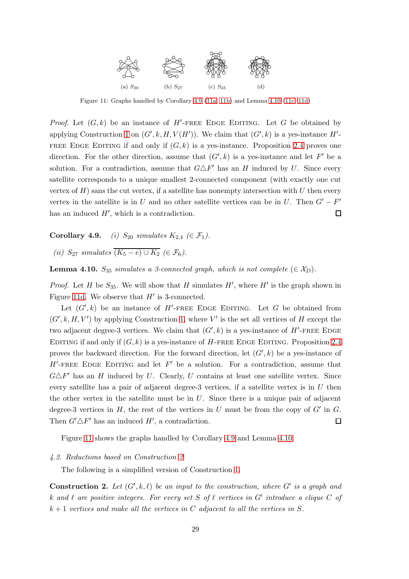<span id="page-28-1"></span>

Figure 11: Graphs handled by Corollary 4.9 [\(11a, 11b\)](#page-28-1) and Lemma [4.10](#page-28-0) [\(11c, 11d\)](#page-28-1)

*Proof.* Let  $(G, k)$  be an instance of  $H'$ -FREE EDGE EDITING. Let G be obtained by applying Construction [1](#page-10-3) on  $(G', k, H, V(H'))$ . We claim that  $(G', k)$  is a yes-instance  $H'$ -FREE EDGE EDITING if and only if  $(G, k)$  is a yes-instance. Proposition [2.4](#page-11-0) proves one direction. For the other direction, assume that  $(G', k)$  is a yes-instance and let F' be a solution. For a contradiction, assume that  $G \triangle F'$  has an H induced by U. Since every satellite corresponds to a unique smallest 2-connected component (with exactly one cut vertex of  $H$ ) sans the cut vertex, if a satellite has nonempty intersection with U then every vertex in the satellite is in U and no other satellite vertices can be in U. Then  $G' - F'$ has an induced  $H'$ , which is a contradiction.  $\Box$ 

Corollary 4.9. (i)  $S_{20}$  simulates  $K_{2,4}$  ( $\in \mathcal{F}_1$ ).

(ii)  $S_{27}$  simulates  $(K_5 - e) \cup K_2$  ( $\in \mathcal{F}_6$ ).

<span id="page-28-0"></span>**Lemma 4.10.**  $S_{35}$  simulates a 3-connected graph, which is not complete ( $\in \mathcal{X}_D$ ).

*Proof.* Let H be  $S_{35}$ . We will show that H simulates H', where H' is the graph shown in Figure [11d.](#page-28-1) We observe that  $H'$  is 3-connected.

Let  $(G', k)$  be an instance of  $H'$ -FREE EDGE EDITING. Let G be obtained from  $(G', k, H, V')$  by applying Construction [1,](#page-10-3) where V' is the set all vertices of H except the two adjacent degree-3 vertices. We claim that  $(G', k)$  is a yes-instance of  $H'$ -FREE EDGE EDITING if and only if  $(G, k)$  is a yes-instance of H-FREE EDGE EDITING. Proposition [2.4](#page-11-0) proves the backward direction. For the forward direction, let  $(G', k)$  be a yes-instance of  $H'$ -FREE EDGE EDITING and let  $F'$  be a solution. For a contradiction, assume that  $G \triangle F'$  has an H induced by U. Clearly, U contains at least one satellite vertex. Since every satellite has a pair of adjacent degree-3 vertices, if a satellite vertex is in  $U$  then the other vertex in the satellite must be in  $U$ . Since there is a unique pair of adjacent degree-3 vertices in  $H$ , the rest of the vertices in  $U$  must be from the copy of  $G'$  in  $G$ . Then  $G' \triangle F'$  has an induced  $H'$ , a contradiction.  $\Box$ 

Figure [11](#page-28-1) shows the graphs handled by Corollary 4.9 and Lemma [4.10.](#page-28-0)

#### 4.2. Reductions based on Construction [2](#page-28-2)

The following is a simplified version of Construction [1.](#page-10-3)

<span id="page-28-2"></span>**Construction 2.** Let  $(G', k, \ell)$  be an input to the construction, where  $G'$  is a graph and k and  $\ell$  are positive integers. For every set S of  $\ell$  vertices in  $G'$  introduce a clique C of  $k+1$  vertices and make all the vertices in C adjacent to all the vertices in S.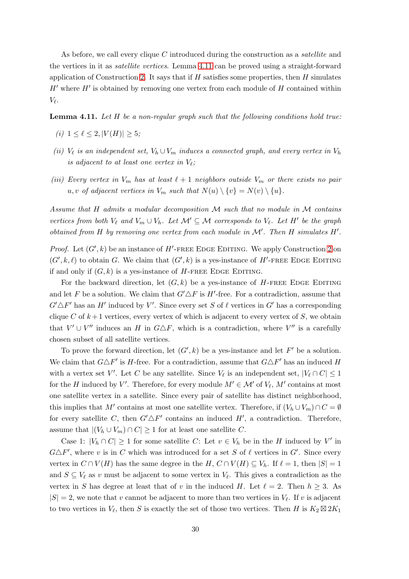As before, we call every clique C introduced during the construction as a *satellite* and the vertices in it as satellite vertices. Lemma [4.11](#page-29-0) can be proved using a straight-forward application of Construction [2.](#page-28-2) It says that if  $H$  satisfies some properties, then  $H$  simulates  $H'$  where  $H'$  is obtained by removing one vertex from each module of  $H$  contained within  $V_{\ell}$ .

<span id="page-29-0"></span>**Lemma 4.11.** Let  $H$  be a non-regular graph such that the following conditions hold true:

- (i)  $1 \leq \ell \leq 2, |V(H)| \geq 5;$
- (ii)  $V_{\ell}$  is an independent set,  $V_h \cup V_m$  induces a connected graph, and every vertex in  $V_h$ is adjacent to at least one vertex in  $V_{\ell}$ ;
- (iii) Every vertex in  $V_m$  has at least  $\ell+1$  neighbors outside  $V_m$  or there exists no pair u, v of adjacent vertices in  $V_m$  such that  $N(u) \setminus \{v\} = N(v) \setminus \{u\}.$

Assume that H admits a modular decomposition M such that no module in M contains vertices from both  $V_{\ell}$  and  $V_m \cup V_h$ . Let  $\mathcal{M}' \subseteq \mathcal{M}$  corresponds to  $V_{\ell}$ . Let  $H'$  be the graph obtained from  $H$  by removing one vertex from each module in  $\mathcal{M}'$ . Then  $H$  simulates  $H'$ .

*Proof.* Let  $(G', k)$  be an instance of  $H'$ -FREE EDGE EDITING. We apply Construction [2](#page-28-2) on  $(G', k, \ell)$  to obtain G. We claim that  $(G', k)$  is a yes-instance of H'-FREE EDGE EDITING if and only if  $(G, k)$  is a yes-instance of H-FREE EDGE EDITING.

For the backward direction, let  $(G, k)$  be a yes-instance of H-FREE EDGE EDITING and let F be a solution. We claim that  $G' \Delta F$  is H'-free. For a contradiction, assume that  $G' \Delta F'$  has an H' induced by V'. Since every set S of  $\ell$  vertices in G' has a corresponding clique C of  $k+1$  vertices, every vertex of which is adjacent to every vertex of S, we obtain that  $V' \cup V''$  induces an H in  $G \triangle F$ , which is a contradiction, where  $V''$  is a carefully chosen subset of all satellite vertices.

To prove the forward direction, let  $(G', k)$  be a yes-instance and let  $F'$  be a solution. We claim that  $G \triangle F'$  is H-free. For a contradiction, assume that  $G \triangle F'$  has an induced H with a vertex set V'. Let C be any satellite. Since  $V_{\ell}$  is an independent set,  $|V_{\ell} \cap C| \leq 1$ for the H induced by V'. Therefore, for every module  $M' \in \mathcal{M}'$  of  $V_{\ell}$ ,  $M'$  contains at most one satellite vertex in a satellite. Since every pair of satellite has distinct neighborhood, this implies that M' contains at most one satellite vertex. Therefore, if  $(V_h \cup V_m) \cap C = \emptyset$ for every satellite C, then  $G' \Delta F'$  contains an induced H', a contradiction. Therefore, assume that  $|(V_h \cup V_m) \cap C| \ge 1$  for at least one satellite C.

Case 1:  $|V_h \cap C| \ge 1$  for some satellite C: Let  $v \in V_h$  be in the H induced by V' in  $G \triangle F'$ , where v is in C which was introduced for a set S of  $\ell$  vertices in  $G'$ . Since every vertex in  $C \cap V(H)$  has the same degree in the H,  $C \cap V(H) \subseteq V_h$ . If  $\ell = 1$ , then  $|S| = 1$ and  $S \subseteq V_\ell$  as v must be adjacent to some vertex in  $V_\ell$ . This gives a contradiction as the vertex in S has degree at least that of v in the induced H. Let  $\ell = 2$ . Then  $h \geq 3$ . As  $|S| = 2$ , we note that v cannot be adjacent to more than two vertices in  $V_{\ell}$ . If v is adjacent to two vertices in  $V_{\ell}$ , then S is exactly the set of those two vertices. Then H is  $K_2 \boxtimes 2K_1$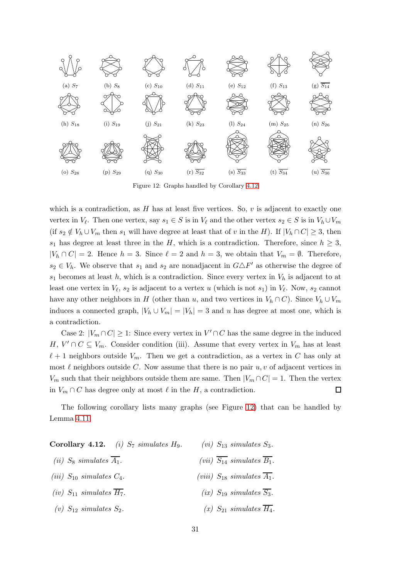<span id="page-30-0"></span>

Figure 12: Graphs handled by Corollary 4.12

which is a contradiction, as  $H$  has at least five vertices. So,  $v$  is adjacent to exactly one vertex in  $V_{\ell}$ . Then one vertex, say  $s_1 \in S$  is in  $V_{\ell}$  and the other vertex  $s_2 \in S$  is in  $V_h \cup V_m$ (if  $s_2 \notin V_h \cup V_m$  then  $s_1$  will have degree at least that of v in the H). If  $|V_h \cap C| \geq 3$ , then s<sub>1</sub> has degree at least three in the H, which is a contradiction. Therefore, since  $h \geq 3$ ,  $|V_h \cap C| = 2$ . Hence  $h = 3$ . Since  $\ell = 2$  and  $h = 3$ , we obtain that  $V_m = \emptyset$ . Therefore,  $s_2 \in V_h$ . We observe that  $s_1$  and  $s_2$  are nonadjacent in  $G \triangle F'$  as otherwise the degree of  $s_1$  becomes at least h, which is a contradiction. Since every vertex in  $V_h$  is adjacent to at least one vertex in  $V_{\ell}$ ,  $s_2$  is adjacent to a vertex u (which is not  $s_1$ ) in  $V_{\ell}$ . Now,  $s_2$  cannot have any other neighbors in H (other than u, and two vertices in  $V_h \cap C$ ). Since  $V_h \cup V_m$ induces a connected graph,  $|V_h \cup V_m| = |V_h| = 3$  and u has degree at most one, which is a contradiction.

Case 2:  $|V_m \cap C| \geq 1$ : Since every vertex in  $V' \cap C$  has the same degree in the induced H,  $V' \cap C \subseteq V_m$ . Consider condition (iii). Assume that every vertex in  $V_m$  has at least  $\ell+1$  neighbors outside  $V_m$ . Then we get a contradiction, as a vertex in C has only at most  $\ell$  neighbors outside C. Now assume that there is no pair  $u, v$  of adjacent vertices in  $V_m$  such that their neighbors outside them are same. Then  $|V_m \cap C| = 1$ . Then the vertex in  $V_m \cap C$  has degree only at most  $\ell$  in the H, a contradiction.  $\Box$ 

The following corollary lists many graphs (see Figure [12\)](#page-30-0) that can be handled by Lemma [4.11.](#page-29-0)

| Corollary 4.12. <i>(i)</i> $S_7$ simulates $H_9$ . | $(vi)$ $S_{13}$ simulates $S_3$ .                               |
|----------------------------------------------------|-----------------------------------------------------------------|
| ( <i>ii</i> ) $S_8$ simulates $\overline{A_1}$ .   | ( <i>vii</i> ) $\overline{S_{14}}$ simulates $\overline{B_1}$ . |
| ( <i>iii</i> ) $S_{10}$ simulates $C_4$ .          | (viii) $S_{18}$ simulates $\overline{A_1}$ .                    |
| (iv) $S_{11}$ simulates $\overline{H_7}$ .         | (ix) $S_{19}$ simulates $\overline{S_3}$ .                      |
| (v) $S_{12}$ simulates $S_2$ .                     | $(x)$ $S_{21}$ simulates $\overline{H_4}$ .                     |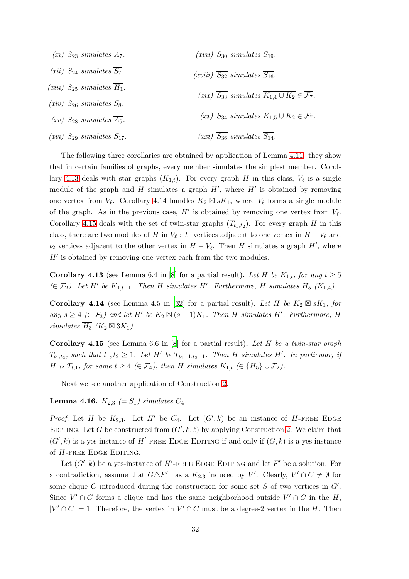(xi)  $S_{23}$  simulates  $\overline{A_7}$ . (xii)  $S_{24}$  simulates  $\overline{S_7}$ . (xiii)  $S_{25}$  simulates  $\overline{H_1}$ . (xiv)  $S_{26}$  simulates  $S_8$ .  $(xv)$  S<sub>28</sub> simulates  $\overline{A_9}$ . (xvi)  $S_{29}$  simulates  $S_{17}$ . (xvii)  $S_{30}$  simulates  $\overline{S_{19}}$ .  $(xviii)$   $\overline{S_{32}}$  simulates  $\overline{S_{16}}$ . (xix)  $\overline{S_{33}}$  simulates  $\overline{K_{1,4} \cup K_2} \in \overline{\mathcal{F}_7}$ .  $(xx)$   $\overline{S_{34}}$  simulates  $\overline{K_{1,5} \cup K_2} \in \overline{\mathcal{F}_7}$ .  $(xxi)$   $\overline{S_{36}}$  simulates  $\overline{S_{14}}$ .

The following three corollaries are obtained by application of Lemma [4.11:](#page-29-0) they show that in certain families of graphs, every member simulates the simplest member. Corol-lary [4.13](#page-31-1) deals with star graphs  $(K_{1,t})$ . For every graph H in this class,  $V_{\ell}$  is a single module of the graph and H simulates a graph  $H'$ , where  $H'$  is obtained by removing one vertex from  $V_{\ell}$ . Corollary [4.14](#page-31-2) handles  $K_2 \boxtimes sK_1$ , where  $V_{\ell}$  forms a single module of the graph. As in the previous case,  $H'$  is obtained by removing one vertex from  $V_{\ell}$ . Corollary [4.15](#page-31-3) deals with the set of twin-star graphs  $(T_{t_1,t_2})$ . For every graph H in this class, there are two modules of H in  $V_{\ell}$ :  $t_1$  vertices adjacent to one vertex in  $H - V_{\ell}$  and  $t_2$  vertices adjacent to the other vertex in  $H - V_{\ell}$ . Then H simulates a graph H', where  $H'$  is obtained by removing one vertex each from the two modules.

<span id="page-31-1"></span>**Corollary 4.13** (see Lemma 6.4 in [\[8](#page-55-0)] for a partial result). Let H be  $K_{1,t}$ , for any  $t \ge 5$ (∈ $\mathcal{F}_2$ ). Let H' be  $K_{1,t-1}$ . Then H simulates H'. Furthermore, H simulates H<sub>5</sub> (K<sub>1,4</sub>).

<span id="page-31-2"></span>Corollary 4.14 (see Lemma 4.5 in [\[32](#page-58-0)] for a partial result). Let H be  $K_2 \boxtimes sK_1$ , for any  $s \geq 4 \ (\in \mathcal{F}_3)$  and let H' be  $K_2 \boxtimes (s-1)K_1$ . Then H simulates H'. Furthermore, H simulates  $\overline{H_3}$  (K<sub>2</sub>  $\boxtimes$  3K<sub>1</sub>).

<span id="page-31-3"></span>**Corollary 4.15** (see Lemma 6.6 in [\[8](#page-55-0)] for a partial result). Let H be a twin-star graph  $T_{t_1,t_2}$ , such that  $t_1,t_2 \geq 1$ . Let H' be  $T_{t_1-1,t_2-1}$ . Then H simulates H'. In particular, if H is  $T_{t,1}$ , for some  $t \geq 4 \ (\in \mathcal{F}_4)$ , then H simulates  $K_{1,t} \ (\in \ H_5 \} \cup \mathcal{F}_2)$ .

Next we see another application of Construction [2.](#page-28-2)

<span id="page-31-0"></span>**Lemma 4.16.**  $K_{2,3} (= S_1)$  simulates  $C_4$ .

*Proof.* Let H be  $K_{2,3}$ . Let H' be  $C_4$ . Let  $(G', k)$  be an instance of H-FREE EDGE EDITING. Let G be constructed from  $(G', k, \ell)$  by applying Construction [2.](#page-28-2) We claim that  $(G', k)$  is a yes-instance of H'-FREE EDGE EDITING if and only if  $(G, k)$  is a yes-instance of  $H$ -free Edge Editing.

Let  $(G', k)$  be a yes-instance of H'-FREE EDGE EDITING and let F' be a solution. For a contradiction, assume that  $G \triangle F'$  has a  $K_{2,3}$  induced by V'. Clearly,  $V' \cap C \neq \emptyset$  for some clique C introduced during the construction for some set  $S$  of two vertices in  $G'$ . Since  $V' \cap C$  forms a clique and has the same neighborhood outside  $V' \cap C$  in the H,  $|V' \cap C| = 1$ . Therefore, the vertex in  $V' \cap C$  must be a degree-2 vertex in the H. Then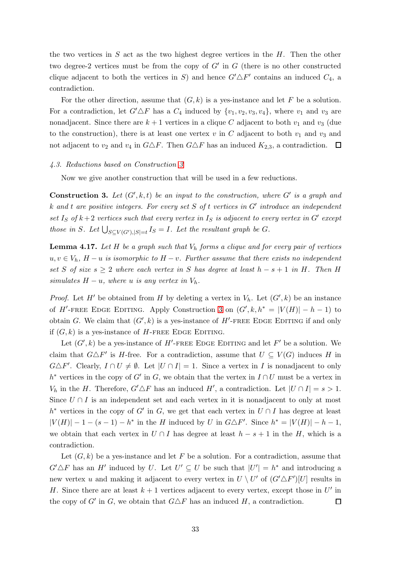the two vertices in  $S$  act as the two highest degree vertices in the  $H$ . Then the other two degree-2 vertices must be from the copy of  $G'$  in  $G$  (there is no other constructed clique adjacent to both the vertices in S) and hence  $G' \triangle F'$  contains an induced  $C_4$ , a contradiction.

For the other direction, assume that  $(G, k)$  is a yes-instance and let F be a solution. For a contradiction, let  $G' \triangle F$  has a  $C_4$  induced by  $\{v_1, v_2, v_3, v_4\}$ , where  $v_1$  and  $v_3$  are nonadjacent. Since there are  $k + 1$  vertices in a clique C adjacent to both  $v_1$  and  $v_3$  (due to the construction), there is at least one vertex  $v$  in  $C$  adjacent to both  $v_1$  and  $v_3$  and not adjacent to  $v_2$  and  $v_4$  in  $G \triangle F$ . Then  $G \triangle F$  has an induced  $K_{2,3}$ , a contradiction.  $\Box$ 

#### 4.3. Reductions based on Construction [3](#page-32-0)

Now we give another construction that will be used in a few reductions.

<span id="page-32-0"></span>**Construction 3.** Let  $(G', k, t)$  be an input to the construction, where  $G'$  is a graph and k and t are positive integers. For every set S of t vertices in G' introduce an independent set  $I_S$  of  $k+2$  vertices such that every vertex in  $I_S$  is adjacent to every vertex in  $G'$  except those in S. Let  $\bigcup_{S \subseteq V(G'), |S|=t} I_S = I$ . Let the resultant graph be G.

<span id="page-32-1"></span>**Lemma 4.17.** Let H be a graph such that  $V<sub>h</sub>$  forms a clique and for every pair of vertices  $u, v \in V_h$ ,  $H - u$  is isomorphic to  $H - v$ . Further assume that there exists no independent set S of size  $s \geq 2$  where each vertex in S has degree at least  $h - s + 1$  in H. Then H simulates  $H - u$ , where u is any vertex in  $V_h$ .

*Proof.* Let H' be obtained from H by deleting a vertex in  $V_h$ . Let  $(G', k)$  be an instance of H'-FREE EDGE EDITING. Apply Construction [3](#page-32-0) on  $(G', k, h^* = |V(H)| - h - 1)$  to obtain G. We claim that  $(G', k)$  is a yes-instance of H'-FREE EDGE EDITING if and only if  $(G, k)$  is a yes-instance of H-FREE EDGE EDITING.

Let  $(G', k)$  be a yes-instance of H'-FREE EDGE EDITING and let F' be a solution. We claim that  $G \triangle F'$  is H-free. For a contradiction, assume that  $U \subseteq V(G)$  induces H in  $G \triangle F'$ . Clearly,  $I \cap U \neq \emptyset$ . Let  $|U \cap I| = 1$ . Since a vertex in I is nonadjacent to only  $h^*$  vertices in the copy of G' in G, we obtain that the vertex in  $I \cap U$  must be a vertex in  $V_h$  in the H. Therefore,  $G' \triangle F$  has an induced H', a contradiction. Let  $|U \cap I| = s > 1$ . Since  $U \cap I$  is an independent set and each vertex in it is nonadjacent to only at most  $h^*$  vertices in the copy of G' in G, we get that each vertex in  $U \cap I$  has degree at least  $|V(H)| - 1 - (s - 1) - h^*$  in the H induced by U in  $G \triangle F'$ . Since  $h^* = |V(H)| - h - 1$ , we obtain that each vertex in  $U \cap I$  has degree at least  $h - s + 1$  in the H, which is a contradiction.

Let  $(G, k)$  be a yes-instance and let F be a solution. For a contradiction, assume that  $G' \triangle F$  has an H' induced by U. Let  $U' \subseteq U$  be such that  $|U'| = h^*$  and introducing a new vertex u and making it adjacent to every vertex in  $U \setminus U'$  of  $(G' \triangle F')[U]$  results in H. Since there are at least  $k+1$  vertices adjacent to every vertex, except those in U' in the copy of  $G'$  in  $G$ , we obtain that  $G \triangle F$  has an induced  $H$ , a contradiction.  $\Box$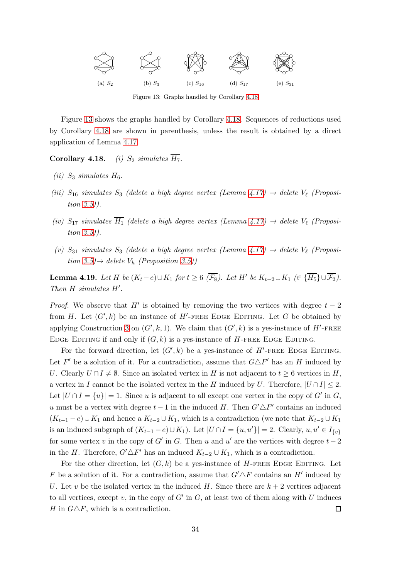<span id="page-33-1"></span>

Figure [13](#page-33-1) shows the graphs handled by Corollary 4.18. Sequences of reductions used by Corollary 4.18 are shown in parenthesis, unless the result is obtained by a direct application of Lemma [4.17.](#page-32-1)

Corollary 4.18. *(i)*  $S_2$  simulates  $\overline{H_7}$ .

- (*ii*)  $S_3$  simulates  $H_6$ .
- (iii)  $S_{16}$  simulates  $S_3$  (delete a high degree vertex (Lemma [4.17\)](#page-32-1)  $\rightarrow$  delete  $V_{\ell}$  (Proposition [3.5\)](#page-14-0)).
- (iv)  $S_{17}$  simulates  $\overline{H_1}$  (delete a high degree vertex (Lemma [4.17\)](#page-32-1)  $\rightarrow$  delete  $V_{\ell}$  (Proposition [3.5\)](#page-14-0)).
- (v)  $S_{31}$  simulates  $S_3$  (delete a high degree vertex (Lemma [4.17\)](#page-32-1)  $\rightarrow$  delete  $V_{\ell}$  (Proposition  $3.5$ ) $\rightarrow$  delete  $V_h$  (Proposition [3.5\)](#page-14-0))

<span id="page-33-0"></span>**Lemma 4.19.** Let H be  $(K_t - e) \cup K_1$  for  $t \geq 6$  ( $\overline{\mathcal{F}_8}$ ). Let H' be  $K_{t-2} \cup K_1$  ( $\in \{\overline{H_5}\} \cup \overline{\mathcal{F}_2}$ ). Then H simulates H'.

*Proof.* We observe that H' is obtained by removing the two vertices with degree  $t - 2$ from H. Let  $(G', k)$  be an instance of H'-FREE EDGE EDITING. Let G be obtained by applying Construction [3](#page-32-0) on  $(G', k, 1)$ . We claim that  $(G', k)$  is a yes-instance of H'-FREE EDGE EDITING if and only if  $(G, k)$  is a yes-instance of H-FREE EDGE EDITING.

For the forward direction, let  $(G', k)$  be a yes-instance of  $H'$ -FREE EDGE EDITING. Let F' be a solution of it. For a contradiction, assume that  $G \triangle F'$  has an H induced by U. Clearly  $U \cap I \neq \emptyset$ . Since an isolated vertex in H is not adjacent to  $t \geq 6$  vertices in H, a vertex in I cannot be the isolated vertex in the H induced by U. Therefore,  $|U \cap I| \leq 2$ . Let  $|U \cap I = \{u\}| = 1$ . Since u is adjacent to all except one vertex in the copy of G' in G, u must be a vertex with degree  $t-1$  in the induced H. Then  $G' \Delta F'$  contains an induced  $(K_{t-1}-e) \cup K_1$  and hence a  $K_{t-2} \cup K_1$ , which is a contradiction (we note that  $K_{t-2} \cup K_1$ is an induced subgraph of  $(K_{t-1}-e) \cup K_1$ ). Let  $|U \cap I = \{u, u'\}| = 2$ . Clearly,  $u, u' \in I_{\{v\}}$ for some vertex v in the copy of  $G'$  in  $G$ . Then u and u' are the vertices with degree  $t-2$ in the H. Therefore,  $G' \triangle F'$  has an induced  $K_{t-2} \cup K_1$ , which is a contradiction.

For the other direction, let  $(G, k)$  be a yes-instance of H-FREE EDGE EDITING. Let F be a solution of it. For a contradiction, assume that  $G' \Delta F$  contains an H' induced by U. Let v be the isolated vertex in the induced H. Since there are  $k + 2$  vertices adjacent to all vertices, except v, in the copy of  $G'$  in  $G$ , at least two of them along with U induces H in  $G \triangle F$ , which is a contradiction.  $\Box$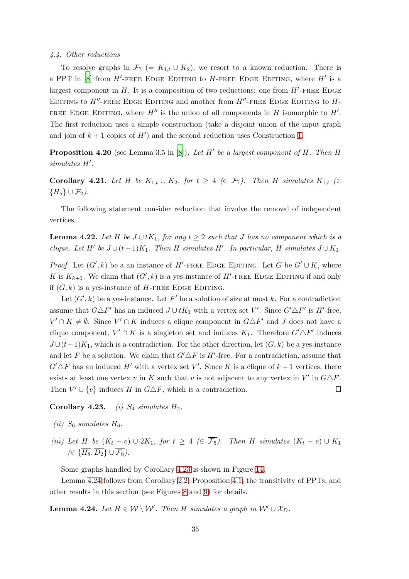#### 4.4. Other reductions

To resolve graphs in  $\mathcal{F}_7$  (=  $K_{1,t} \cup K_2$ ), we resort to a known reduction. There is a PPT in [\[8\]](#page-55-0) from  $H'$ -FREE EDGE EDITING to H-FREE EDGE EDITING, where  $H'$  is a largest component in  $H$ . It is a composition of two reductions: one from  $H'$ -FREE EDGE EDITING to  $H''$ -FREE EDGE EDITING and another from  $H''$ -FREE EDGE EDITING to  $H$ -FREE EDGE EDITING, where  $H''$  is the union of all components in  $H$  isomorphic to  $H'$ . The first reduction uses a simple construction (take a disjoint union of the input graph and join of  $k + 1$  copies of  $H'$ ) and the second reduction uses Construction [1.](#page-10-3)

**Proposition 4.20** (see Lemma 3.5 in  $[8]$ ). Let H' be a largest component of H. Then H simulates H′ .

<span id="page-34-0"></span>Corollary 4.21. Let H be  $K_{1,t} \cup K_2$ , for  $t \geq 4 \ (\in \mathcal{F}_7)$ . Then H simulates  $K_{1,t} \ (\in \mathcal{F}_7)$  ${H<sub>5</sub>} \cup F<sub>2</sub>$ ).

The following statement consider reduction that involve the removal of independent vertices.

**Lemma 4.22.** Let H be  $J \cup tK_1$ , for any  $t \geq 2$  such that J has no component which is a clique. Let  $H'$  be  $J \cup (t-1)K_1$ . Then H simulates  $H'$ . In particular, H simulates  $J \cup K_1$ .

*Proof.* Let  $(G', k)$  be a an instance of H'-FREE EDGE EDITING. Let G be  $G' \cup K$ , where K is  $K_{k+1}$ . We claim that  $(G', k)$  is a yes-instance of H'-FREE EDGE EDITING if and only if  $(G, k)$  is a yes-instance of H-FREE EDGE EDITING.

Let  $(G', k)$  be a yes-instance. Let F' be a solution of size at most k. For a contradiction assume that  $G \triangle F'$  has an induced  $J \cup tK_1$  with a vertex set V'. Since  $G' \triangle F'$  is H'-free,  $V' \cap K \neq \emptyset$ . Since  $V' \cap K$  induces a clique component in  $G \triangle F'$  and J does not have a clique component,  $V' \cap K$  is a singleton set and induces  $K_1$ . Therefore  $G' \triangle F'$  induces  $J \cup (t-1)K_1$ , which is a contradiction. For the other direction, let  $(G, k)$  be a yes-instance and let F be a solution. We claim that  $G' \triangle F$  is H'-free. For a contradiction, assume that  $G' \triangle F$  has an induced H' with a vertex set V'. Since K is a clique of  $k+1$  vertices, there exists at least one vertex v in K such that v is not adjacent to any vertex in  $V'$  in  $G \triangle F$ . Then  $V' \cup \{v\}$  induces H in  $G \triangle F$ , which is a contradiction.  $\Box$ 

## Corollary 4.23. (i)  $S_4$  simulates  $H_2$ .

- (ii)  $S_6$  simulates  $H_6$ .
- (iii) Let H be  $(K_t e) \cup 2K_1$ , for  $t \geq 4$  ( $\in \overline{\mathcal{F}_5}$ ). Then H simulates  $(K_t e) \cup K_1$  $(\in \{\overline{H_8}, \overline{D_2}\} \cup \overline{\mathcal{F}_8}).$

Some graphs handled by Corollary 4.23 is shown in Figure [14.](#page-35-1)

Lemma [4.24](#page-34-1) follows from Corollary [2.2,](#page-10-1) Proposition [4.1,](#page-25-2) the transitivity of PPTs, and other results in this section (see Figures [8](#page-25-1) and [9\)](#page-26-0) for details.

<span id="page-34-1"></span>**Lemma 4.24.** Let  $H \in \mathcal{W} \setminus \mathcal{W}'$ . Then H simulates a graph in  $\mathcal{W}' \cup \mathcal{X}_D$ .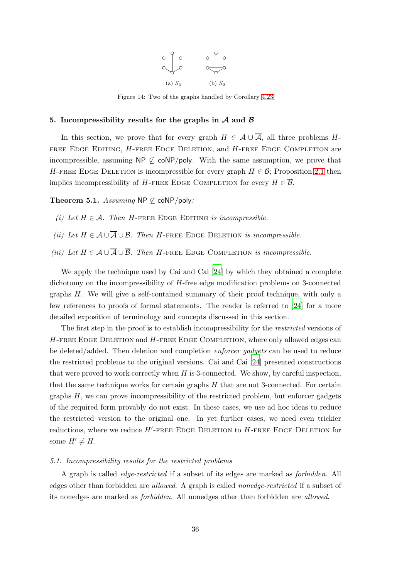

Figure 14: Two of the graphs handled by Corollary 4.23

#### <span id="page-35-1"></span><span id="page-35-0"></span>5. Incompressibility results for the graphs in  $A$  and  $B$

In this section, we prove that for every graph  $H \in \mathcal{A} \cup \overline{\mathcal{A}}$ , all three problems H-FREE EDGE EDITING, H-FREE EDGE DELETION, and H-FREE EDGE COMPLETION are incompressible, assuming  $NP \nsubseteq \text{coNP/poly}$ . With the same assumption, we prove that H-FREE EDGE DELETION is incompressible for every graph  $H \in \mathcal{B}$ ; Proposition [2.1](#page-10-0) then implies incompressibility of H-FREE EDGE COMPLETION for every  $H \in \overline{\mathcal{B}}$ .

<span id="page-35-3"></span><span id="page-35-2"></span>Theorem 5.1. Assuming NP  $\not\subset$  coNP/poly:

- <span id="page-35-4"></span>(i) Let  $H \in \mathcal{A}$ . Then H-FREE EDGE EDITING is incompressible.
- <span id="page-35-5"></span>(ii) Let  $H \in \mathcal{A} \cup \overline{\mathcal{A}} \cup \mathcal{B}$ . Then H-FREE EDGE DELETION is incompressible.
- (iii) Let  $H \in \mathcal{A} \cup \overline{\mathcal{A}} \cup \overline{\mathcal{B}}$ . Then H-FREE EDGE COMPLETION is incompressible.

We apply the technique used by Cai and Cai [\[24\]](#page-57-0) by which they obtained a complete dichotomy on the incompressibility of H-free edge modification problems on 3-connected graphs H. We will give a self-contained summary of their proof technique, with only a few references to proofs of formal statements. The reader is referred to [\[24](#page-57-0)] for a more detailed exposition of terminology and concepts discussed in this section.

The first step in the proof is to establish incompressibility for the *restricted* versions of  $H$ -FREE EDGE DELETION and  $H$ -FREE EDGE COMPLETION, where only allowed edges can be deleted/added. Then deletion and completion enforcer gadgets can be used to reduce the restricted problems to the original versions. Cai and Cai [\[24\]](#page-57-0) presented constructions that were proved to work correctly when  $H$  is 3-connected. We show, by careful inspection, that the same technique works for certain graphs  $H$  that are not 3-connected. For certain graphs  $H$ , we can prove incompressibility of the restricted problem, but enforcer gadgets of the required form provably do not exist. In these cases, we use ad hoc ideas to reduce the restricted version to the original one. In yet further cases, we need even trickier reductions, where we reduce  $H'$ -FREE EDGE DELETION to  $H$ -FREE EDGE DELETION for some  $H' \neq H$ .

#### 5.1. Incompressibility results for the restricted problems

A graph is called edge-restricted if a subset of its edges are marked as forbidden. All edges other than forbidden are allowed. A graph is called nonedge-restricted if a subset of its nonedges are marked as forbidden. All nonedges other than forbidden are allowed.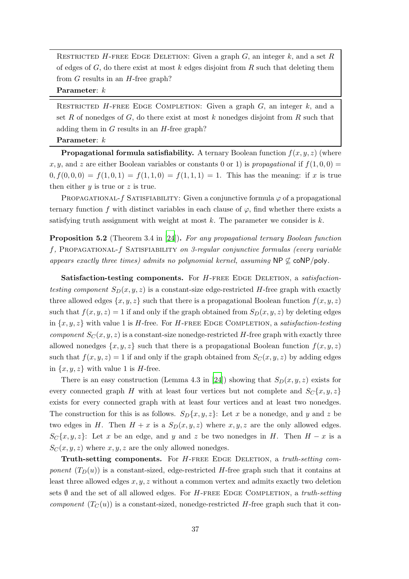RESTRICTED H-FREE EDGE DELETION: Given a graph  $G$ , an integer  $k$ , and a set  $R$ of edges of  $G$ , do there exist at most k edges disjoint from  $R$  such that deleting them from  $G$  results in an  $H$ -free graph?

Parameter:  $k$ 

RESTRICTED  $H$ -FREE EDGE COMPLETION: Given a graph  $G$ , an integer  $k$ , and a set R of nonedges of  $G$ , do there exist at most  $k$  nonedges disjoint from  $R$  such that adding them in  $G$  results in an  $H$ -free graph?

Parameter:  $k$ 

**Propagational formula satisfiability.** A ternary Boolean function  $f(x, y, z)$  (where x, y, and z are either Boolean variables or constants 0 or 1) is propagational if  $f(1, 0, 0) =$  $0, f(0, 0, 0) = f(1, 0, 1) = f(1, 1, 0) = f(1, 1, 1) = 1$ . This has the meaning: if x is true then either  $y$  is true or  $z$  is true.

PROPAGATIONAL- $f$  SATISFIABILITY: Given a conjunctive formula  $\varphi$  of a propagational ternary function f with distinct variables in each clause of  $\varphi$ , find whether there exists a satisfying truth assignment with weight at most  $k$ . The parameter we consider is  $k$ .

<span id="page-36-0"></span>Proposition 5.2 (Theorem 3.4 in [\[24\]](#page-57-0)). For any propagational ternary Boolean function  $f$ , PROPAGATIONAL- $f$  SATISFIABILITY on 3-regular conjunctive formulas (every variable appears exactly three times) admits no polynomial kernel, assuming  $NP \nsubseteq \text{coNP/poly}$ .

Satisfaction-testing components. For H-FREE EDGE DELETION, a satisfactiontesting component  $S_D(x, y, z)$  is a constant-size edge-restricted H-free graph with exactly three allowed edges  $\{x, y, z\}$  such that there is a propagational Boolean function  $f(x, y, z)$ such that  $f(x, y, z) = 1$  if and only if the graph obtained from  $S_D(x, y, z)$  by deleting edges in  $\{x, y, z\}$  with value 1 is *H*-free. For *H*-FREE EDGE COMPLETION, a *satisfaction-testing* component  $S_C(x, y, z)$  is a constant-size nonedge-restricted H-free graph with exactly three allowed nonedges  $\{x, y, z\}$  such that there is a propagational Boolean function  $f(x, y, z)$ such that  $f(x, y, z) = 1$  if and only if the graph obtained from  $S<sub>C</sub>(x, y, z)$  by adding edges in  $\{x, y, z\}$  with value 1 is H-free.

There is an easy construction (Lemma 4.3 in [\[24](#page-57-0)]) showing that  $S_D(x, y, z)$  exists for every connected graph H with at least four vertices but not complete and  $S_{\mathcal{C}}\{x, y, z\}$ exists for every connected graph with at least four vertices and at least two nonedges. The construction for this is as follows.  $S_D\{x, y, z\}$ : Let x be a nonedge, and y and z be two edges in H. Then  $H + x$  is a  $S_D(x, y, z)$  where  $x, y, z$  are the only allowed edges.  $S_{\mathcal{C}}\{x,y,z\}$ : Let x be an edge, and y and z be two nonedges in H. Then  $H - x$  is a  $S_C(x, y, z)$  where x, y, z are the only allowed nonedges.

**Truth-setting components.** For  $H$ -FREE EDGE DELETION, a truth-setting component  $(T_D(u))$  is a constant-sized, edge-restricted H-free graph such that it contains at least three allowed edges  $x, y, z$  without a common vertex and admits exactly two deletion sets  $\emptyset$  and the set of all allowed edges. For H-FREE EDGE COMPLETION, a truth-setting *component*  $(T_C(u))$  is a constant-sized, nonedge-restricted H-free graph such that it con-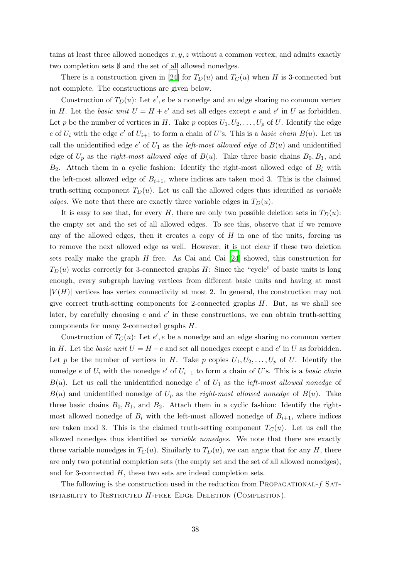tains at least three allowed nonedges  $x, y, z$  without a common vertex, and admits exactly two completion sets ∅ and the set of all allowed nonedges.

There is a construction given in [\[24](#page-57-0)] for  $T_D(u)$  and  $T_C(u)$  when H is 3-connected but not complete. The constructions are given below.

Construction of  $T_D(u)$ : Let  $e', e$  be a nonedge and an edge sharing no common vertex in H. Let the *basic unit*  $U = H + e'$  and set all edges except e and e' in U as forbidden. Let p be the number of vertices in H. Take p copies  $U_1, U_2, \ldots, U_p$  of U. Identify the edge e of  $U_i$  with the edge e' of  $U_{i+1}$  to form a chain of U's. This is a basic chain  $B(u)$ . Let us call the unidentified edge  $e'$  of  $U_1$  as the *left-most allowed edge* of  $B(u)$  and unidentified edge of  $U_p$  as the *right-most allowed edge* of  $B(u)$ . Take three basic chains  $B_0, B_1$ , and  $B_2$ . Attach them in a cyclic fashion: Identify the right-most allowed edge of  $B_i$  with the left-most allowed edge of  $B_{i+1}$ , where indices are taken mod 3. This is the claimed truth-setting component  $T_D(u)$ . Let us call the allowed edges thus identified as variable edges. We note that there are exactly three variable edges in  $T_D(u)$ .

It is easy to see that, for every H, there are only two possible deletion sets in  $T_D(u)$ : the empty set and the set of all allowed edges. To see this, observe that if we remove any of the allowed edges, then it creates a copy of  $H$  in one of the units, forcing us to remove the next allowed edge as well. However, it is not clear if these two deletion sets really make the graph  $H$  free. As Cai and Cai [\[24](#page-57-0)] showed, this construction for  $T_D(u)$  works correctly for 3-connected graphs H: Since the "cycle" of basic units is long enough, every subgraph having vertices from different basic units and having at most  $|V(H)|$  vertices has vertex connectivity at most 2. In general, the construction may not give correct truth-setting components for 2-connected graphs  $H$ . But, as we shall see later, by carefully choosing  $e$  and  $e'$  in these constructions, we can obtain truth-setting components for many 2-connected graphs H.

Construction of  $T_C(u)$ : Let  $e', e$  be a nonedge and an edge sharing no common vertex in H. Let the *basic unit*  $U = H - e$  and set all nonedges except e and e' in U as forbidden. Let p be the number of vertices in H. Take p copies  $U_1, U_2, \ldots, U_p$  of U. Identify the nonedge e of  $U_i$  with the nonedge e' of  $U_{i+1}$  to form a chain of U's. This is a basic chain  $B(u)$ . Let us call the unidentified nonedge e' of  $U_1$  as the *left-most allowed nonedge* of  $B(u)$  and unidentified nonedge of  $U_p$  as the *right-most allowed nonedge* of  $B(u)$ . Take three basic chains  $B_0, B_1$ , and  $B_2$ . Attach them in a cyclic fashion: Identify the rightmost allowed nonedge of  $B_i$  with the left-most allowed nonedge of  $B_{i+1}$ , where indices are taken mod 3. This is the claimed truth-setting component  $T_C(u)$ . Let us call the allowed nonedges thus identified as variable nonedges. We note that there are exactly three variable nonedges in  $T_C(u)$ . Similarly to  $T_D(u)$ , we can argue that for any H, there are only two potential completion sets (the empty set and the set of all allowed nonedges), and for 3-connected  $H$ , these two sets are indeed completion sets.

The following is the construction used in the reduction from PROPAGATIONAL- $f$  SAT-ISFIABILITY to RESTRICTED  $H$ -FREE EDGE DELETION (COMPLETION).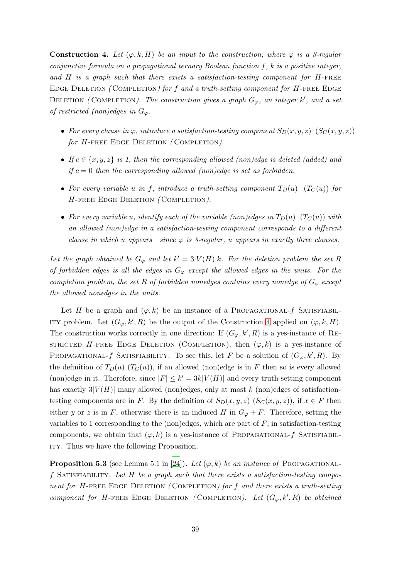<span id="page-38-0"></span>**Construction 4.** Let  $(\varphi, k, H)$  be an input to the construction, where  $\varphi$  is a 3-regular conjunctive formula on a propagational ternary Boolean function  $f, k$  is a positive integer, and  $H$  is a graph such that there exists a satisfaction-testing component for  $H$ -FREE EDGE DELETION (COMPLETION) for f and a truth-setting component for  $H$ -FREE EDGE DELETION (COMPLETION). The construction gives a graph  $G_{\varphi}$ , an integer k', and a set of restricted (non)edges in  $G_{\varphi}$ .

- For every clause in  $\varphi$ , introduce a satisfaction-testing component  $S_D(x, y, z)$   $(S_C(x, y, z))$ for H-FREE EDGE DELETION (COMPLETION).
- If  $c \in \{x, y, z\}$  is 1, then the corresponding allowed (non)edge is deleted (added) and if  $c = 0$  then the corresponding allowed (non)edge is set as forbidden.
- For every variable u in f, introduce a truth-setting component  $T_D(u)$  ( $T_C(u)$ ) for H-FREE EDGE DELETION (COMPLETION).
- For every variable u, identify each of the variable (non)edges in  $T_D(u)$  ( $T_C(u)$ ) with an allowed (non)edge in a satisfaction-testing component corresponds to a different clause in which u appears—since  $\varphi$  is 3-regular, u appears in exactly three clauses.

Let the graph obtained be  $G_{\varphi}$  and let  $k' = 3|V(H)|k$ . For the deletion problem the set R of forbidden edges is all the edges in  $G_{\varphi}$  except the allowed edges in the units. For the completion problem, the set R of forbidden nonedges contains every nonedge of  $G_{\varphi}$  except the allowed nonedges in the units.

Let H be a graph and  $(\varphi, k)$  be an instance of a PROPAGATIONAL-f SATISFIABIL-ITY problem. Let  $(G_{\varphi}, k', R)$  be the output of the Construction [4](#page-38-0) applied on  $(\varphi, k, H)$ . The construction works correctly in one direction: If  $(G_{\varphi}, k', R)$  is a yes-instance of RE-STRICTED H-FREE EDGE DELETION (COMPLETION), then  $(\varphi, k)$  is a yes-instance of PROPAGATIONAL-*f* SATISFIABILITY. To see this, let F be a solution of  $(G_{\varphi}, k', R)$ . By the definition of  $T_D(u)$   $(T_C(u))$ , if an allowed (non)edge is in F then so is every allowed (non)edge in it. Therefore, since  $|F| \leq k' = 3k|V(H)|$  and every truth-setting component has exactly  $3|V(H)|$  many allowed (non)edges, only at most k (non)edges of satisfactiontesting components are in F. By the definition of  $S_D(x, y, z)$  ( $S_C(x, y, z)$ ), if  $x \in F$  then either y or z is in F, otherwise there is an induced H in  $G_{\varphi} + F$ . Therefore, setting the variables to 1 corresponding to the (non)edges, which are part of  $F$ , in satisfaction-testing components, we obtain that  $(\varphi, k)$  is a yes-instance of PROPAGATIONAL-f SATISFIABILity. Thus we have the following Proposition.

<span id="page-38-1"></span>**Proposition 5.3** (see Lemma 5.1 in [\[24\]](#page-57-0)). Let  $(\varphi, k)$  be an instance of PROPAGATIONALf SATISFIABILITY. Let H be a graph such that there exists a satisfaction-testing component for H-FREE EDGE DELETION (COMPLETION) for f and there exists a truth-setting component for H-FREE EDGE DELETION (COMPLETION). Let  $(G_{\varphi}, k', R)$  be obtained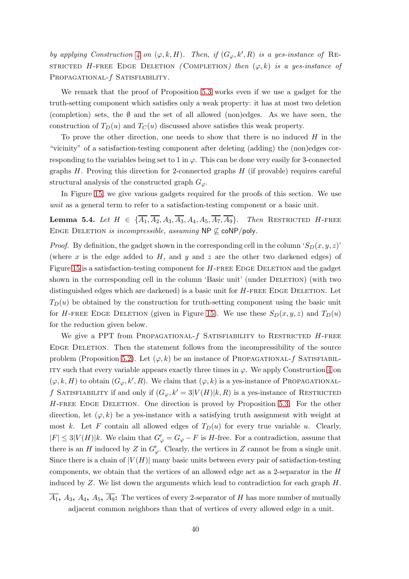by applying Construction [4](#page-38-0) on  $(\varphi, k, H)$ . Then, if  $(G_{\varphi}, k', R)$  is a yes-instance of RE-STRICTED H-FREE EDGE DELETION (COMPLETION) then  $(\varphi, k)$  is a yes-instance of PROPAGATIONAL- $f$  SATISFIABILITY.

We remark that the proof of Proposition [5.3](#page-38-1) works even if we use a gadget for the truth-setting component which satisfies only a weak property: it has at most two deletion (completion) sets, the  $\emptyset$  and the set of all allowed (non)edges. As we have seen, the construction of  $T_D(u)$  and  $T_C(u)$  discussed above satisfies this weak property.

To prove the other direction, one needs to show that there is no induced  $H$  in the "vicinity" of a satisfaction-testing component after deleting (adding) the (non)edges corresponding to the variables being set to 1 in  $\varphi$ . This can be done very easily for 3-connected graphs  $H$ . Proving this direction for 2-connected graphs  $H$  (if provable) requires careful structural analysis of the constructed graph  $G_{\varphi}$ .

In Figure [15,](#page-40-0) we give various gadgets required for the proofs of this section. We use unit as a general term to refer to a satisfaction-testing component or a basic unit.

<span id="page-39-0"></span>**Lemma 5.4.** Let  $H \in {\overline{A_1}, \overline{A_2}, A_3, \overline{A_3}, A_4, A_5, \overline{A_7}, \overline{A_9}}$ . Then RESTRICTED H-FREE EDGE DELETION is incompressible, assuming NP  $\nsubseteq$  coNP/poly.

*Proof.* By definition, the gadget shown in the corresponding cell in the column ' $S_D(x, y, z)$ ' (where x is the edge added to  $H$ , and y and z are the other two darkened edges) of Figure [15](#page-40-0) is a satisfaction-testing component for  $H$ -FREE EDGE DELETION and the gadget shown in the corresponding cell in the column 'Basic unit' (under DELETION) (with two distinguished edges which are darkened) is a basic unit for  $H$ -FREE EDGE DELETION. Let  $T_D(u)$  be obtained by the construction for truth-setting component using the basic unit for H-FREE EDGE DELETION (given in Figure [15\)](#page-40-0). We use these  $S_D(x, y, z)$  and  $T_D(u)$ for the reduction given below.

We give a PPT from PROPAGATIONAL- $f$  SATISFIABILITY to RESTRICTED  $H$ -FREE Edge Deletion. Then the statement follows from the incompressibility of the source problem (Proposition [5.2\)](#page-36-0). Let  $(\varphi, k)$  be an instance of PROPAGATIONAL-f SATISFIABIL-ITY such that every variable appears exactly three times in  $\varphi$ . We apply Construction [4](#page-38-0) on  $(\varphi, k, H)$  to obtain  $(G_{\varphi}, k', R)$ . We claim that  $(\varphi, k)$  is a yes-instance of PROPAGATIONALf SATISFIABILITY if and only if  $(G_{\varphi}, k' = 3|V(H)|k, R)$  is a yes-instance of RESTRICTED H-free Edge Deletion. One direction is proved by Proposition [5.3.](#page-38-1) For the other direction, let  $(\varphi, k)$  be a yes-instance with a satisfying truth assignment with weight at most k. Let F contain all allowed edges of  $T_D(u)$  for every true variable u. Clearly,  $|F| \leq 3|V(H)|k$ . We claim that  $G'_{\varphi} = G_{\varphi} - F$  is H-free. For a contradiction, assume that there is an H induced by Z in  $G'_{\varphi}$ . Clearly, the vertices in Z cannot be from a single unit. Since there is a chain of  $|V(H)|$  many basic units between every pair of satisfaction-testing components, we obtain that the vertices of an allowed edge act as a 2-separator in the H induced by  $Z$ . We list down the arguments which lead to contradiction for each graph  $H$ .

 $\overline{A_1}$ ,  $A_3$ ,  $A_4$ ,  $A_5$ ,  $\overline{A_9}$ : The vertices of every 2-separator of H has more number of mutually adjacent common neighbors than that of vertices of every allowed edge in a unit.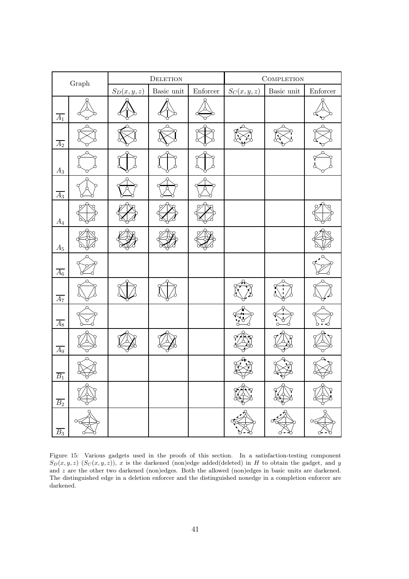<span id="page-40-0"></span>

| $\mbox{Graph}$   |  |              | ${\rm DELETION}$                              |                  | COMPLETION   |                                               |                                  |  |
|------------------|--|--------------|-----------------------------------------------|------------------|--------------|-----------------------------------------------|----------------------------------|--|
|                  |  | $S_D(x,y,z)$ | Basic unit $% \left\vert \cdot \right\rangle$ | ${\rm Enforcer}$ | $S_C(x,y,z)$ | Basic unit $% \left\vert \cdot \right\rangle$ | $\ensuremath{\mathit{Enforcer}}$ |  |
| $\overline{A_1}$ |  |              |                                               |                  |              |                                               |                                  |  |
| $\overline{A_2}$ |  |              |                                               |                  |              |                                               |                                  |  |
| $\mathcal{A}_3$  |  |              |                                               |                  |              |                                               |                                  |  |
| $A_3$            |  |              |                                               |                  |              |                                               |                                  |  |
| ${\cal A}_4$     |  |              |                                               |                  |              |                                               |                                  |  |
| $\mathcal{A}_5$  |  |              |                                               |                  |              |                                               |                                  |  |
| $\overline{A_6}$ |  |              |                                               |                  |              |                                               |                                  |  |
| $\overline{A_7}$ |  |              |                                               |                  |              |                                               |                                  |  |
| $\overline{A_8}$ |  |              |                                               |                  |              |                                               |                                  |  |
| $A_9$            |  |              |                                               |                  |              |                                               |                                  |  |
| $\overline{B_1}$ |  |              |                                               |                  |              |                                               |                                  |  |
| B <sub>2</sub>   |  |              |                                               |                  |              |                                               |                                  |  |
| $B_3$            |  |              |                                               |                  |              |                                               |                                  |  |

Figure 15: Various gadgets used in the proofs of this section. In a satisfaction-testing component  $S_D(x, y, z)$   $(S_C(x, y, z))$ , x is the darkened (non)edge added(deleted) in H to obtain the gadget, and y and  $z$  are the other two darkened (non)edges. Both the allowed (non)edges in basic units are darkened. The distinguished edge in a deletion enforcer and the distinguished nonedge in a completion enforcer are darkened.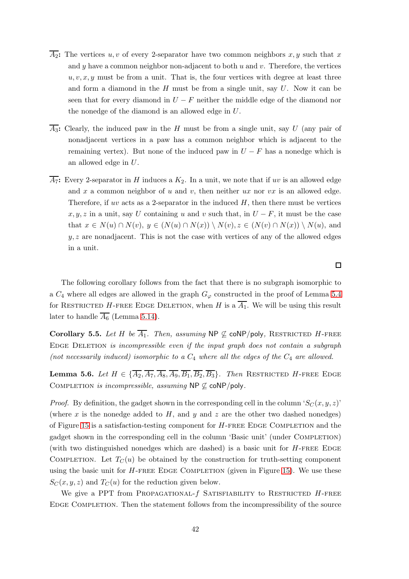- $\overline{A_2}$ : The vertices u, v of every 2-separator have two common neighbors x, y such that x and y have a common neighbor non-adjacent to both  $u$  and  $v$ . Therefore, the vertices  $u, v, x, y$  must be from a unit. That is, the four vertices with degree at least three and form a diamond in the  $H$  must be from a single unit, say  $U$ . Now it can be seen that for every diamond in  $U - F$  neither the middle edge of the diamond nor the nonedge of the diamond is an allowed edge in U.
- $\overline{A_3}$ : Clearly, the induced paw in the H must be from a single unit, say U (any pair of nonadjacent vertices in a paw has a common neighbor which is adjacent to the remaining vertex). But none of the induced paw in  $U - F$  has a nonedge which is an allowed edge in U.
- $\overline{A_7}$ : Every 2-separator in H induces a  $K_2$ . In a unit, we note that if uv is an allowed edge and  $x$  a common neighbor of  $u$  and  $v$ , then neither  $ux$  nor  $vx$  is an allowed edge. Therefore, if uv acts as a 2-separator in the induced  $H$ , then there must be vertices  $x, y, z$  in a unit, say U containing u and v such that, in  $U - F$ , it must be the case that  $x \in N(u) \cap N(v)$ ,  $y \in (N(u) \cap N(x)) \setminus N(v)$ ,  $z \in (N(v) \cap N(x)) \setminus N(u)$ , and  $y, z$  are nonadjacent. This is not the case with vertices of any of the allowed edges in a unit.

The following corollary follows from the fact that there is no subgraph isomorphic to a  $C_4$  where all edges are allowed in the graph  $G_{\varphi}$  constructed in the proof of Lemma [5.4](#page-39-0) for RESTRICTED H-FREE EDGE DELETION, when H is a  $\overline{A_1}$ . We will be using this result later to handle  $\overline{A_6}$  (Lemma [5.14\)](#page-49-0).

<span id="page-41-0"></span>Corollary 5.5. Let H be  $\overline{A_1}$ . Then, assuming NP  $\nsubseteq$  coNP/poly, RESTRICTED H-FREE EDGE DELETION is incompressible even if the input graph does not contain a subgraph (not necessarily induced) isomorphic to a  $C_4$  where all the edges of the  $C_4$  are allowed.

**Lemma 5.6.** Let  $H \in \{\overline{A_2}, \overline{A_7}, \overline{A_8}, \overline{A_9}, \overline{B_1}, \overline{B_2}, \overline{B_3}\}.$  Then RESTRICTED H-FREE EDGE COMPLETION is incompressible, assuming NP  $\nsubseteq$  coNP/poly.

*Proof.* By definition, the gadget shown in the corresponding cell in the column ' $S_C(x, y, z)$ ' (where x is the nonedge added to  $H$ , and y and z are the other two dashed nonedges) of Figure [15](#page-40-0) is a satisfaction-testing component for  $H$ -FREE EDGE COMPLETION and the gadget shown in the corresponding cell in the column 'Basic unit' (under Completion) (with two distinguished nonedges which are dashed) is a basic unit for  $H$ -FREE EDGE COMPLETION. Let  $T_{\mathcal{C}}(u)$  be obtained by the construction for truth-setting component using the basic unit for  $H$ -FREE EDGE COMPLETION (given in Figure [15\)](#page-40-0). We use these  $S_C(x, y, z)$  and  $T_C(u)$  for the reduction given below.

We give a PPT from PROPAGATIONAL- $f$  SATISFIABILITY to RESTRICTED  $H$ -FREE Edge Completion. Then the statement follows from the incompressibility of the source

 $\Box$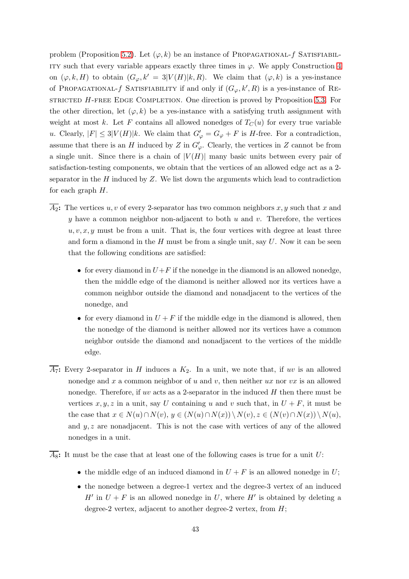problem (Proposition [5.2\)](#page-36-0). Let  $(\varphi, k)$  be an instance of PROPAGATIONAL-f SATISFIABIL-ITY such that every variable appears exactly three times in  $\varphi$ . We apply Construction [4](#page-38-0) on  $(\varphi, k, H)$  to obtain  $(G_{\varphi}, k' = 3|V(H)|k, R)$ . We claim that  $(\varphi, k)$  is a yes-instance of PROPAGATIONAL- $f$  SATISFIABILITY if and only if  $(G_{\varphi}, k', R)$  is a yes-instance of RE-STRICTED  $H$ -FREE EDGE COMPLETION. One direction is proved by Proposition [5.3.](#page-38-1) For the other direction, let  $(\varphi, k)$  be a yes-instance with a satisfying truth assignment with weight at most k. Let F contains all allowed nonedges of  $T_C(u)$  for every true variable u. Clearly,  $|F| \leq 3|V(H)|k$ . We claim that  $G'_{\varphi} = G_{\varphi} + F$  is H-free. For a contradiction, assume that there is an H induced by Z in  $G'_{\varphi}$ . Clearly, the vertices in Z cannot be from a single unit. Since there is a chain of  $|V(H)|$  many basic units between every pair of satisfaction-testing components, we obtain that the vertices of an allowed edge act as a 2 separator in the  $H$  induced by  $Z$ . We list down the arguments which lead to contradiction for each graph  $H$ .

- $\overline{A_2}$ : The vertices u, v of every 2-separator has two common neighbors x, y such that x and y have a common neighbor non-adjacent to both  $u$  and  $v$ . Therefore, the vertices  $u, v, x, y$  must be from a unit. That is, the four vertices with degree at least three and form a diamond in the  $H$  must be from a single unit, say  $U$ . Now it can be seen that the following conditions are satisfied:
	- for every diamond in  $U+F$  if the nonedge in the diamond is an allowed nonedge, then the middle edge of the diamond is neither allowed nor its vertices have a common neighbor outside the diamond and nonadjacent to the vertices of the nonedge, and
	- for every diamond in  $U + F$  if the middle edge in the diamond is allowed, then the nonedge of the diamond is neither allowed nor its vertices have a common neighbor outside the diamond and nonadjacent to the vertices of the middle edge.
- $\overline{A_7}$ : Every 2-separator in H induces a  $K_2$ . In a unit, we note that, if uv is an allowed nonedge and x a common neighbor of u and v, then neither  $ux$  nor  $vx$  is an allowed nonedge. Therefore, if uv acts as a 2-separator in the induced  $H$  then there must be vertices  $x, y, z$  in a unit, say U containing u and v such that, in  $U + F$ , it must be the case that  $x \in N(u) \cap N(v)$ ,  $y \in (N(u) \cap N(x)) \setminus N(v)$ ,  $z \in (N(v) \cap N(x)) \setminus N(u)$ , and  $y, z$  are nonadjacent. This is not the case with vertices of any of the allowed nonedges in a unit.
- $\overline{A_8}$ : It must be the case that at least one of the following cases is true for a unit U:
	- the middle edge of an induced diamond in  $U + F$  is an allowed nonedge in U;
	- the nonedge between a degree-1 vertex and the degree-3 vertex of an induced  $H'$  in  $U + F$  is an allowed nonedge in U, where H' is obtained by deleting a degree-2 vertex, adjacent to another degree-2 vertex, from  $H$ ;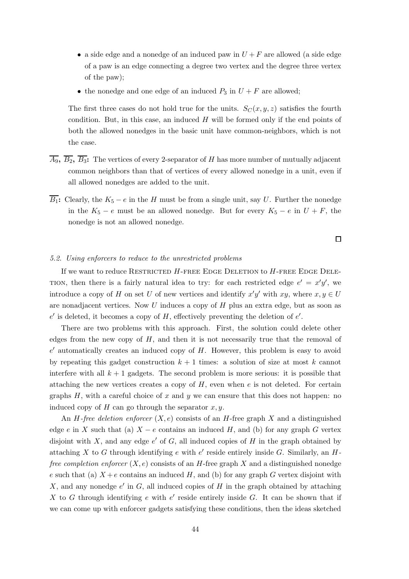- a side edge and a nonedge of an induced paw in  $U + F$  are allowed (a side edge of a paw is an edge connecting a degree two vertex and the degree three vertex of the paw);
- the nonedge and one edge of an induced  $P_3$  in  $U + F$  are allowed;

The first three cases do not hold true for the units.  $S_C(x, y, z)$  satisfies the fourth condition. But, in this case, an induced  $H$  will be formed only if the end points of both the allowed nonedges in the basic unit have common-neighbors, which is not the case.

- $\overline{A_9}$ ,  $\overline{B_2}$ ,  $\overline{B_3}$ : The vertices of every 2-separator of H has more number of mutually adjacent common neighbors than that of vertices of every allowed nonedge in a unit, even if all allowed nonedges are added to the unit.
- $\overline{B_1}$ : Clearly, the  $K_5 e$  in the H must be from a single unit, say U. Further the nonedge in the  $K_5 - e$  must be an allowed nonedge. But for every  $K_5 - e$  in  $U + F$ , the nonedge is not an allowed nonedge.

 $\Box$ 

## 5.2. Using enforcers to reduce to the unrestricted problems

If we want to reduce RESTRICTED  $H$ -FREE EDGE DELETION to  $H$ -FREE EDGE DELE-TION, then there is a fairly natural idea to try: for each restricted edge  $e' = x'y'$ , we introduce a copy of H on set U of new vertices and identify  $x'y'$  with  $xy$ , where  $x, y \in U$ are nonadjacent vertices. Now U induces a copy of H plus an extra edge, but as soon as  $e'$  is deleted, it becomes a copy of  $H$ , effectively preventing the deletion of  $e'$ .

There are two problems with this approach. First, the solution could delete other edges from the new copy of  $H$ , and then it is not necessarily true that the removal of  $e'$  automatically creates an induced copy of  $H$ . However, this problem is easy to avoid by repeating this gadget construction  $k + 1$  times: a solution of size at most k cannot interfere with all  $k + 1$  gadgets. The second problem is more serious: it is possible that attaching the new vertices creates a copy of  $H$ , even when  $e$  is not deleted. For certain graphs  $H$ , with a careful choice of  $x$  and  $y$  we can ensure that this does not happen: no induced copy of  $H$  can go through the separator  $x, y$ .

An *H*-free deletion enforcer  $(X, e)$  consists of an *H*-free graph X and a distinguished edge e in X such that (a)  $X - e$  contains an induced H, and (b) for any graph G vertex disjoint with  $X$ , and any edge  $e'$  of  $G$ , all induced copies of  $H$  in the graph obtained by attaching  $X$  to  $G$  through identifying  $e$  with  $e'$  reside entirely inside  $G$ . Similarly, an  $H$ free completion enforcer  $(X, e)$  consists of an H-free graph X and a distinguished nonedge e such that (a)  $X + e$  contains an induced H, and (b) for any graph G vertex disjoint with X, and any nonedge  $e'$  in  $G$ , all induced copies of  $H$  in the graph obtained by attaching X to G through identifying  $e$  with  $e'$  reside entirely inside G. It can be shown that if we can come up with enforcer gadgets satisfying these conditions, then the ideas sketched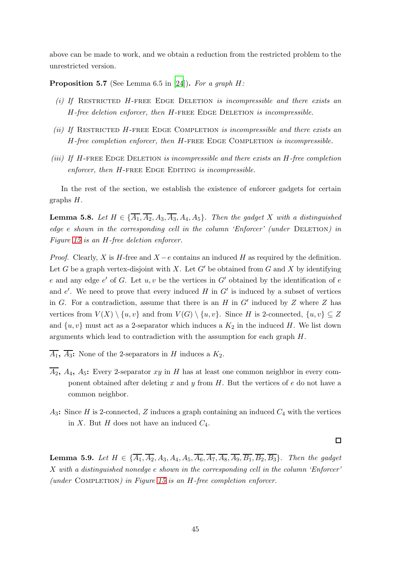above can be made to work, and we obtain a reduction from the restricted problem to the unrestricted version.

<span id="page-44-1"></span>**Proposition 5.7** (See Lemma 6.5 in [\[24\]](#page-57-0)). For a graph  $H$ :

- (i) If RESTRICTED H-FREE EDGE DELETION is incompressible and there exists an  $H$ -free deletion enforcer, then  $H$ -FREE EDGE DELETION is incompressible.
- (ii) If RESTRICTED H-FREE EDGE COMPLETION is incompressible and there exists an  $H$ -free completion enforcer, then  $H$ -FREE EDGE COMPLETION is incompressible.
- (iii) If  $H$ -FREE EDGE DELETION is incompressible and there exists an  $H$ -free completion  $enforcer, then H-FREE EDGE EDITION is incompressible.$

In the rest of the section, we establish the existence of enforcer gadgets for certain graphs H.

<span id="page-44-0"></span>**Lemma 5.8.** Let  $H \in {\overline{A_1}, \overline{A_2}, A_3, \overline{A_3}, A_4, A_5}$ . Then the gadget X with a distinguished edge e shown in the corresponding cell in the column 'Enforcer' (under DELETION) in Figure [15](#page-40-0) is an H-free deletion enforcer.

*Proof.* Clearly, X is H-free and  $X - e$  contains an induced H as required by the definition. Let G be a graph vertex-disjoint with X. Let  $G'$  be obtained from G and X by identifying e and any edge  $e'$  of G. Let  $u, v$  be the vertices in G' obtained by the identification of e and  $e'$ . We need to prove that every induced  $H$  in  $G'$  is induced by a subset of vertices in  $G$ . For a contradiction, assume that there is an  $H$  in  $G'$  induced by  $Z$  where  $Z$  has vertices from  $V(X) \setminus \{u, v\}$  and from  $V(G) \setminus \{u, v\}$ . Since H is 2-connected,  $\{u, v\} \subseteq Z$ and  $\{u, v\}$  must act as a 2-separator which induces a  $K_2$  in the induced H. We list down arguments which lead to contradiction with the assumption for each graph H.

- $\overline{A_1}$ ,  $\overline{A_3}$ : None of the 2-separators in H induces a  $K_2$ .
- $\overline{A_2}$ ,  $A_4$ ,  $A_5$ : Every 2-separator xy in H has at least one common neighbor in every component obtained after deleting x and y from  $H$ . But the vertices of e do not have a common neighbor.
- $A_3$ : Since H is 2-connected, Z induces a graph containing an induced  $C_4$  with the vertices in X. But H does not have an induced  $C_4$ .

 $\Box$ 

<span id="page-44-2"></span>**Lemma 5.9.** Let  $H \in \{\overline{A_1}, \overline{A_2}, A_3, A_4, A_5, \overline{A_6}, \overline{A_7}, \overline{A_8}, \overline{A_9}, \overline{B_1}, \overline{B_2}, \overline{B_3}\}$ . Then the gadget X with a distinguished nonedge e shown in the corresponding cell in the column 'Enforcer' (under COMPLETION) in Figure [15](#page-40-0) is an  $H$ -free completion enforcer.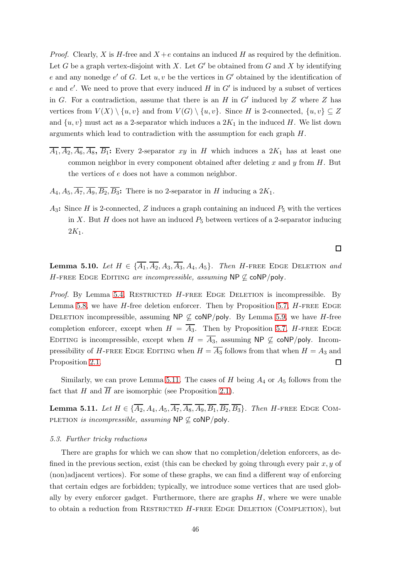*Proof.* Clearly, X is H-free and  $X + e$  contains an induced H as required by the definition. Let G be a graph vertex-disjoint with X. Let  $G'$  be obtained from G and X by identifying e and any nonedge  $e'$  of G. Let  $u, v$  be the vertices in  $G'$  obtained by the identification of e and e'. We need to prove that every induced  $H$  in  $G'$  is induced by a subset of vertices in  $G$ . For a contradiction, assume that there is an  $H$  in  $G'$  induced by  $Z$  where  $Z$  has vertices from  $V(X) \setminus \{u, v\}$  and from  $V(G) \setminus \{u, v\}$ . Since H is 2-connected,  $\{u, v\} \subseteq Z$ and  $\{u, v\}$  must act as a 2-separator which induces a  $2K_1$  in the induced H. We list down arguments which lead to contradiction with the assumption for each graph H.

- $\overline{A_1}, \overline{A_2}, \overline{A_6}, \overline{A_8}, \overline{B_1}$ : Every 2-separator xy in H which induces a  $2K_1$  has at least one common neighbor in every component obtained after deleting  $x$  and  $y$  from  $H$ . But the vertices of e does not have a common neighbor.
- $A_4, A_5, \overline{A_7}, \overline{A_9}, \overline{B_2}, \overline{B_3}$ : There is no 2-separator in H inducing a  $2K_1$ .
- $A_3$ : Since H is 2-connected, Z induces a graph containing an induced  $P_5$  with the vertices in X. But H does not have an induced  $P_5$  between vertices of a 2-separator inducing  $2K_1$ .

<span id="page-45-1"></span>**Lemma 5.10.** Let  $H \in {\overline{A_1}, \overline{A_2}, A_3, \overline{A_3}, A_4, A_5}$ . Then H-FREE EDGE DELETION and H-FREE EDGE EDITING are incompressible, assuming NP  $\nsubseteq$  coNP/poly.

*Proof.* By Lemma [5.4,](#page-39-0) RESTRICTED  $H$ -FREE EDGE DELETION is incompressible. By Lemma [5.8,](#page-44-0) we have  $H$ -free deletion enforcer. Then by Proposition [5.7,](#page-44-1)  $H$ -FREE EDGE DELETION incompressible, assuming NP  $\nsubseteq$  coNP/poly. By Lemma [5.9,](#page-44-2) we have H-free completion enforcer, except when  $H = \overline{A_3}$ . Then by Proposition [5.7,](#page-44-1) H-FREE EDGE EDITING is incompressible, except when  $H = \overline{A_3}$ , assuming NP  $\nsubseteq$  coNP/poly. Incompressibility of H-FREE EDGE EDITING when  $H = \overline{A_3}$  follows from that when  $H = A_3$  and Proposition [2.1.](#page-10-0) П

Similarly, we can prove Lemma [5.11.](#page-45-0) The cases of  $H$  being  $A_4$  or  $A_5$  follows from the fact that H and  $\overline{H}$  are isomorphic (see Proposition [2.1\)](#page-10-0).

<span id="page-45-0"></span>**Lemma 5.11.** Let  $H \in \{\overline{A_2}, A_4, A_5, \overline{A_7}, \overline{A_8}, \overline{A_9}, \overline{B_1}, \overline{B_2}, \overline{B_3}\}$ . Then H-FREE EDGE COM-PLETION is incompressible, assuming NP  $\nsubseteq$  coNP/poly.

#### 5.3. Further tricky reductions

There are graphs for which we can show that no completion/deletion enforcers, as defined in the previous section, exist (this can be checked by going through every pair  $x, y$  of (non)adjacent vertices). For some of these graphs, we can find a different way of enforcing that certain edges are forbidden; typically, we introduce some vertices that are used globally by every enforcer gadget. Furthermore, there are graphs  $H$ , where we were unable to obtain a reduction from RESTRICTED  $H$ -FREE EDGE DELETION (COMPLETION), but

 $\Box$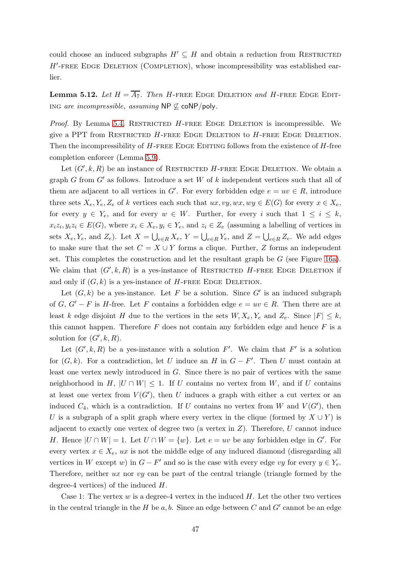could choose an induced subgraphs  $H' \subseteq H$  and obtain a reduction from RESTRICTED H'-FREE EDGE DELETION (COMPLETION), whose incompressibility was established earlier.

<span id="page-46-0"></span>**Lemma 5.12.** Let  $H = \overline{A_7}$ . Then H-FREE EDGE DELETION and H-FREE EDGE EDITing are incompressible, assuming NP  $\emptyset$  coNP/poly.

*Proof.* By Lemma [5.4,](#page-39-0) RESTRICTED  $H$ -FREE EDGE DELETION is incompressible. We give a PPT from RESTRICTED  $H$ -FREE EDGE DELETION to  $H$ -FREE EDGE DELETION. Then the incompressibility of  $H$ -FREE EDGE EDITING follows from the existence of  $H$ -free completion enforcer (Lemma [5.9\)](#page-44-2).

Let  $(G', k, R)$  be an instance of RESTRICTED H-FREE EDGE DELETION. We obtain a graph G from  $G'$  as follows. Introduce a set W of k independent vertices such that all of them are adjacent to all vertices in  $G'$ . For every forbidden edge  $e = uv \in R$ , introduce three sets  $X_e, Y_e, Z_e$  of k vertices each such that  $ux, vy, wx, wy \in E(G)$  for every  $x \in X_e$ , for every  $y \in Y_e$ , and for every  $w \in W$ . Further, for every i such that  $1 \leq i \leq k$ ,  $x_i z_i, y_i z_i \in E(G)$ , where  $x_i \in X_e, y_i \in Y_e$ , and  $z_i \in Z_e$  (assuming a labelling of vertices in sets  $X_e, Y_e$ , and  $Z_e$ ). Let  $X = \bigcup_{e \in R} X_e$ ,  $Y = \bigcup_{e \in R} Y_e$ , and  $Z = \bigcup_{e \in R} Z_e$ . We add edges to make sure that the set  $C = X \cup Y$  forms a clique. Further, Z forms an independent set. This completes the construction and let the resultant graph be  $G$  (see Figure [16a\)](#page-47-0). We claim that  $(G', k, R)$  is a yes-instance of RESTRICTED H-FREE EDGE DELETION if and only if  $(G, k)$  is a yes-instance of H-FREE EDGE DELETION.

Let  $(G, k)$  be a yes-instance. Let F be a solution. Since G' is an induced subgraph of G,  $G' - F$  is H-free. Let F contains a forbidden edge  $e = uv \in R$ . Then there are at least k edge disjoint H due to the vertices in the sets  $W, X_e, Y_e$  and  $Z_e$ . Since  $|F| \leq k$ , this cannot happen. Therefore  $F$  does not contain any forbidden edge and hence  $F$  is a solution for  $(G', k, R)$ .

Let  $(G', k, R)$  be a yes-instance with a solution F'. We claim that F' is a solution for  $(G, k)$ . For a contradiction, let U induce an H in  $G - F'$ . Then U must contain at least one vertex newly introduced in  $G$ . Since there is no pair of vertices with the same neighborhood in H,  $|U \cap W| \leq 1$ . If U contains no vertex from W, and if U contains at least one vertex from  $V(G')$ , then U induces a graph with either a cut vertex or an induced  $C_4$ , which is a contradiction. If U contains no vertex from W and  $V(G')$ , then U is a subgraph of a split graph where every vertex in the clique (formed by  $X \cup Y$ ) is adjacent to exactly one vertex of degree two (a vertex in  $Z$ ). Therefore, U cannot induce H. Hence  $|U \cap W| = 1$ . Let  $U \cap W = \{w\}$ . Let  $e = uv$  be any forbidden edge in G'. For every vertex  $x \in X_e$ , ux is not the middle edge of any induced diamond (disregarding all vertices in W except w) in  $G - F'$  and so is the case with every edge vy for every  $y \in Y_e$ . Therefore, neither  $ux$  nor  $vy$  can be part of the central triangle (triangle formed by the degree-4 vertices) of the induced H.

Case 1: The vertex  $w$  is a degree-4 vertex in the induced  $H$ . Let the other two vertices in the central triangle in the  $H$  be  $a, b$ . Since an edge between  $C$  and  $G'$  cannot be an edge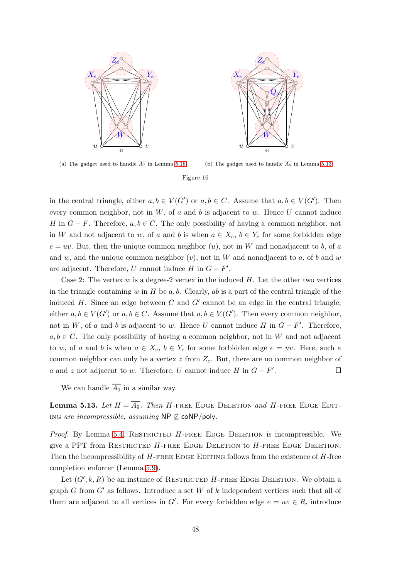<span id="page-47-0"></span>



(a) The gadget used to handle  $\overline{A_7}$  in Lemma [5.16](#page-50-0)

(b) The gadget used to handle  $\overline{A_9}$  in Lemma [5.13](#page-47-1)

#### Figure 16

in the central triangle, either  $a, b \in V(G')$  or  $a, b \in C$ . Assume that  $a, b \in V(G')$ . Then every common neighbor, not in  $W$ , of a and b is adjacent to w. Hence U cannot induce H in  $G - F$ . Therefore,  $a, b \in C$ . The only possibility of having a common neighbor, not in W and not adjacent to w, of a and b is when  $a \in X_e$ ,  $b \in Y_e$  for some forbidden edge  $e = uv$ . But, then the unique common neighbor  $(u)$ , not in W and nonadjacent to b, of a and w, and the unique common neighbor  $(v)$ , not in W and nonadjacent to a, of b and w are adjacent. Therefore, U cannot induce  $H$  in  $G - F'$ .

Case 2: The vertex w is a degree-2 vertex in the induced  $H$ . Let the other two vertices in the triangle containing w in  $H$  be  $a, b$ . Clearly,  $ab$  is a part of the central triangle of the induced  $H$ . Since an edge between  $C$  and  $G'$  cannot be an edge in the central triangle, either  $a, b \in V(G')$  or  $a, b \in C$ . Assume that  $a, b \in V(G')$ . Then every common neighbor, not in W, of a and b is adjacent to w. Hence U cannot induce H in  $G - F'$ . Therefore,  $a, b \in C$ . The only possibility of having a common neighbor, not in W and not adjacent to w, of a and b is when  $a \in X_e$ ,  $b \in Y_e$  for some forbidden edge  $e = uv$ . Here, such a common neighbor can only be a vertex  $z$  from  $Z_e$ . But, there are no common neighbor of a and z not adjacent to w. Therefore, U cannot induce  $H$  in  $G - F'$ . 囗

We can handle  $\overline{A_9}$  in a similar way.

<span id="page-47-1"></span>**Lemma 5.13.** Let  $H = \overline{A_9}$ . Then H-FREE EDGE DELETION and H-FREE EDGE EDITing are incompressible, assuming NP  $\nsubseteq$  coNP/poly.

*Proof.* By Lemma [5.4,](#page-39-0) RESTRICTED  $H$ -FREE EDGE DELETION is incompressible. We give a PPT from RESTRICTED  $H$ -FREE EDGE DELETION to  $H$ -FREE EDGE DELETION. Then the incompressibility of  $H$ -free EDGE EDITING follows from the existence of  $H$ -free completion enforcer (Lemma [5.9\)](#page-44-2).

Let  $(G', k, R)$  be an instance of RESTRICTED H-FREE EDGE DELETION. We obtain a graph G from  $G'$  as follows. Introduce a set W of k independent vertices such that all of them are adjacent to all vertices in  $G'$ . For every forbidden edge  $e = uv \in R$ , introduce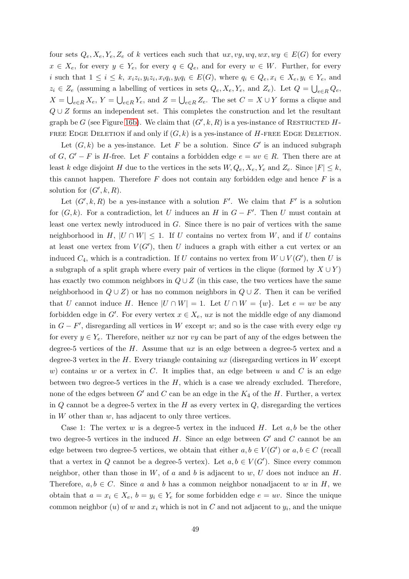four sets  $Q_e, X_e, Y_e, Z_e$  of k vertices each such that  $ux, vy, wg, wx, wy \in E(G)$  for every  $x \in X_e$ , for every  $y \in Y_e$ , for every  $q \in Q_e$ , and for every  $w \in W$ . Further, for every i such that  $1 \leq i \leq k$ ,  $x_i z_i, y_i z_i, x_i q_i, y_i q_i \in E(G)$ , where  $q_i \in Q_e, x_i \in X_e, y_i \in Y_e$ , and  $z_i \in Z_e$  (assuming a labelling of vertices in sets  $Q_e, X_e, Y_e$ , and  $Z_e$ ). Let  $Q = \bigcup_{e \in R} Q_e$ ,  $X = \bigcup_{e \in R} X_e, Y = \bigcup_{e \in R} Y_e$ , and  $Z = \bigcup_{e \in R} Z_e$ . The set  $C = X \cup Y$  forms a clique and  $Q \cup Z$  forms an independent set. This completes the construction and let the resultant graph be G (see Figure [16b\)](#page-47-0). We claim that  $(G', k, R)$  is a yes-instance of RESTRICTED H-FREE EDGE DELETION if and only if  $(G, k)$  is a yes-instance of H-FREE EDGE DELETION.

Let  $(G, k)$  be a yes-instance. Let F be a solution. Since G' is an induced subgraph of G,  $G' - F$  is H-free. Let F contains a forbidden edge  $e = uv \in R$ . Then there are at least k edge disjoint H due to the vertices in the sets  $W, Q_e, X_e, Y_e$  and  $Z_e$ . Since  $|F| \leq k$ , this cannot happen. Therefore  $F$  does not contain any forbidden edge and hence  $F$  is a solution for  $(G', k, R)$ .

Let  $(G', k, R)$  be a yes-instance with a solution F'. We claim that F' is a solution for  $(G, k)$ . For a contradiction, let U induces an H in  $G - F'$ . Then U must contain at least one vertex newly introduced in G. Since there is no pair of vertices with the same neighborhood in H,  $|U \cap W| \leq 1$ . If U contains no vertex from W, and if U contains at least one vertex from  $V(G')$ , then U induces a graph with either a cut vertex or an induced  $C_4$ , which is a contradiction. If U contains no vertex from  $W \cup V(G')$ , then U is a subgraph of a split graph where every pair of vertices in the clique (formed by  $X \cup Y$ ) has exactly two common neighbors in  $Q \cup Z$  (in this case, the two vertices have the same neighborhood in  $Q \cup Z$ ) or has no common neighbors in  $Q \cup Z$ . Then it can be verified that U cannot induce H. Hence  $|U \cap W| = 1$ . Let  $U \cap W = \{w\}$ . Let  $e = uv$  be any forbidden edge in  $G'$ . For every vertex  $x \in X_e$ , ux is not the middle edge of any diamond in  $G - F'$ , disregarding all vertices in W except w; and so is the case with every edge vy for every  $y \in Y_e$ . Therefore, neither ux nor vy can be part of any of the edges between the degree-5 vertices of the  $H$ . Assume that  $ux$  is an edge between a degree-5 vertex and a degree-3 vertex in the  $H$ . Every triangle containing ux (disregarding vertices in  $W$  except w) contains w or a vertex in C. It implies that, an edge between u and C is an edge between two degree-5 vertices in the  $H$ , which is a case we already excluded. Therefore, none of the edges between  $G'$  and  $C$  can be an edge in the  $K_4$  of the H. Further, a vertex in  $Q$  cannot be a degree-5 vertex in the  $H$  as every vertex in  $Q$ , disregarding the vertices in  $W$  other than  $w$ , has adjacent to only three vertices.

Case 1: The vertex w is a degree-5 vertex in the induced  $H$ . Let  $a, b$  be the other two degree-5 vertices in the induced  $H$ . Since an edge between  $G'$  and  $C$  cannot be an edge between two degree-5 vertices, we obtain that either  $a, b \in V(G')$  or  $a, b \in C$  (recall that a vertex in Q cannot be a degree-5 vertex). Let  $a, b \in V(G')$ . Since every common neighbor, other than those in  $W$ , of a and b is adjacent to  $w$ , U does not induce an H. Therefore,  $a, b \in C$ . Since a and b has a common neighbor nonadjacent to w in H, we obtain that  $a = x_i \in X_e$ ,  $b = y_i \in Y_e$  for some forbidden edge  $e = uv$ . Since the unique common neighbor  $(u)$  of w and  $x_i$  which is not in C and not adjacent to  $y_i$ , and the unique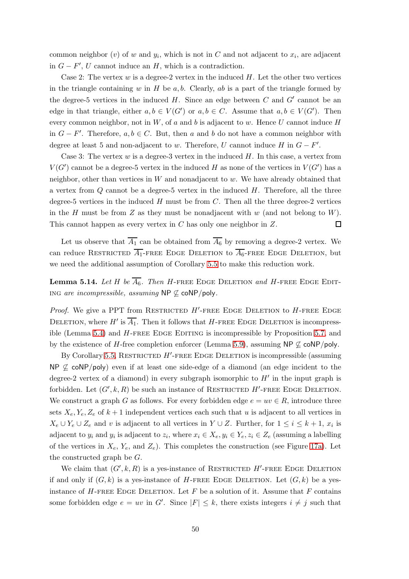common neighbor  $(v)$  of  $w$  and  $y_i$ , which is not in  $C$  and not adjacent to  $x_i$ , are adjacent in  $G - F'$ , U cannot induce an H, which is a contradiction.

Case 2: The vertex  $w$  is a degree-2 vertex in the induced  $H$ . Let the other two vertices in the triangle containing w in H be  $a, b$ . Clearly, ab is a part of the triangle formed by the degree-5 vertices in the induced  $H$ . Since an edge between  $C$  and  $G'$  cannot be an edge in that triangle, either  $a, b \in V(G')$  or  $a, b \in C$ . Assume that  $a, b \in V(G')$ . Then every common neighbor, not in  $W$ , of  $a$  and  $b$  is adjacent to  $w$ . Hence  $U$  cannot induce  $H$ in  $G - F'$ . Therefore,  $a, b \in C$ . But, then a and b do not have a common neighbor with degree at least 5 and non-adjacent to w. Therefore, U cannot induce  $H$  in  $G - F'$ .

Case 3: The vertex  $w$  is a degree-3 vertex in the induced  $H$ . In this case, a vertex from  $V(G')$  cannot be a degree-5 vertex in the induced H as none of the vertices in  $V(G')$  has a neighbor, other than vertices in  $W$  and nonadjacent to  $w$ . We have already obtained that a vertex from  $Q$  cannot be a degree-5 vertex in the induced  $H$ . Therefore, all the three degree-5 vertices in the induced  $H$  must be from  $C$ . Then all the three degree-2 vertices in the H must be from Z as they must be nonadjacent with  $w$  (and not belong to W). This cannot happen as every vertex in C has only one neighbor in Z.  $\Box$ 

Let us observe that  $\overline{A_1}$  can be obtained from  $\overline{A_6}$  by removing a degree-2 vertex. We can reduce RESTRICTED  $\overline{A_1}$ -FREE EDGE DELETION to  $\overline{A_6}$ -FREE EDGE DELETION, but we need the additional assumption of Corollary [5.5](#page-41-0) to make this reduction work.

<span id="page-49-0"></span>**Lemma 5.14.** Let H be  $\overline{A_6}$ . Then H-FREE EDGE DELETION and H-FREE EDGE EDITing are incompressible, assuming NP  $\nsubseteq$  coNP/poly.

*Proof.* We give a PPT from RESTRICTED  $H'$ -FREE EDGE DELETION to  $H$ -FREE EDGE DELETION, where  $H'$  is  $\overline{A_1}$ . Then it follows that H-FREE EDGE DELETION is incompress-ible (Lemma [5.4\)](#page-39-0) and H-FREE EDGE EDITING is incompressible by Proposition [5.7,](#page-44-1) and by the existence of H-free completion enforcer (Lemma [5.9\)](#page-44-2), assuming NP  $\mathcal{L}$  coNP/poly.

By Corollary [5.5,](#page-41-0) RESTRICTED  $H'$ -FREE EDGE DELETION is incompressible (assuming  $NP \nsubseteq \text{coNP/poly}$  even if at least one side-edge of a diamond (an edge incident to the degree-2 vertex of a diamond) in every subgraph isomorphic to  $H'$  in the input graph is forbidden. Let  $(G', k, R)$  be such an instance of RESTRICTED  $H'$ -FREE EDGE DELETION. We construct a graph G as follows. For every forbidden edge  $e = uv \in R$ , introduce three sets  $X_e, Y_e, Z_e$  of  $k+1$  independent vertices each such that u is adjacent to all vertices in  $X_e \cup Y_e \cup Z_e$  and v is adjacent to all vertices in  $Y \cup Z$ . Further, for  $1 \leq i \leq k+1$ ,  $x_i$  is adjacent to  $y_i$  and  $y_i$  is adjacent to  $z_i$ , where  $x_i \in X_e$ ,  $y_i \in Y_e$ ,  $z_i \in Z_e$  (assuming a labelling of the vertices in  $X_e$ ,  $Y_e$ , and  $Z_e$ ). This completes the construction (see Figure [17a\)](#page-50-1). Let the constructed graph be G.

We claim that  $(G', k, R)$  is a yes-instance of RESTRICTED H'-FREE EDGE DELETION if and only if  $(G, k)$  is a yes-instance of H-FREE EDGE DELETION. Let  $(G, k)$  be a yesinstance of  $H$ -FREE EDGE DELETION. Let  $F$  be a solution of it. Assume that  $F$  contains some forbidden edge  $e = uv$  in  $G'$ . Since  $|F| \leq k$ , there exists integers  $i \neq j$  such that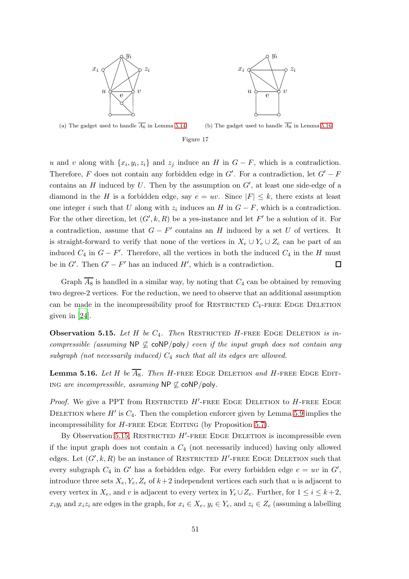<span id="page-50-1"></span>



(a) The gadget used to handle  $\overline{A_6}$  in Lemma [5.14](#page-49-0)

(b) The gadget used to handle  $\overline{A_8}$  in Lemma [5.16](#page-50-0)

#### Figure 17

u and v along with  $\{x_i, y_i, z_i\}$  and  $z_j$  induce an H in  $G - F$ , which is a contradiction. Therefore, F does not contain any forbidden edge in  $G'$ . For a contradiction, let  $G' - F$ contains an  $H$  induced by  $U$ . Then by the assumption on  $G'$ , at least one side-edge of a diamond in the H is a forbidden edge, say  $e = uv$ . Since  $|F| \leq k$ , there exists at least one integer i such that U along with  $z_i$  induces an H in  $G - F$ , which is a contradiction. For the other direction, let  $(G', k, R)$  be a yes-instance and let  $F'$  be a solution of it. For a contradiction, assume that  $G - F'$  contains an H induced by a set U of vertices. It is straight-forward to verify that none of the vertices in  $X_e \cup Y_e \cup Z_e$  can be part of an induced  $C_4$  in  $G - F'$ . Therefore, all the vertices in both the induced  $C_4$  in the H must be in  $G'$ . Then  $G' - F'$  has an induced  $H'$ , which is a contradiction. 囗

Graph  $\overline{A_8}$  is handled in a similar way, by noting that  $C_4$  can be obtained by removing two degree-2 vertices. For the reduction, we need to observe that an additional assumption can be made in the incompressibility proof for RESTRICTED  $C_4$ -FREE EDGE DELETION given in [\[24](#page-57-0)].

<span id="page-50-2"></span>**Observation 5.15.** Let H be  $C_4$ . Then RESTRICTED H-FREE EDGE DELETION is incompressible (assuming NP  $\nsubseteq$  coNP/poly) even if the input graph does not contain any subgraph (not necessarily induced)  $C_4$  such that all its edges are allowed.

<span id="page-50-0"></span>**Lemma 5.16.** Let H be  $\overline{A_8}$ . Then H-FREE EDGE DELETION and H-FREE EDGE EDITing are incompressible, assuming  $NP \nsubseteq \text{coNP/poly}.$ 

*Proof.* We give a PPT from RESTRICTED  $H'$ -FREE EDGE DELETION to  $H$ -FREE EDGE DELETION where  $H'$  is  $C_4$ . Then the completion enforcer given by Lemma [5.9](#page-44-2) implies the incompressibility for  $H$ -FREE EDGE EDITING (by Proposition [5.7\)](#page-44-1).

By Observation [5.15,](#page-50-2) RESTRICTED  $H'$ -FREE EDGE DELETION is incompressible even if the input graph does not contain a  $C_4$  (not necessarily induced) having only allowed edges. Let  $(G', k, R)$  be an instance of RESTRICTED H'-FREE EDGE DELETION such that every subgraph  $C_4$  in  $G'$  has a forbidden edge. For every forbidden edge  $e = uv$  in  $G'$ , introduce three sets  $X_e, Y_e, Z_e$  of  $k+2$  independent vertices each such that u is adjacent to every vertex in  $X_e$ , and v is adjacent to every vertex in  $Y_e \cup Z_e$ . Further, for  $1 \leq i \leq k+2$ ,  $x_iy_i$  and  $x_iz_i$  are edges in the graph, for  $x_i \in X_e$ ,  $y_i \in Y_e$ , and  $z_i \in Z_e$  (assuming a labelling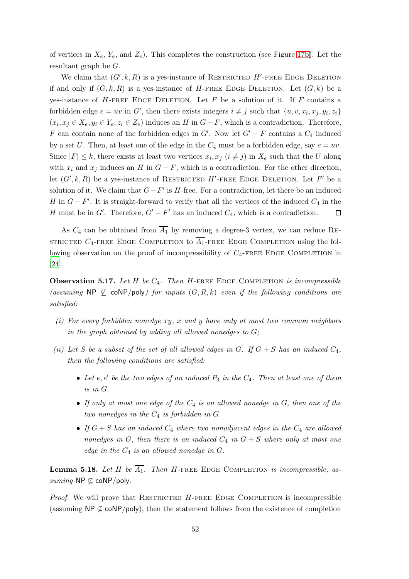of vertices in  $X_e$ ,  $Y_e$ , and  $Z_e$ ). This completes the construction (see Figure [17b\)](#page-50-1). Let the resultant graph be G.

We claim that  $(G', k, R)$  is a yes-instance of RESTRICTED H'-FREE EDGE DELETION if and only if  $(G, k, R)$  is a yes-instance of H-FREE EDGE DELETION. Let  $(G, k)$  be a yes-instance of  $H$ -FREE EDGE DELETION. Let  $F$  be a solution of it. If  $F$  contains a forbidden edge  $e = uv$  in G', then there exists integers  $i \neq j$  such that  $\{u, v, x_i, x_j, y_i, z_i\}$  $(x_i, x_j \in X_e, y_i \in Y_e, z_i \in Z_e)$  induces an H in  $G-F$ , which is a contradiction. Therefore, F can contain none of the forbidden edges in  $G'$ . Now let  $G' - F$  contains a  $C_4$  induced by a set U. Then, at least one of the edge in the  $C_4$  must be a forbidden edge, say  $e = uv$ . Since  $|F| \leq k$ , there exists at least two vertices  $x_i, x_j$   $(i \neq j)$  in  $X_e$  such that the U along with  $x_i$  and  $x_j$  induces an H in  $G - F$ , which is a contradiction. For the other direction, let  $(G', k, R)$  be a yes-instance of RESTRICTED H'-FREE EDGE DELETION. Let F' be a solution of it. We claim that  $G-F'$  is H-free. For a contradiction, let there be an induced H in  $G - F'$ . It is straight-forward to verify that all the vertices of the induced  $C_4$  in the H must be in  $G'$ . Therefore,  $G' - F'$  has an induced  $C_4$ , which is a contradiction.  $\Box$ 

As  $C_4$  can be obtained from  $\overline{A_1}$  by removing a degree-3 vertex, we can reduce RE-STRICTED  $C_4$ -FREE EDGE COMPLETION to  $\overline{A_1}$ -FREE EDGE COMPLETION using the following observation on the proof of incompressibility of  $C_4$ -FREE EDGE COMPLETION in [\[24\]](#page-57-0).

<span id="page-51-0"></span>**Observation 5.17.** Let  $H$  be  $C_4$ . Then  $H$ -FREE EDGE COMPLETION is incompressible (assuming NP  $\nsubseteq$  coNP/poly) for inputs  $(G, R, k)$  even if the following conditions are satisfied:

- (i) For every forbidden nonedge  $xy$ , x and y have only at most two common neighbors in the graph obtained by adding all allowed nonedges to  $G$ ;
- (ii) Let S be a subset of the set of all allowed edges in G. If  $G + S$  has an induced  $C_4$ , then the following conditions are satisfied:
	- Let  $e, e'$  be the two edges of an induced  $P_3$  in the  $C_4$ . Then at least one of them is in G.
	- If only at most one edge of the  $C_4$  is an allowed nonedge in G, then one of the two nonedges in the  $C_4$  is forbidden in G.
	- If  $G + S$  has an induced  $C_4$  where two nonadjacent edges in the  $C_4$  are allowed nonedges in G, then there is an induced  $C_4$  in  $G + S$  where only at most one edge in the  $C_4$  is an allowed nonedge in  $G$ .

<span id="page-51-1"></span>**Lemma 5.18.** Let H be  $\overline{A_1}$ . Then H-FREE EDGE COMPLETION is incompressible, assuming NP  $\not\subseteq$  coNP/poly.

*Proof.* We will prove that RESTRICTED  $H$ -FREE EDGE COMPLETION is incompressible (assuming NP  $\not\subseteq$  coNP/poly), then the statement follows from the existence of completion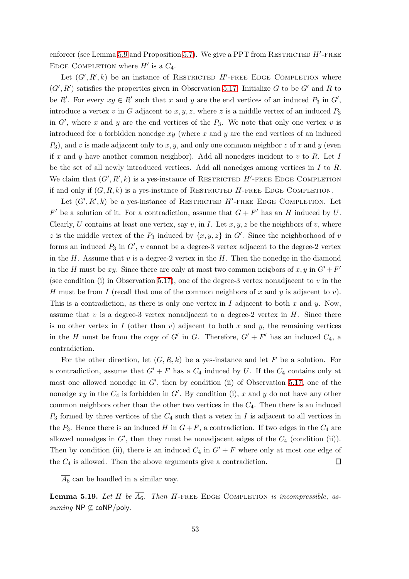enforcer (see Lemma [5.9](#page-44-2) and Proposition [5.7\)](#page-44-1). We give a PPT from RESTRICTED  $H'$ -FREE EDGE COMPLETION where  $H'$  is a  $C_4$ .

Let  $(G', R', k)$  be an instance of RESTRICTED H'-FREE EDGE COMPLETION where  $(G', R')$  satisfies the properties given in Observation [5.17.](#page-51-0) Initialize G to be G' and R to be R'. For every  $xy \in R'$  such that x and y are the end vertices of an induced  $P_3$  in  $G'$ , introduce a vertex v in G adjacent to  $x, y, z$ , where z is a middle vertex of an induced  $P_3$ in  $G'$ , where x and y are the end vertices of the  $P_3$ . We note that only one vertex v is introduced for a forbidden nonedge  $xy$  (where x and y are the end vertices of an induced  $P_3$ ), and v is made adjacent only to x, y, and only one common neighbor z of x and y (even if x and y have another common neighbor). Add all nonedges incident to v to R. Let I be the set of all newly introduced vertices. Add all nonedges among vertices in I to R. We claim that  $(G', R', k)$  is a yes-instance of RESTRICTED  $H'$ -FREE EDGE COMPLETION if and only if  $(G, R, k)$  is a yes-instance of RESTRICTED H-FREE EDGE COMPLETION.

Let  $(G', R', k)$  be a yes-instance of RESTRICTED H'-FREE EDGE COMPLETION. Let  $F'$  be a solution of it. For a contradiction, assume that  $G + F'$  has an H induced by U. Clearly, U contains at least one vertex, say v, in I. Let  $x, y, z$  be the neighbors of v, where z is the middle vertex of the  $P_3$  induced by  $\{x, y, z\}$  in G'. Since the neighborhood of v forms an induced  $P_3$  in  $G'$ , v cannot be a degree-3 vertex adjacent to the degree-2 vertex in the H. Assume that  $v$  is a degree-2 vertex in the H. Then the nonedge in the diamond in the H must be xy. Since there are only at most two common neigbors of x, y in  $G' + F'$ (see condition (i) in Observation [5.17\)](#page-51-0), one of the degree-3 vertex nonadjacent to  $v$  in the H must be from I (recall that one of the common neighbors of x and y is adjacent to v). This is a contradiction, as there is only one vertex in I adjacent to both x and y. Now, assume that  $v$  is a degree-3 vertex nonadjacent to a degree-2 vertex in  $H$ . Since there is no other vertex in I (other than v) adjacent to both x and y, the remaining vertices in the H must be from the copy of G' in G. Therefore,  $G' + F'$  has an induced  $C_4$ , a contradiction.

For the other direction, let  $(G, R, k)$  be a yes-instance and let F be a solution. For a contradiction, assume that  $G' + F$  has a  $C_4$  induced by U. If the  $C_4$  contains only at most one allowed nonedge in  $G'$ , then by condition (ii) of Observation [5.17,](#page-51-0) one of the nonedge  $xy$  in the  $C_4$  is forbidden in  $G'$ . By condition (i), x and y do not have any other common neighbors other than the other two vertices in the  $C_4$ . Then there is an induced  $P_3$  formed by three vertices of the  $C_4$  such that a vetex in I is adjacent to all vertices in the  $P_3$ . Hence there is an induced H in  $G + F$ , a contradiction. If two edges in the  $C_4$  are allowed nonedges in  $G'$ , then they must be nonadjacent edges of the  $C_4$  (condition (ii)). Then by condition (ii), there is an induced  $C_4$  in  $G' + F$  where only at most one edge of the  $C_4$  is allowed. Then the above arguments give a contradiction.  $\Box$ 

 $\overline{A_6}$  can be handled in a similar way.

<span id="page-52-0"></span>**Lemma 5.19.** Let H be  $\overline{A_6}$ . Then H-FREE EDGE COMPLETION is incompressible, assuming NP  $\nsubseteq$  coNP/poly.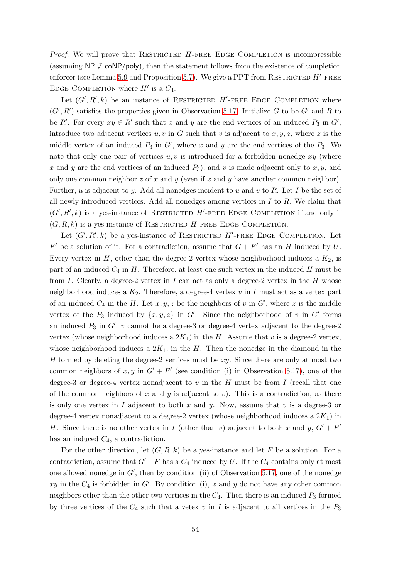*Proof.* We will prove that RESTRICTED  $H$ -FREE EDGE COMPLETION is incompressible (assuming NP  $\nsubseteq$  coNP/poly), then the statement follows from the existence of completion enforcer (see Lemma [5.9](#page-44-2) and Proposition [5.7\)](#page-44-1). We give a PPT from RESTRICTED  $H'$ -FREE EDGE COMPLETION where  $H'$  is a  $C_4$ .

Let  $(G', R', k)$  be an instance of RESTRICTED H'-FREE EDGE COMPLETION where  $(G', R')$  satisfies the properties given in Observation [5.17.](#page-51-0) Initialize G to be G' and R to be R'. For every  $xy \in R'$  such that x and y are the end vertices of an induced  $P_3$  in  $G'$ , introduce two adjacent vertices  $u, v$  in G such that v is adjacent to  $x, y, z$ , where z is the middle vertex of an induced  $P_3$  in  $G'$ , where x and y are the end vertices of the  $P_3$ . We note that only one pair of vertices  $u, v$  is introduced for a forbidden nonedge  $xy$  (where x and y are the end vertices of an induced  $P_3$ , and v is made adjacent only to x, y, and only one common neighbor z of x and y (even if x and y have another common neighbor). Further, u is adjacent to y. Add all nonedges incident to u and v to R. Let I be the set of all newly introduced vertices. Add all nonedges among vertices in  $I$  to  $R$ . We claim that  $(G', R', k)$  is a yes-instance of RESTRICTED H'-FREE EDGE COMPLETION if and only if  $(G, R, k)$  is a yes-instance of RESTRICTED H-FREE EDGE COMPLETION.

Let  $(G', R', k)$  be a yes-instance of RESTRICTED H'-FREE EDGE COMPLETION. Let  $F'$  be a solution of it. For a contradiction, assume that  $G + F'$  has an H induced by U. Every vertex in  $H$ , other than the degree-2 vertex whose neighborhood induces a  $K_2$ , is part of an induced  $C_4$  in H. Therefore, at least one such vertex in the induced H must be from I. Clearly, a degree-2 vertex in I can act as only a degree-2 vertex in the H whose neighborhood induces a  $K_2$ . Therefore, a degree-4 vertex v in I must act as a vertex part of an induced  $C_4$  in the H. Let  $x, y, z$  be the neighbors of v in  $G'$ , where z is the middle vertex of the  $P_3$  induced by  $\{x, y, z\}$  in  $G'$ . Since the neighborhood of v in  $G'$  forms an induced  $P_3$  in  $G'$ , v cannot be a degree-3 or degree-4 vertex adjacent to the degree-2 vertex (whose neighborhood induces a  $2K_1$ ) in the H. Assume that v is a degree-2 vertex, whose neighborhood induces a  $2K_1$ , in the H. Then the nonedge in the diamond in the H formed by deleting the degree-2 vertices must be  $xy$ . Since there are only at most two common neighbors of  $x, y$  in  $G' + F'$  (see condition (i) in Observation [5.17\)](#page-51-0), one of the degree-3 or degree-4 vertex nonadjacent to v in the H must be from I (recall that one of the common neighbors of x and y is adjacent to v). This is a contradiction, as there is only one vertex in I adjacent to both x and y. Now, assume that v is a degree-3 or degree-4 vertex nonadjacent to a degree-2 vertex (whose neighborhood induces a  $2K_1$ ) in H. Since there is no other vertex in I (other than v) adjacent to both x and y,  $G' + F'$ has an induced  $C_4$ , a contradiction.

For the other direction, let  $(G, R, k)$  be a yes-instance and let F be a solution. For a contradiction, assume that  $G' + F$  has a  $C_4$  induced by U. If the  $C_4$  contains only at most one allowed nonedge in  $G'$ , then by condition (ii) of Observation [5.17,](#page-51-0) one of the nonedge xy in the  $C_4$  is forbidden in G'. By condition (i), x and y do not have any other common neighbors other than the other two vertices in the  $C_4$ . Then there is an induced  $P_3$  formed by three vertices of the  $C_4$  such that a vetex v in I is adjacent to all vertices in the  $P_3$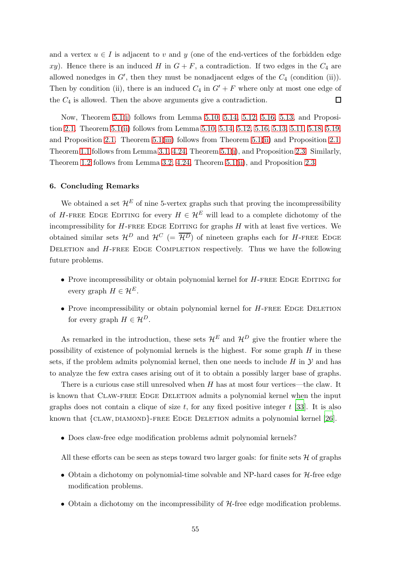and a vertex  $u \in I$  is adjacent to v and y (one of the end-vertices of the forbidden edge xy). Hence there is an induced H in  $G + F$ , a contradiction. If two edges in the  $C_4$  are allowed nonedges in  $G'$ , then they must be nonadjacent edges of the  $C_4$  (condition (ii)). Then by condition (ii), there is an induced  $C_4$  in  $G' + F$  where only at most one edge of the  $C_4$  is allowed. Then the above arguments give a contradiction.  $\Box$ 

Now, Theorem [5.1](#page-35-2)[\(i\)](#page-35-3) follows from Lemma [5.10,](#page-45-1) [5.14,](#page-49-0) [5.12,](#page-46-0) [5.16,](#page-50-0) [5.13,](#page-47-1) and Proposition [2.1.](#page-10-0) Theorem [5.1\(](#page-35-2)[ii\)](#page-35-4) follows from Lemma [5.10,](#page-45-1) [5.14,](#page-49-0) [5.12,](#page-46-0) [5.16,](#page-50-0) [5.13,](#page-47-1) [5.11,](#page-45-0) [5.18,](#page-51-1) [5.19,](#page-52-0) and Proposition [2.1.](#page-10-0) Theorem [5.1](#page-35-2)[\(iii\)](#page-35-5) follows from Theorem [5.1](#page-35-2)[\(ii\)](#page-35-4) and Proposition [2.1.](#page-10-0) Theorem [1.1](#page-2-1) follows from Lemma [3.1,](#page-12-4) [4.24,](#page-34-1) Theorem [5.1](#page-35-2)[\(i\)](#page-35-3), and Proposition [2.3.](#page-10-2) Similarly, Theorem [1.2](#page-4-1) follows from Lemma [3.2,](#page-12-2) [4.24,](#page-34-1) Theorem [5.1](#page-35-2)[\(ii\)](#page-35-4), and Proposition [2.3.](#page-10-2)

## 6. Concluding Remarks

We obtained a set  $\mathcal{H}^E$  of nine 5-vertex graphs such that proving the incompressibility of H-FREE EDGE EDITING for every  $H \in \mathcal{H}^E$  will lead to a complete dichotomy of the incompressibility for  $H$ -FREE EDGE EDITING for graphs  $H$  with at least five vertices. We obtained similar sets  $\mathcal{H}^D$  and  $\mathcal{H}^C$  (=  $\overline{\mathcal{H}^D}$ ) of nineteen graphs each for H-FREE EDGE DELETION and  $H$ -FREE EDGE COMPLETION respectively. Thus we have the following future problems.

- Prove incompressibility or obtain polynomial kernel for  $H$ -FREE EDGE EDITING for every graph  $H \in \mathcal{H}^E$ .
- $\bullet$  Prove incompressibility or obtain polynomial kernel for H-FREE EDGE DELETION for every graph  $H \in \mathcal{H}^D$ .

As remarked in the introduction, these sets  $\mathcal{H}^E$  and  $\mathcal{H}^D$  give the frontier where the possibility of existence of polynomial kernels is the highest. For some graph  $H$  in these sets, if the problem admits polynomial kernel, then one needs to include  $H$  in  $\mathcal Y$  and has to analyze the few extra cases arising out of it to obtain a possibly larger base of graphs.

There is a curious case still unresolved when H has at most four vertices—the claw. It is known that Claw-free Edge Deletion admits a polynomial kernel when the input graphs does not contain a clique of size  $t$ , for any fixed positive integer  $t$  [33]. It is also known that  ${CIAW, DIAMOND}$ -FREE EDGE DELETION admits a polynomial kernel [\[26](#page-57-2)].

• Does claw-free edge modification problems admit polynomial kernels?

All these efforts can be seen as steps toward two larger goals: for finite sets  $\mathcal H$  of graphs

- Obtain a dichotomy on polynomial-time solvable and NP-hard cases for  $H$ -free edge modification problems.
- Obtain a dichotomy on the incompressibility of H-free edge modification problems.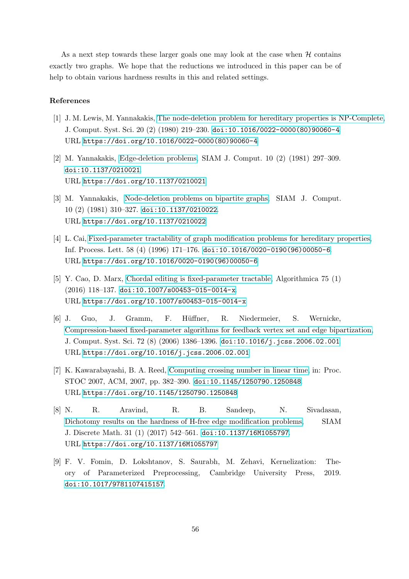As a next step towards these larger goals one may look at the case when  $H$  contains exactly two graphs. We hope that the reductions we introduced in this paper can be of help to obtain various hardness results in this and related settings.

## References

- [1] J. M. Lewis, M. Yannakakis, [The node-deletion problem for hereditary properties is NP-Complete,](https://doi.org/10.1016/0022-0000(80)90060-4) J. Comput. Syst. Sci. 20 (2) (1980) 219–230. [doi:10.1016/0022-0000\(80\)90060-4](http://dx.doi.org/10.1016/0022-0000(80)90060-4). URL [https://doi.org/10.1016/0022-0000\(80\)90060-4](https://doi.org/10.1016/0022-0000(80)90060-4)
- [2] M. Yannakakis, [Edge-deletion problems,](https://doi.org/10.1137/0210021) SIAM J. Comput. 10 (2) (1981) 297–309. [doi:10.1137/0210021](http://dx.doi.org/10.1137/0210021). URL <https://doi.org/10.1137/0210021>
- [3] M. Yannakakis, [Node-deletion problems on bipartite graphs,](https://doi.org/10.1137/0210022) SIAM J. Comput. 10 (2) (1981) 310–327. [doi:10.1137/0210022](http://dx.doi.org/10.1137/0210022). URL <https://doi.org/10.1137/0210022>
- [4] L. Cai, [Fixed-parameter tractability of graph modification problems for hereditary properties,](https://doi.org/10.1016/0020-0190(96)00050-6) Inf. Process. Lett. 58 (4) (1996) 171–176. [doi:10.1016/0020-0190\(96\)00050-6](http://dx.doi.org/10.1016/0020-0190(96)00050-6). URL [https://doi.org/10.1016/0020-0190\(96\)00050-6](https://doi.org/10.1016/0020-0190(96)00050-6)
- [5] Y. Cao, D. Marx, [Chordal editing is fixed-parameter tractable,](https://doi.org/10.1007/s00453-015-0014-x) Algorithmica 75 (1) (2016) 118–137. [doi:10.1007/s00453-015-0014-x](http://dx.doi.org/10.1007/s00453-015-0014-x). URL <https://doi.org/10.1007/s00453-015-0014-x>
- [6] J. Guo, J. Gramm, F. H¨uffner, R. Niedermeier, S. Wernicke, [Compression-based fixed-parameter algorithms for feedback vertex set and edge bipartization,](https://doi.org/10.1016/j.jcss.2006.02.001) J. Comput. Syst. Sci. 72 (8) (2006) 1386–1396. [doi:10.1016/j.jcss.2006.02.001](http://dx.doi.org/10.1016/j.jcss.2006.02.001). URL <https://doi.org/10.1016/j.jcss.2006.02.001>
- [7] K. Kawarabayashi, B. A. Reed, [Computing crossing number](https://doi.org/10.1145/1250790.1250848) in linear time, in: Proc. STOC 2007, ACM, 2007, pp. 382–390. [doi:10.1145/1250790.1250848](http://dx.doi.org/10.1145/1250790.1250848). URL <https://doi.org/10.1145/1250790.1250848>
- <span id="page-55-0"></span>[8] N. R. Aravind, R. B. Sandeep, N. Sivadasan, [Dichotomy results on the hardness of H-free edge modification problems,](https://doi.org/10.1137/16M1055797) SIAM J. Discrete Math. 31 (1) (2017) 542–561. [doi:10.1137/16M1055797](http://dx.doi.org/10.1137/16M1055797). URL <https://doi.org/10.1137/16M1055797>
- <span id="page-55-1"></span>[9] F. V. Fomin, D. Lokshtanov, S. Saurabh, M. Zehavi, Kernelization: Theory of Parameterized Preprocessing, Cambridge University Press, 2019. [doi:10.1017/9781107415157](http://dx.doi.org/10.1017/9781107415157).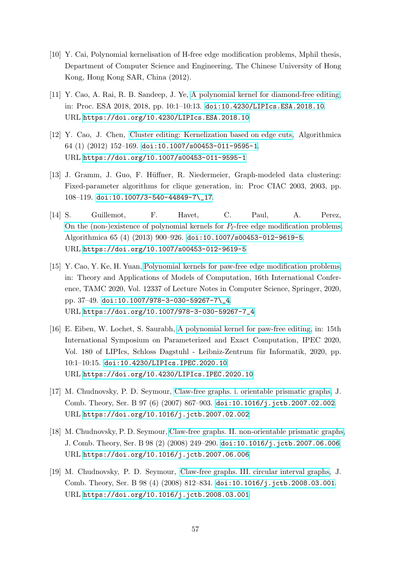- <span id="page-56-0"></span>[10] Y. Cai, Polynomial kernelisation of H-free edge modification problems, Mphil thesis, Department of Computer Science and Engineering, The Chinese University of Hong Kong, Hong Kong SAR, China (2012).
- <span id="page-56-1"></span>[11] Y. Cao, A. Rai, R. B. Sandeep, J. Ye, [A polynomial kernel for diamond-free editing,](https://doi.org/10.4230/LIPIcs.ESA.2018.10) in: Proc. ESA 2018, 2018, pp. 10:1–10:13. [doi:10.4230/LIPIcs.ESA.2018.10](http://dx.doi.org/10.4230/LIPIcs.ESA.2018.10). URL <https://doi.org/10.4230/LIPIcs.ESA.2018.10>
- <span id="page-56-2"></span>[12] Y. Cao, J. Chen, [Cluster editing: Kernelization based on edge cuts,](https://doi.org/10.1007/s00453-011-9595-1) Algorithmica 64 (1) (2012) 152–169. [doi:10.1007/s00453-011-9595-1](http://dx.doi.org/10.1007/s00453-011-9595-1). URL <https://doi.org/10.1007/s00453-011-9595-1>
- <span id="page-56-3"></span>[13] J. Gramm, J. Guo, F. H¨uffner, R. Niedermeier, Graph-modeled data clustering: Fixed-parameter algorithms for clique generation, in: Proc CIAC 2003, 2003, pp. 108–119. [doi:10.1007/3-540-44849-7\\\_17](http://dx.doi.org/10.1007/3-540-44849-7_17).
- <span id="page-56-4"></span>[14] S. Guillemot, F. Havet, C. Paul, A. Perez, [On the \(non-\)existence of polynomial kernels for](https://doi.org/10.1007/s00453-012-9619-5)  $P_\ell$ -free edge modification problems, Algorithmica 65 (4) (2013) 900–926. [doi:10.1007/s00453-012-9619-5](http://dx.doi.org/10.1007/s00453-012-9619-5). URL <https://doi.org/10.1007/s00453-012-9619-5>
- <span id="page-56-5"></span>[15] Y. Cao, Y. Ke, H. Yuan, [Polynomial kernels for paw-free edge modification problems,](https://doi.org/10.1007/978-3-030-59267-7_4) in: Theory and Applications of Models of Computation, 16th International Conference, TAMC 2020, Vol. 12337 of Lecture Notes in Computer Science, Springer, 2020, pp. 37–49. [doi:10.1007/978-3-030-59267-7\\\_4](http://dx.doi.org/10.1007/978-3-030-59267-7_4). URL [https://doi.org/10.1007/978-3-030-59267-7\\_4](https://doi.org/10.1007/978-3-030-59267-7_4)
- <span id="page-56-6"></span>[16] E. Eiben, W. Lochet, S. Saurabh, [A polynomial kernel for](https://doi.org/10.4230/LIPIcs.IPEC.2020.10) paw-free editing, in: 15th International Symposium on Parameterized and Exact Computation, IPEC 2020, Vol. 180 of LIPIcs, Schloss Dagstuhl - Leibniz-Zentrum für Informatik, 2020, pp. 10:1–10:15. [doi:10.4230/LIPIcs.IPEC.2020.10](http://dx.doi.org/10.4230/LIPIcs.IPEC.2020.10). URL <https://doi.org/10.4230/LIPIcs.IPEC.2020.10>
- [17] M. Chudnovsky, P. D. Seymour, [Claw-free graphs. i. orientable prismatic graphs,](https://doi.org/10.1016/j.jctb.2007.02.002) J. Comb. Theory, Ser. B 97 (6) (2007) 867–903. [doi:10.1016/j.jctb.2007.02.002](http://dx.doi.org/10.1016/j.jctb.2007.02.002). URL <https://doi.org/10.1016/j.jctb.2007.02.002>
- [18] M. Chudnovsky, P. D. Seymour, [Claw-free graphs. II. non-orientable prismatic graphs,](https://doi.org/10.1016/j.jctb.2007.06.006) J. Comb. Theory, Ser. B 98 (2) (2008) 249–290. [doi:10.1016/j.jctb.2007.06.006](http://dx.doi.org/10.1016/j.jctb.2007.06.006). URL <https://doi.org/10.1016/j.jctb.2007.06.006>
- [19] M. Chudnovsky, P. D. Seymour, [Claw-free graphs. III. circular interval graphs,](https://doi.org/10.1016/j.jctb.2008.03.001) J. Comb. Theory, Ser. B 98 (4) (2008) 812–834. [doi:10.1016/j.jctb.2008.03.001](http://dx.doi.org/10.1016/j.jctb.2008.03.001). URL <https://doi.org/10.1016/j.jctb.2008.03.001>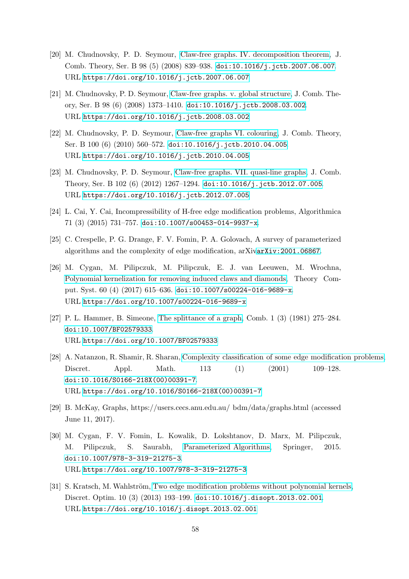- [20] M. Chudnovsky, P. D. Seymour, [Claw-free graphs. IV. decomposition theorem,](https://doi.org/10.1016/j.jctb.2007.06.007) J. Comb. Theory, Ser. B 98 (5) (2008) 839–938. [doi:10.1016/j.jctb.2007.06.007](http://dx.doi.org/10.1016/j.jctb.2007.06.007). URL <https://doi.org/10.1016/j.jctb.2007.06.007>
- [21] M. Chudnovsky, P. D. Seymour, [Claw-free graphs. v. global structure,](https://doi.org/10.1016/j.jctb.2008.03.002) J. Comb. Theory, Ser. B 98 (6) (2008) 1373–1410. [doi:10.1016/j.jctb.2008.03.002](http://dx.doi.org/10.1016/j.jctb.2008.03.002). URL <https://doi.org/10.1016/j.jctb.2008.03.002>
- [22] M. Chudnovsky, P. D. Seymour, [Claw-free graphs VI. colouring,](https://doi.org/10.1016/j.jctb.2010.04.005) J. Comb. Theory, Ser. B 100 (6) (2010) 560–572. [doi:10.1016/j.jctb.2010.04.005](http://dx.doi.org/10.1016/j.jctb.2010.04.005). URL <https://doi.org/10.1016/j.jctb.2010.04.005>
- [23] M. Chudnovsky, P. D. Seymour, [Claw-free graphs. VII. quasi-line graphs,](https://doi.org/10.1016/j.jctb.2012.07.005) J. Comb. Theory, Ser. B 102 (6) (2012) 1267–1294. [doi:10.1016/j.jctb.2012.07.005](http://dx.doi.org/10.1016/j.jctb.2012.07.005). URL <https://doi.org/10.1016/j.jctb.2012.07.005>
- <span id="page-57-0"></span>[24] L. Cai, Y. Cai, Incompressibility of H-free edge modification problems, Algorithmica 71 (3) (2015) 731–757. [doi:10.1007/s00453-014-9937-x](http://dx.doi.org/10.1007/s00453-014-9937-x).
- <span id="page-57-1"></span>[25] C. Crespelle, P. G. Drange, F. V. Fomin, P. A. Golovach, A survey of parameterized algorithms and the complexity of edge modification, arXiv[arXiv:2001.06867](http://arxiv.org/abs/2001.06867).
- <span id="page-57-2"></span>[26] M. Cygan, M. Pilipczuk, M. Pilipczuk, E. J. van Leeuwen, M. Wrochna, [Polynomial kernelization for removing induced claws and diamonds,](https://doi.org/10.1007/s00224-016-9689-x) Theory Comput. Syst. 60 (4) (2017) 615–636. [doi:10.1007/s00224-016-9689-x](http://dx.doi.org/10.1007/s00224-016-9689-x). URL <https://doi.org/10.1007/s00224-016-9689-x>
- [27] P. L. Hammer, B. Simeone, [The splittance of a graph,](https://doi.org/10.1007/BF02579333) Comb. 1 (3) (1981) 275–284. [doi:10.1007/BF02579333](http://dx.doi.org/10.1007/BF02579333). URL <https://doi.org/10.1007/BF02579333>
- [28] A. Natanzon, R. Shamir, R. Sharan, [Complexity classification of some edge modification problems,](https://doi.org/10.1016/S0166-218X(00)00391-7) Discret. Appl. Math. 113 (1) (2001) 109–128. [doi:10.1016/S0166-218X\(00\)00391-7](http://dx.doi.org/10.1016/S0166-218X(00)00391-7). URL [https://doi.org/10.1016/S0166-218X\(00\)00391-7](https://doi.org/10.1016/S0166-218X(00)00391-7)
- <span id="page-57-3"></span>[29] B. McKay, Graphs, https://users.cecs.anu.edu.au/ bdm/data/graphs.html (accessed June 11, 2017).
- <span id="page-57-4"></span>[30] M. Cygan, F. V. Fomin, L. Kowalik, D. Lokshtanov, D. Marx, M. Pilipczuk, M. Pilipczuk, S. Saurabh, [Parameterized Algorithms,](https://doi.org/10.1007/978-3-319-21275-3) Springer, 2015. [doi:10.1007/978-3-319-21275-3](http://dx.doi.org/10.1007/978-3-319-21275-3). URL <https://doi.org/10.1007/978-3-319-21275-3>
- [31] S. Kratsch, M. Wahlström, [Two edge modification problems without polynomial kernels,](https://doi.org/10.1016/j.disopt.2013.02.001) Discret. Optim. 10 (3) (2013) 193–199. [doi:10.1016/j.disopt.2013.02.001](http://dx.doi.org/10.1016/j.disopt.2013.02.001). URL <https://doi.org/10.1016/j.disopt.2013.02.001>